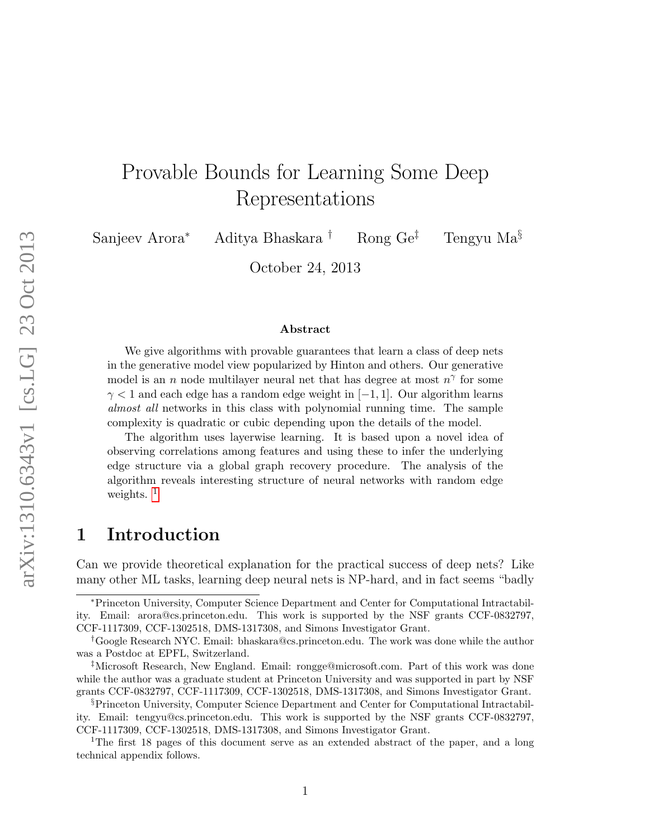# Provable Bounds for Learning Some Deep Representations

Sanjeev Arora<sup>∗</sup> Aditya Bhaskara † Rong Ge‡ Tengyu Ma§

October 24, 2013

#### Abstract

We give algorithms with provable guarantees that learn a class of deep nets in the generative model view popularized by Hinton and others. Our generative model is an n node multilayer neural net that has degree at most  $n^{\gamma}$  for some  $\gamma$  < 1 and each edge has a random edge weight in [−1, 1]. Our algorithm learns almost all networks in this class with polynomial running time. The sample complexity is quadratic or cubic depending upon the details of the model.

The algorithm uses layerwise learning. It is based upon a novel idea of observing correlations among features and using these to infer the underlying edge structure via a global graph recovery procedure. The analysis of the algorithm reveals interesting structure of neural networks with random edge weights.  $<sup>1</sup>$  $<sup>1</sup>$  $<sup>1</sup>$ </sup>

# 1 Introduction

Can we provide theoretical explanation for the practical success of deep nets? Like many other ML tasks, learning deep neural nets is NP-hard, and in fact seems "badly

<sup>∗</sup>Princeton University, Computer Science Department and Center for Computational Intractability. Email: arora@cs.princeton.edu. This work is supported by the NSF grants CCF-0832797, CCF-1117309, CCF-1302518, DMS-1317308, and Simons Investigator Grant.

<sup>†</sup>Google Research NYC. Email: bhaskara@cs.princeton.edu. The work was done while the author was a Postdoc at EPFL, Switzerland.

<sup>‡</sup>Microsoft Research, New England. Email: rongge@microsoft.com. Part of this work was done while the author was a graduate student at Princeton University and was supported in part by NSF grants CCF-0832797, CCF-1117309, CCF-1302518, DMS-1317308, and Simons Investigator Grant.

<sup>§</sup>Princeton University, Computer Science Department and Center for Computational Intractability. Email: tengyu@cs.princeton.edu. This work is supported by the NSF grants CCF-0832797, CCF-1117309, CCF-1302518, DMS-1317308, and Simons Investigator Grant.

<span id="page-0-0"></span><sup>&</sup>lt;sup>1</sup>The first 18 pages of this document serve as an extended abstract of the paper, and a long technical appendix follows.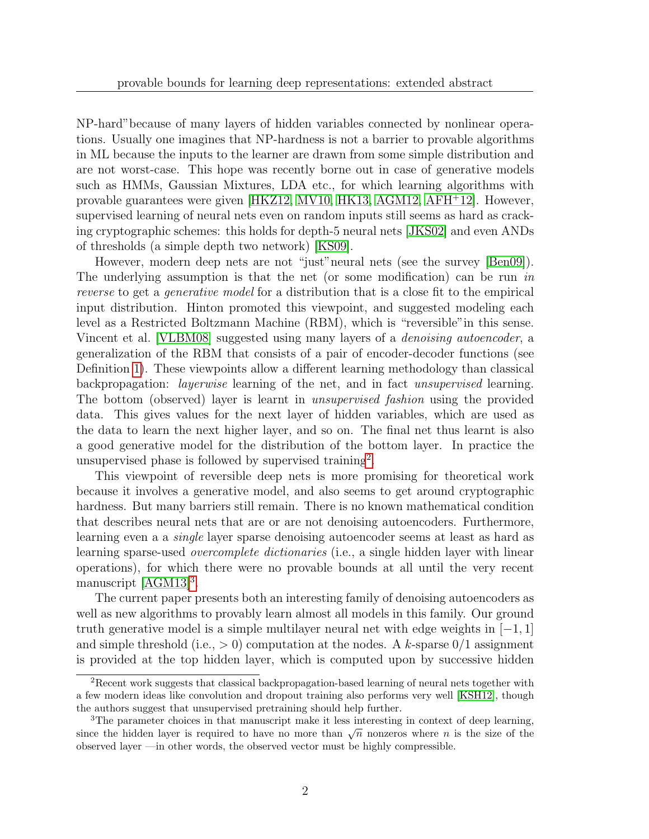NP-hard"because of many layers of hidden variables connected by nonlinear operations. Usually one imagines that NP-hardness is not a barrier to provable algorithms in ML because the inputs to the learner are drawn from some simple distribution and are not worst-case. This hope was recently borne out in case of generative models such as HMMs, Gaussian Mixtures, LDA etc., for which learning algorithms with provable guarantees were given [\[HKZ12,](#page-16-0) [MV10,](#page-17-0) [HK13,](#page-16-1) [AGM12,](#page-15-0) [AFH](#page-15-1)<sup>+</sup>12]. However, supervised learning of neural nets even on random inputs still seems as hard as cracking cryptographic schemes: this holds for depth-5 neural nets [\[JKS02\]](#page-16-2) and even ANDs of thresholds (a simple depth two network) [\[KS09\]](#page-16-3).

However, modern deep nets are not "just"neural nets (see the survey [\[Ben09\]](#page-16-4)). The underlying assumption is that the net (or some modification) can be run in reverse to get a generative model for a distribution that is a close fit to the empirical input distribution. Hinton promoted this viewpoint, and suggested modeling each level as a Restricted Boltzmann Machine (RBM), which is "reversible"in this sense. Vincent et al. [\[VLBM08\]](#page-17-1) suggested using many layers of a *denoising autoencoder*, a generalization of the RBM that consists of a pair of encoder-decoder functions (see Definition [1\)](#page-5-0). These viewpoints allow a different learning methodology than classical backpropagation: layerwise learning of the net, and in fact unsupervised learning. The bottom (observed) layer is learnt in unsupervised fashion using the provided data. This gives values for the next layer of hidden variables, which are used as the data to learn the next higher layer, and so on. The final net thus learnt is also a good generative model for the distribution of the bottom layer. In practice the unsupervised phase is followed by supervised training<sup>[2](#page-1-0)</sup>.

This viewpoint of reversible deep nets is more promising for theoretical work because it involves a generative model, and also seems to get around cryptographic hardness. But many barriers still remain. There is no known mathematical condition that describes neural nets that are or are not denoising autoencoders. Furthermore, learning even a a single layer sparse denoising autoencoder seems at least as hard as learning sparse-used *overcomplete dictionaries* (i.e., a single hidden layer with linear operations), for which there were no provable bounds at all until the very recent manuscript [\[AGM13\]](#page-15-2)<sup>[3](#page-1-1)</sup>.

The current paper presents both an interesting family of denoising autoencoders as well as new algorithms to provably learn almost all models in this family. Our ground truth generative model is a simple multilayer neural net with edge weights in  $[-1, 1]$ and simple threshold (i.e.,  $> 0$ ) computation at the nodes. A k-sparse  $0/1$  assignment is provided at the top hidden layer, which is computed upon by successive hidden

<span id="page-1-0"></span><sup>2</sup>Recent work suggests that classical backpropagation-based learning of neural nets together with a few modern ideas like convolution and dropout training also performs very well [\[KSH12\]](#page-16-5), though the authors suggest that unsupervised pretraining should help further.

<span id="page-1-1"></span><sup>&</sup>lt;sup>3</sup>The parameter choices in that manuscript make it less interesting in context of deep learning, since the hidden layer is required to have no more than  $\sqrt{n}$  nonzeros where *n* is the size of the observed layer —in other words, the observed vector must be highly compressible.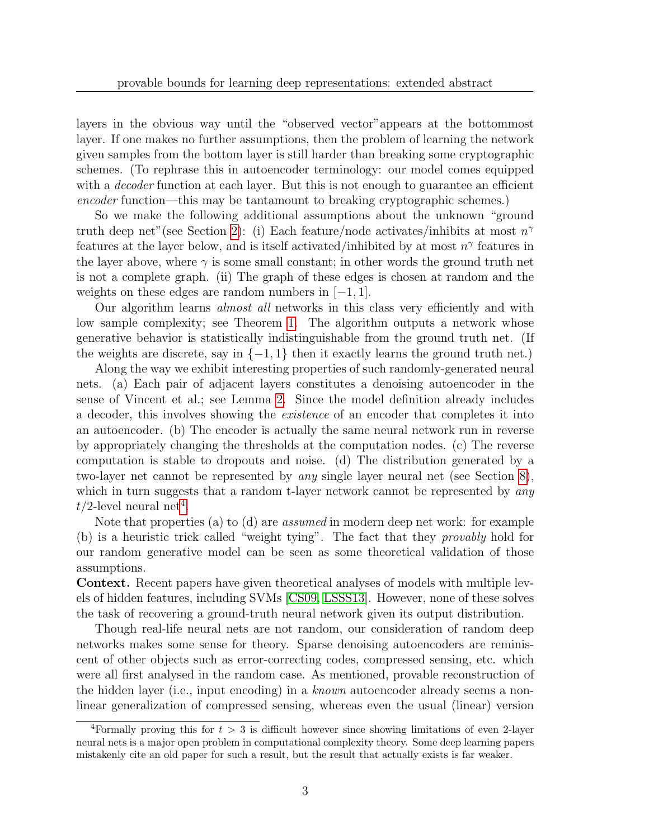layers in the obvious way until the "observed vector"appears at the bottommost layer. If one makes no further assumptions, then the problem of learning the network given samples from the bottom layer is still harder than breaking some cryptographic schemes. (To rephrase this in autoencoder terminology: our model comes equipped with a *decoder* function at each layer. But this is not enough to guarantee an efficient encoder function—this may be tantamount to breaking cryptographic schemes.)

So we make the following additional assumptions about the unknown "ground truth deep net"(see Section [2\)](#page-3-0): (i) Each feature/node activates/inhibits at most  $n^{\gamma}$ features at the layer below, and is itself activated/inhibited by at most  $n^{\gamma}$  features in the layer above, where  $\gamma$  is some small constant; in other words the ground truth net is not a complete graph. (ii) The graph of these edges is chosen at random and the weights on these edges are random numbers in  $[-1, 1]$ .

Our algorithm learns *almost all* networks in this class very efficiently and with low sample complexity; see Theorem [1.](#page-4-0) The algorithm outputs a network whose generative behavior is statistically indistinguishable from the ground truth net. (If the weights are discrete, say in  $\{-1,1\}$  then it exactly learns the ground truth net.)

Along the way we exhibit interesting properties of such randomly-generated neural nets. (a) Each pair of adjacent layers constitutes a denoising autoencoder in the sense of Vincent et al.; see Lemma [2.](#page-6-0) Since the model definition already includes a decoder, this involves showing the existence of an encoder that completes it into an autoencoder. (b) The encoder is actually the same neural network run in reverse by appropriately changing the thresholds at the computation nodes. (c) The reverse computation is stable to dropouts and noise. (d) The distribution generated by a two-layer net cannot be represented by any single layer neural net (see Section [8\)](#page-14-0), which in turn suggests that a random t-layer network cannot be represented by any  $t/2$ -level neural net<sup>[4](#page-2-0)</sup>.

Note that properties (a) to (d) are *assumed* in modern deep net work: for example (b) is a heuristic trick called "weight tying". The fact that they provably hold for our random generative model can be seen as some theoretical validation of those assumptions.

Context. Recent papers have given theoretical analyses of models with multiple levels of hidden features, including SVMs [\[CS09,](#page-16-6) [LSSS13\]](#page-17-2). However, none of these solves the task of recovering a ground-truth neural network given its output distribution.

Though real-life neural nets are not random, our consideration of random deep networks makes some sense for theory. Sparse denoising autoencoders are reminiscent of other objects such as error-correcting codes, compressed sensing, etc. which were all first analysed in the random case. As mentioned, provable reconstruction of the hidden layer (i.e., input encoding) in a known autoencoder already seems a nonlinear generalization of compressed sensing, whereas even the usual (linear) version

<span id="page-2-0"></span><sup>&</sup>lt;sup>4</sup>Formally proving this for  $t > 3$  is difficult however since showing limitations of even 2-layer neural nets is a major open problem in computational complexity theory. Some deep learning papers mistakenly cite an old paper for such a result, but the result that actually exists is far weaker.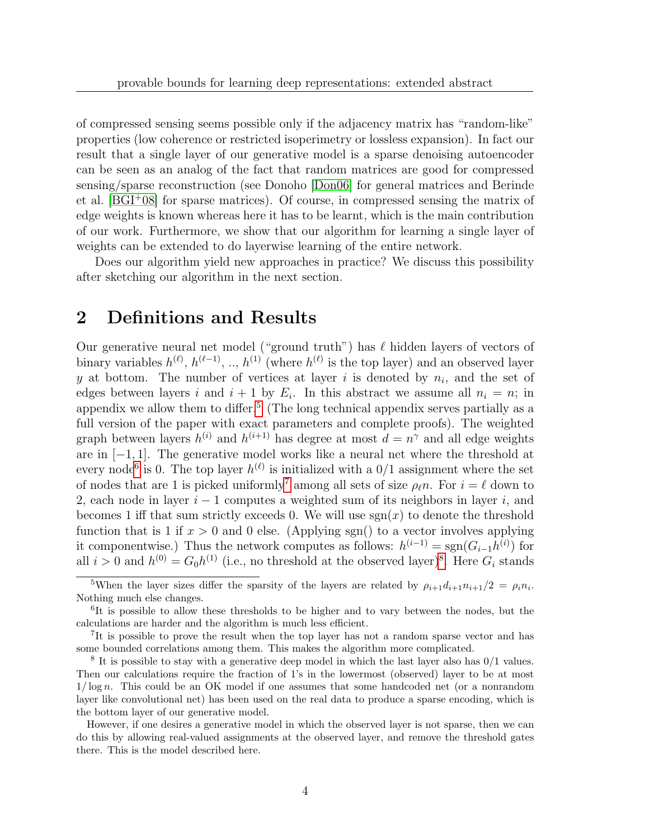of compressed sensing seems possible only if the adjacency matrix has "random-like" properties (low coherence or restricted isoperimetry or lossless expansion). In fact our result that a single layer of our generative model is a sparse denoising autoencoder can be seen as an analog of the fact that random matrices are good for compressed sensing/sparse reconstruction (see Donoho [\[Don06\]](#page-16-7) for general matrices and Berinde et al.  $[BGI^+08]$  for sparse matrices). Of course, in compressed sensing the matrix of edge weights is known whereas here it has to be learnt, which is the main contribution of our work. Furthermore, we show that our algorithm for learning a single layer of weights can be extended to do layerwise learning of the entire network.

Does our algorithm yield new approaches in practice? We discuss this possibility after sketching our algorithm in the next section.

### <span id="page-3-0"></span>2 Definitions and Results

Our generative neural net model ("ground truth") has  $\ell$  hidden layers of vectors of binary variables  $h^{(\ell)}, h^{(\ell-1)}, ..., h^{(1)}$  (where  $h^{(\ell)}$  is the top layer) and an observed layer y at bottom. The number of vertices at layer i is denoted by  $n_i$ , and the set of edges between layers i and  $i+1$  by  $E_i$ . In this abstract we assume all  $n_i = n$ ; in appendix we allow them to differ.<sup>[5](#page-3-1)</sup> (The long technical appendix serves partially as a full version of the paper with exact parameters and complete proofs). The weighted graph between layers  $h^{(i)}$  and  $h^{(i+1)}$  has degree at most  $d = n^{\gamma}$  and all edge weights are in [−1, 1]. The generative model works like a neural net where the threshold at every node<sup>[6](#page-3-2)</sup> is 0. The top layer  $h^{(\ell)}$  is initialized with a  $0/1$  assignment where the set of nodes that are 1 is picked uniformly<sup>[7](#page-3-3)</sup> among all sets of size  $\rho_{\ell}n$ . For  $i = \ell$  down to 2, each node in layer  $i - 1$  computes a weighted sum of its neighbors in layer i, and becomes 1 iff that sum strictly exceeds 0. We will use  $sgn(x)$  to denote the threshold function that is 1 if  $x > 0$  and 0 else. (Applying sgn() to a vector involves applying it componentwise.) Thus the network computes as follows:  $h^{(i-1)} = \text{sgn}(G_{i-1}h^{(i)})$  for all  $i > 0$  and  $h^{(0)} = G_0 h^{(1)}$  (i.e., no threshold at the observed layer)<sup>[8](#page-3-4)</sup>. Here  $G_i$  stands

However, if one desires a generative model in which the observed layer is not sparse, then we can do this by allowing real-valued assignments at the observed layer, and remove the threshold gates there. This is the model described here.

<span id="page-3-1"></span><sup>&</sup>lt;sup>5</sup>When the layer sizes differ the sparsity of the layers are related by  $\rho_{i+1}d_{i+1}n_{i+1}/2 = \rho_i n_i$ . Nothing much else changes.

<span id="page-3-2"></span><sup>&</sup>lt;sup>6</sup>It is possible to allow these thresholds to be higher and to vary between the nodes, but the calculations are harder and the algorithm is much less efficient.

<span id="page-3-3"></span><sup>&</sup>lt;sup>7</sup>It is possible to prove the result when the top layer has not a random sparse vector and has some bounded correlations among them. This makes the algorithm more complicated.

<span id="page-3-4"></span><sup>&</sup>lt;sup>8</sup> It is possible to stay with a generative deep model in which the last layer also has  $0/1$  values. Then our calculations require the fraction of 1's in the lowermost (observed) layer to be at most 1/ log n. This could be an OK model if one assumes that some handcoded net (or a nonrandom layer like convolutional net) has been used on the real data to produce a sparse encoding, which is the bottom layer of our generative model.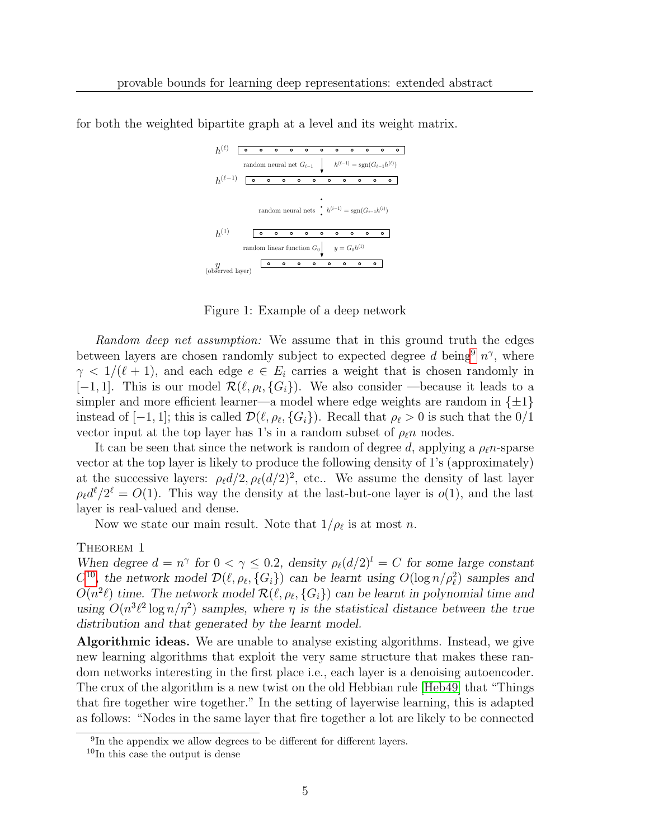|                      | $\Omega$ | $\circ$  | $\circ$ | $\circ$ | $\circ$ | $\circ$ | $\circ$                                                                   | $\circ$ | $\circ$ | $\circ$  | ٥       |
|----------------------|----------|----------|---------|---------|---------|---------|---------------------------------------------------------------------------|---------|---------|----------|---------|
|                      |          |          |         |         |         |         | random neural net $G_{\ell-1}$ $h^{(\ell-1)} = sgn(G_{\ell-1}h^{(\ell)})$ |         |         |          |         |
| $h^{(\ell-1)}$       |          |          |         |         | $\circ$ |         | $\circ$                                                                   | $\circ$ | $\circ$ | $\circ$  | $\circ$ |
| $h^{(1)}$            |          |          |         |         |         |         | random neural nets $h^{(i-1)} = sgn(G_{i-1}h^{(i)})$                      |         |         |          |         |
|                      |          | $\Omega$ | $\circ$ | $\circ$ | $\circ$ | $\circ$ | $\circ$                                                                   | $\circ$ | $\circ$ | $\Omega$ |         |
|                      |          |          |         |         |         |         | random linear function $G_0$ $y = G_0 h^{(1)}$                            |         |         |          |         |
| $y$ (observed layer) |          | $\circ$  | $\circ$ | $\circ$ | ۰       |         | $\circ$                                                                   | $\circ$ | $\circ$ | $\circ$  |         |

for both the weighted bipartite graph at a level and its weight matrix.

Figure 1: Example of a deep network

Random deep net assumption: We assume that in this ground truth the edges between layers are chosen randomly subject to expected degree d being<sup>[9](#page-4-1)</sup>  $n^{\gamma}$ , where  $\gamma$  < 1/( $\ell$  + 1), and each edge  $e \in E_i$  carries a weight that is chosen randomly in [-1, 1]. This is our model  $\mathcal{R}(\ell, \rho_l, \{G_i\})$ . We also consider —because it leads to a simpler and more efficient learner—a model where edge weights are random in  $\{\pm 1\}$ instead of  $[-1, 1]$ ; this is called  $\mathcal{D}(\ell, \rho_\ell, \{G_i\})$ . Recall that  $\rho_\ell > 0$  is such that the  $0/1$ vector input at the top layer has 1's in a random subset of  $\rho_{\ell}n$  nodes.

It can be seen that since the network is random of degree d, applying a  $\rho_{\ell}n$ -sparse vector at the top layer is likely to produce the following density of 1's (approximately) at the successive layers:  $\rho_{\ell}d/2, \rho_{\ell}(d/2)^2$ , etc.. We assume the density of last layer  $\rho_{\ell}d^{\ell}/2^{\ell} = O(1)$ . This way the density at the last-but-one layer is  $o(1)$ , and the last layer is real-valued and dense.

Now we state our main result. Note that  $1/\rho_{\ell}$  is at most n.

### <span id="page-4-0"></span>THEOREM 1

When degree  $d = n^{\gamma}$  for  $0 < \gamma \leq 0.2$ , density  $\rho_{\ell}(d/2)^{l} = C$  for some large constant  $C^{10}$  $C^{10}$  $C^{10}$ , the network model  $\mathcal{D}(\ell, \rho_{\ell}, \{G_i\})$  can be learnt using  $O(\log n/\rho_{\ell}^2)$  samples and  $O(n^2\ell)$  time. The network model  $\mathcal{R}(\ell, \rho_\ell, \{G_i\})$  can be learnt in polynomial time and using  $O(n^3\ell^2\log n/\eta^2)$  samples, where  $\eta$  is the statistical distance between the true distribution and that generated by the learnt model.

Algorithmic ideas. We are unable to analyse existing algorithms. Instead, we give new learning algorithms that exploit the very same structure that makes these random networks interesting in the first place i.e., each layer is a denoising autoencoder. The crux of the algorithm is a new twist on the old Hebbian rule [\[Heb49\]](#page-16-9) that "Things that fire together wire together." In the setting of layerwise learning, this is adapted as follows: "Nodes in the same layer that fire together a lot are likely to be connected

<span id="page-4-1"></span><sup>&</sup>lt;sup>9</sup>In the appendix we allow degrees to be different for different layers.

<span id="page-4-2"></span><sup>&</sup>lt;sup>10</sup>In this case the output is dense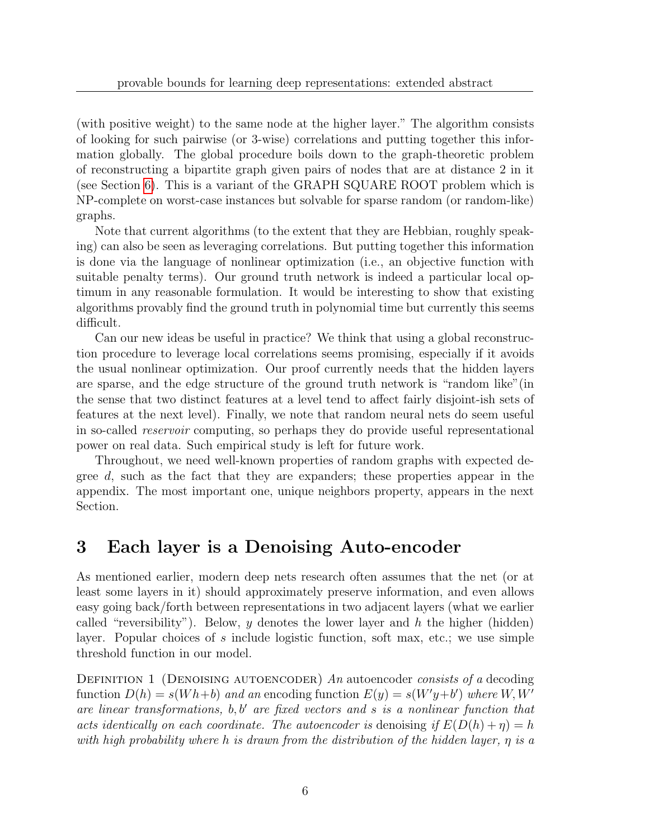(with positive weight) to the same node at the higher layer." The algorithm consists of looking for such pairwise (or 3-wise) correlations and putting together this information globally. The global procedure boils down to the graph-theoretic problem of reconstructing a bipartite graph given pairs of nodes that are at distance 2 in it (see Section [6\)](#page-11-0). This is a variant of the GRAPH SQUARE ROOT problem which is NP-complete on worst-case instances but solvable for sparse random (or random-like) graphs.

Note that current algorithms (to the extent that they are Hebbian, roughly speaking) can also be seen as leveraging correlations. But putting together this information is done via the language of nonlinear optimization (i.e., an objective function with suitable penalty terms). Our ground truth network is indeed a particular local optimum in any reasonable formulation. It would be interesting to show that existing algorithms provably find the ground truth in polynomial time but currently this seems difficult.

Can our new ideas be useful in practice? We think that using a global reconstruction procedure to leverage local correlations seems promising, especially if it avoids the usual nonlinear optimization. Our proof currently needs that the hidden layers are sparse, and the edge structure of the ground truth network is "random like"(in the sense that two distinct features at a level tend to affect fairly disjoint-ish sets of features at the next level). Finally, we note that random neural nets do seem useful in so-called reservoir computing, so perhaps they do provide useful representational power on real data. Such empirical study is left for future work.

Throughout, we need well-known properties of random graphs with expected degree d, such as the fact that they are expanders; these properties appear in the appendix. The most important one, unique neighbors property, appears in the next Section.

# 3 Each layer is a Denoising Auto-encoder

As mentioned earlier, modern deep nets research often assumes that the net (or at least some layers in it) should approximately preserve information, and even allows easy going back/forth between representations in two adjacent layers (what we earlier called "reversibility"). Below, y denotes the lower layer and h the higher (hidden) layer. Popular choices of s include logistic function, soft max, etc.; we use simple threshold function in our model.

<span id="page-5-0"></span>DEFINITION 1 (DENOISING AUTOENCODER) An autoencoder consists of a decoding function  $D(h) = s(Wh+b)$  and an encoding function  $E(y) = s(W'y+b')$  where  $W, W'$ are linear transformations,  $b, b'$  are fixed vectors and s is a nonlinear function that acts identically on each coordinate. The autoencoder is denoising if  $E(D(h) + \eta) = h$ with high probability where h is drawn from the distribution of the hidden layer, η is a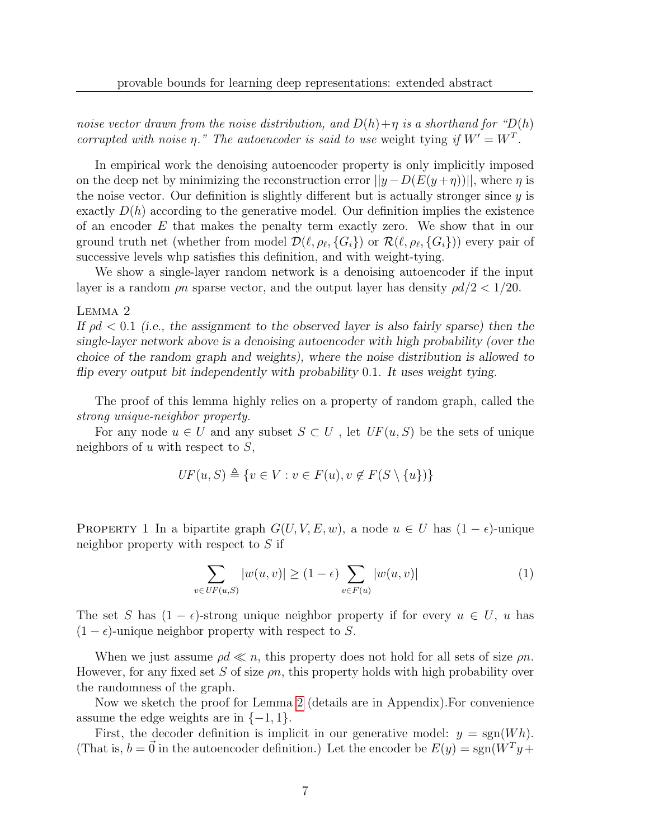noise vector drawn from the noise distribution, and  $D(h)+\eta$  is a shorthand for " $D(h)$ " corrupted with noise  $\eta$ ." The autoencoder is said to use weight tying if  $W' = W^T$ .

In empirical work the denoising autoencoder property is only implicitly imposed on the deep net by minimizing the reconstruction error  $||y - D(E(y + \eta))||$ , where  $\eta$  is the noise vector. Our definition is slightly different but is actually stronger since  $y$  is exactly  $D(h)$  according to the generative model. Our definition implies the existence of an encoder  $E$  that makes the penalty term exactly zero. We show that in our ground truth net (whether from model  $\mathcal{D}(\ell, \rho_\ell, \{G_i\})$  or  $\mathcal{R}(\ell, \rho_\ell, \{G_i\})$ ) every pair of successive levels whp satisfies this definition, and with weight-tying.

We show a single-layer random network is a denoising autoencoder if the input layer is a random  $\rho n$  sparse vector, and the output layer has density  $\rho d/2 < 1/20$ .

#### <span id="page-6-0"></span>Lemma 2

If  $\rho d < 0.1$  (i.e., the assignment to the observed layer is also fairly sparse) then the single-layer network above is a denoising autoencoder with high probability (over the choice of the random graph and weights), where the noise distribution is allowed to flip every output bit independently with probability 0.1. It uses weight tying.

The proof of this lemma highly relies on a property of random graph, called the strong unique-neighbor property.

For any node  $u \in U$  and any subset  $S \subset U$ , let  $UF(u, S)$  be the sets of unique neighbors of  $u$  with respect to  $S$ ,

$$
UF(u, S) \triangleq \{v \in V : v \in F(u), v \notin F(S \setminus \{u\})\}
$$

PROPERTY 1 In a bipartite graph  $G(U, V, E, w)$ , a node  $u \in U$  has  $(1 - \epsilon)$ -unique neighbor property with respect to S if

$$
\sum_{v \in UF(u,S)} |w(u,v)| \ge (1-\epsilon) \sum_{v \in F(u)} |w(u,v)| \tag{1}
$$

The set S has  $(1 - \epsilon)$ -strong unique neighbor property if for every  $u \in U$ , u has  $(1 - \epsilon)$ -unique neighbor property with respect to S.

When we just assume  $\rho d \ll n$ , this property does not hold for all sets of size  $\rho n$ . However, for any fixed set S of size  $\rho n$ , this property holds with high probability over the randomness of the graph.

Now we sketch the proof for Lemma [2](#page-6-0) (details are in Appendix).For convenience assume the edge weights are in  $\{-1, 1\}$ .

First, the decoder definition is implicit in our generative model:  $y = \text{sgn}(Wh)$ . (That is,  $b = \vec{0}$  in the autoencoder definition.) Let the encoder be  $E(y) = sgn(W<sup>T</sup>y +$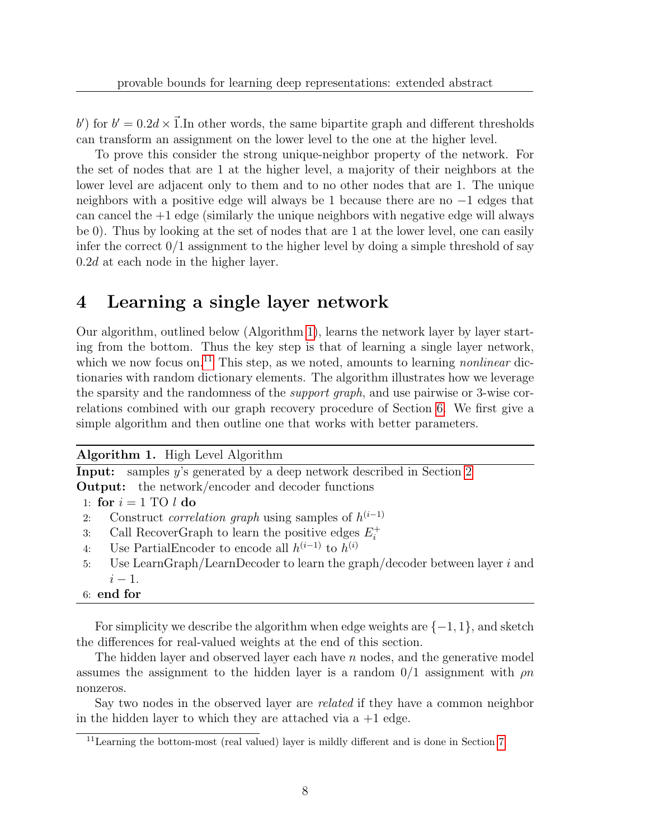b) for  $b' = 0.2d \times \vec{1}$ . In other words, the same bipartite graph and different thresholds can transform an assignment on the lower level to the one at the higher level.

To prove this consider the strong unique-neighbor property of the network. For the set of nodes that are 1 at the higher level, a majority of their neighbors at the lower level are adjacent only to them and to no other nodes that are 1. The unique neighbors with a positive edge will always be 1 because there are no −1 edges that can cancel the  $+1$  edge (similarly the unique neighbors with negative edge will always be 0). Thus by looking at the set of nodes that are 1 at the lower level, one can easily infer the correct  $0/1$  assignment to the higher level by doing a simple threshold of say 0.2d at each node in the higher layer.

# 4 Learning a single layer network

Our algorithm, outlined below (Algorithm [1\)](#page-7-0), learns the network layer by layer starting from the bottom. Thus the key step is that of learning a single layer network, which we now focus on.<sup>[11](#page-7-1)</sup> This step, as we noted, amounts to learning *nonlinear* dictionaries with random dictionary elements. The algorithm illustrates how we leverage the sparsity and the randomness of the support graph, and use pairwise or 3-wise correlations combined with our graph recovery procedure of Section [6.](#page-11-0) We first give a simple algorithm and then outline one that works with better parameters.

Algorithm 1. High Level Algorithm

<span id="page-7-0"></span>Input: samples y's generated by a deep network described in Section [2](#page-3-0) **Output:** the network/encoder and decoder functions

1: for  $i = 1$  TO  $l$  do

- 2: Construct *correlation graph* using samples of  $h^{(i-1)}$
- 3: Call RecoverGraph to learn the positive edges  $E_i^+$ i
- 4: Use PartialEncoder to encode all  $h^{(i-1)}$  to  $h^{(i)}$
- 5: Use LearnGraph/LearnDecoder to learn the graph/decoder between layer  $i$  and  $i-1$ .

### 6: end for

For simplicity we describe the algorithm when edge weights are  $\{-1, 1\}$ , and sketch the differences for real-valued weights at the end of this section.

The hidden layer and observed layer each have  $n$  nodes, and the generative model assumes the assignment to the hidden layer is a random  $0/1$  assignment with  $\rho n$ nonzeros.

Say two nodes in the observed layer are *related* if they have a common neighbor in the hidden layer to which they are attached via  $a + 1$  edge.

<span id="page-7-1"></span><sup>11</sup>Learning the bottom-most (real valued) layer is mildly different and is done in Section [7.](#page-13-0)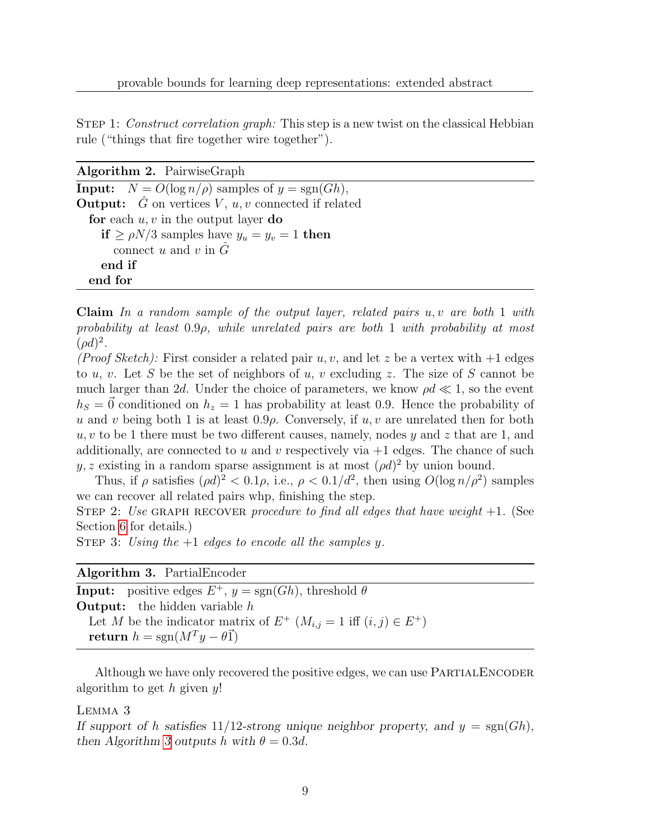STEP 1: Construct correlation graph: This step is a new twist on the classical Hebbian rule ("things that fire together wire together").

Algorithm 2. PairwiseGraph

**Input:**  $N = O(\log n/\rho)$  samples of  $y = sgn(Gh)$ , **Output:**  $\hat{G}$  on vertices  $V, u, v$  connected if related for each  $u, v$  in the output layer do if  $\ge \rho N/3$  samples have  $y_u = y_v = 1$  then connect u and v in  $\tilde{G}$ end if end for

**Claim** In a random sample of the output layer, related pairs  $u, v$  are both 1 with probability at least 0.9ρ, while unrelated pairs are both 1 with probability at most  $(\rho d)^2$ .

(Proof Sketch): First consider a related pair  $u, v$ , and let z be a vertex with  $+1$  edges to u, v. Let S be the set of neighbors of u, v excluding z. The size of S cannot be much larger than 2d. Under the choice of parameters, we know  $\rho d \ll 1$ , so the event  $h<sub>S</sub> = \vec{0}$  conditioned on  $h<sub>z</sub> = 1$  has probability at least 0.9. Hence the probability of u and v being both 1 is at least  $0.9\rho$ . Conversely, if  $u, v$  are unrelated then for both  $u, v$  to be 1 there must be two different causes, namely, nodes y and z that are 1, and additionally, are connected to u and v respectively via  $+1$  edges. The chance of such y, z existing in a random sparse assignment is at most  $(\rho d)^2$  by union bound.

Thus, if  $\rho$  satisfies  $(\rho d)^2 < 0.1\rho$ , i.e.,  $\rho < 0.1/d^2$ , then using  $O(\log n/\rho^2)$  samples we can recover all related pairs whp, finishing the step.

STEP 2: Use GRAPH RECOVER procedure to find all edges that have weight  $+1$ . (See Section [6](#page-11-0) for details.)

STEP 3: Using the  $+1$  edges to encode all the samples y.

Algorithm 3. PartialEncoder

<span id="page-8-0"></span>**Input:** positive edges  $E^+$ ,  $y = \text{sgn}(Gh)$ , threshold  $\theta$ **Output:** the hidden variable  $h$ Let M be the indicator matrix of  $E^+$   $(M_{i,j} = 1 \text{ iff } (i,j) \in E^+)$ return  $h = sgn(M^T y - \theta \vec{1})$ 

Although we have only recovered the positive edges, we can use PARTIALENCODER algorithm to get  $h$  given  $y!$ 

Lemma 3

If support of h satisfies 11/12-strong unique neighbor property, and  $y = sgn(Gh)$ , then Algorithm [3](#page-8-0) outputs h with  $\theta = 0.3d$ .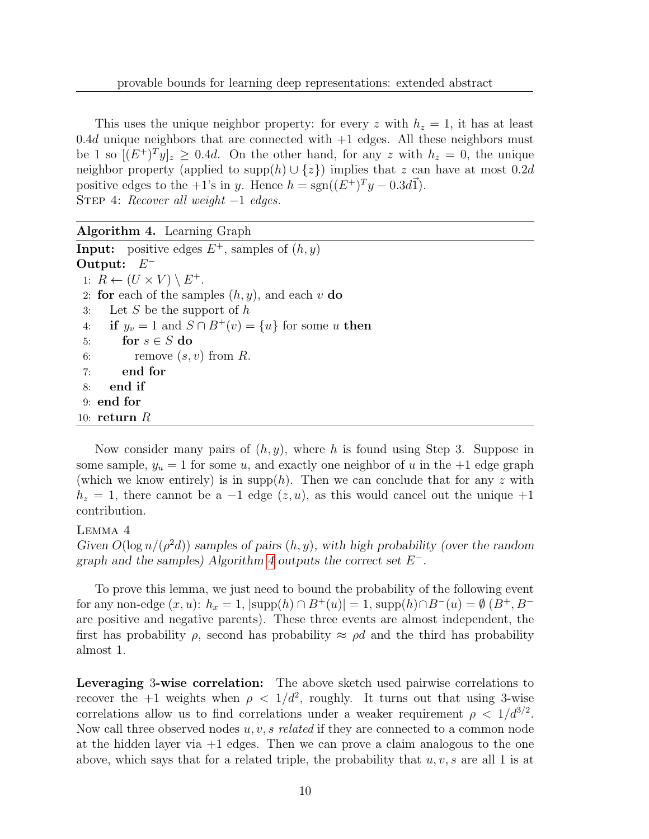This uses the unique neighbor property: for every z with  $h_z = 1$ , it has at least  $0.4d$  unique neighbors that are connected with  $+1$  edges. All these neighbors must be 1 so  $[(E^+)^T y]_z \geq 0.4d$ . On the other hand, for any z with  $h_z = 0$ , the unique neighbor property (applied to supp $(h) \cup \{z\}$ ) implies that z can have at most 0.2d positive edges to the +1's in y. Hence  $h = sgn((E^+)^T y - 0.3d\vec{1}).$ STEP 4: Recover all weight  $-1$  edges.

<span id="page-9-0"></span>Algorithm 4. Learning Graph **Input:** positive edges  $E^+$ , samples of  $(h, y)$ Output:  $E^-$ 1:  $R \leftarrow (U \times V) \setminus E^+.$ 2: for each of the samples  $(h, y)$ , and each v do 3: Let S be the support of  $h$ 4: if  $y_v = 1$  and  $S \cap B^+(v) = \{u\}$  for some u then 5: for  $s \in S$  do<br>6: remove  $(s,$ remove  $(s, v)$  from R. 7: end for 8: end if 9: end for 10: return  $R$ 

Now consider many pairs of  $(h, y)$ , where h is found using Step 3. Suppose in some sample,  $y_u = 1$  for some u, and exactly one neighbor of u in the  $+1$  edge graph (which we know entirely) is in supp(h). Then we can conclude that for any z with  $h_z = 1$ , there cannot be a -1 edge  $(z, u)$ , as this would cancel out the unique +1 contribution.

### Lemma 4

Given  $O(\log n/(\rho^2 d))$  samples of pairs  $(h, y)$ , with high probability (over the random graph and the samples) Algorithm [4](#page-9-0) outputs the correct set  $E^-$ .

To prove this lemma, we just need to bound the probability of the following event for any non-edge  $(x, u)$ :  $h_x = 1$ ,  $|\text{supp}(h) \cap B^+(u)| = 1$ ,  $\text{supp}(h) \cap B^-(u) = \emptyset$   $(B^+, B^$ are positive and negative parents). These three events are almost independent, the first has probability  $\rho$ , second has probability  $\approx \rho d$  and the third has probability almost 1.

Leveraging 3-wise correlation: The above sketch used pairwise correlations to recover the  $+1$  weights when  $\rho < 1/d^2$ , roughly. It turns out that using 3-wise correlations allow us to find correlations under a weaker requirement  $\rho < 1/d^{3/2}$ . Now call three observed nodes  $u, v, s$  related if they are connected to a common node at the hidden layer via  $+1$  edges. Then we can prove a claim analogous to the one above, which says that for a related triple, the probability that  $u, v, s$  are all 1 is at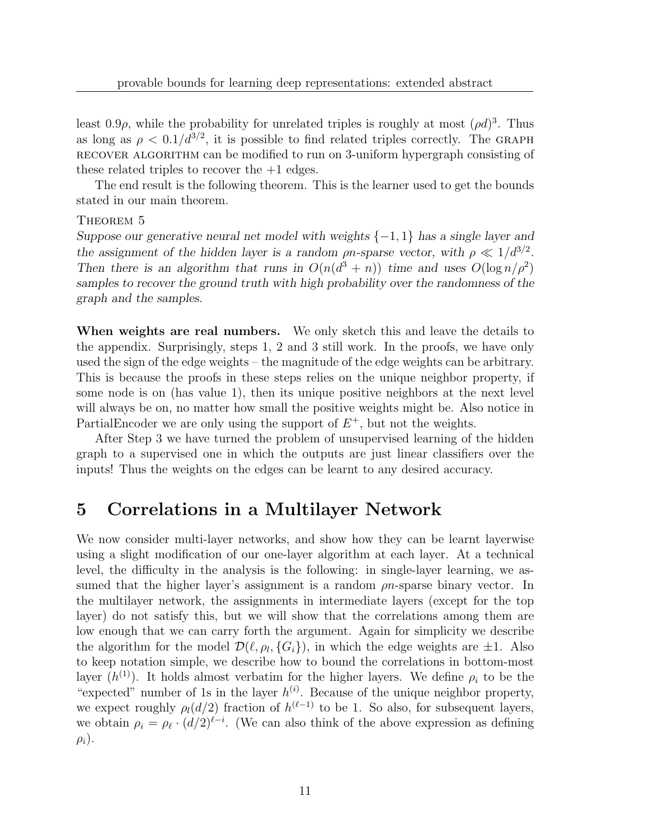least  $0.9\rho$ , while the probability for unrelated triples is roughly at most  $(\rho d)^3$ . Thus as long as  $\rho < 0.1/d^{3/2}$ , it is possible to find related triples correctly. The GRAPH recover algorithm can be modified to run on 3-uniform hypergraph consisting of these related triples to recover the +1 edges.

The end result is the following theorem. This is the learner used to get the bounds stated in our main theorem.

### THEOREM 5

Suppose our generative neural net model with weights  $\{-1,1\}$  has a single layer and the assignment of the hidden layer is a random  $\rho n$ -sparse vector, with  $\rho \ll 1/d^{3/2}$ . Then there is an algorithm that runs in  $O(n(d^3 + n))$  time and uses  $O(\log n/\rho^2)$ samples to recover the ground truth with high probability over the randomness of the graph and the samples.

When weights are real numbers. We only sketch this and leave the details to the appendix. Surprisingly, steps 1, 2 and 3 still work. In the proofs, we have only used the sign of the edge weights – the magnitude of the edge weights can be arbitrary. This is because the proofs in these steps relies on the unique neighbor property, if some node is on (has value 1), then its unique positive neighbors at the next level will always be on, no matter how small the positive weights might be. Also notice in PartialEncoder we are only using the support of  $E^+$ , but not the weights.

After Step 3 we have turned the problem of unsupervised learning of the hidden graph to a supervised one in which the outputs are just linear classifiers over the inputs! Thus the weights on the edges can be learnt to any desired accuracy.

### 5 Correlations in a Multilayer Network

<span id="page-10-0"></span>We now consider multi-layer networks, and show how they can be learnt layerwise using a slight modification of our one-layer algorithm at each layer. At a technical level, the difficulty in the analysis is the following: in single-layer learning, we assumed that the higher layer's assignment is a random  $\rho n$ -sparse binary vector. In the multilayer network, the assignments in intermediate layers (except for the top layer) do not satisfy this, but we will show that the correlations among them are low enough that we can carry forth the argument. Again for simplicity we describe the algorithm for the model  $\mathcal{D}(\ell, \rho_l, \{G_i\})$ , in which the edge weights are  $\pm 1$ . Also to keep notation simple, we describe how to bound the correlations in bottom-most layer  $(h^{(1)})$ . It holds almost verbatim for the higher layers. We define  $\rho_i$  to be the "expected" number of 1s in the layer  $h^{(i)}$ . Because of the unique neighbor property, we expect roughly  $\rho_l(d/2)$  fraction of  $h^{(\ell-1)}$  to be 1. So also, for subsequent layers, we obtain  $\rho_i = \rho_\ell \cdot (d/2)^{\ell-i}$ . (We can also think of the above expression as defining  $\rho_i$ ).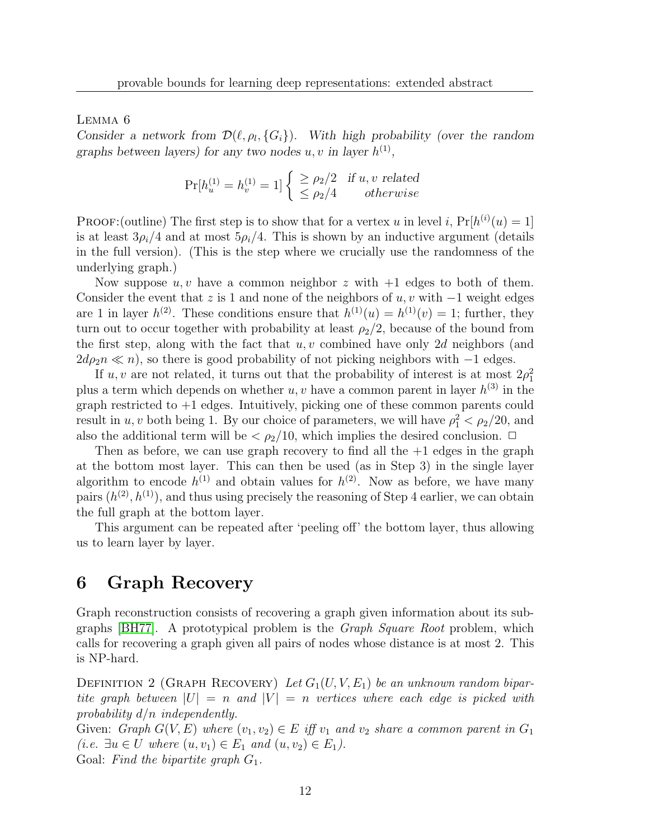Lemma 6

Consider a network from  $\mathcal{D}(\ell, \rho_l, \{G_i\})$ . With high probability (over the random graphs between layers) for any two nodes  $u, v$  in layer  $h^{(1)}$ ,

$$
Pr[h_u^{(1)} = h_v^{(1)} = 1] \begin{cases} \ge \rho_2/2 & \text{if } u, v \text{ related} \\ \le \rho_2/4 & otherwise \end{cases}
$$

**PROOF:**(outline) The first step is to show that for a vertex u in level i,  $Pr[h^{(i)}(u) = 1]$ is at least  $3\rho_i/4$  and at most  $5\rho_i/4$ . This is shown by an inductive argument (details in the full version). (This is the step where we crucially use the randomness of the underlying graph.)

Now suppose  $u, v$  have a common neighbor z with  $+1$  edges to both of them. Consider the event that z is 1 and none of the neighbors of  $u, v$  with  $-1$  weight edges are 1 in layer  $h^{(2)}$ . These conditions ensure that  $h^{(1)}(u) = h^{(1)}(v) = 1$ ; further, they turn out to occur together with probability at least  $\rho_2/2$ , because of the bound from the first step, along with the fact that  $u, v$  combined have only 2d neighbors (and  $2d\rho_2 n \ll n$ , so there is good probability of not picking neighbors with  $-1$  edges.

If u, v are not related, it turns out that the probability of interest is at most  $2\rho_1^2$ plus a term which depends on whether  $u, v$  have a common parent in layer  $h^{(3)}$  in the graph restricted to +1 edges. Intuitively, picking one of these common parents could result in  $u, v$  both being 1. By our choice of parameters, we will have  $\rho_1^2 < \rho_2/20$ , and also the additional term will be  $\langle \rho_2/10, \text{ which implies the desired conclusion. } \Box$ 

Then as before, we can use graph recovery to find all the  $+1$  edges in the graph at the bottom most layer. This can then be used (as in Step 3) in the single layer algorithm to encode  $h^{(1)}$  and obtain values for  $h^{(2)}$ . Now as before, we have many pairs  $(h^{(2)}, h^{(1)})$ , and thus using precisely the reasoning of Step 4 earlier, we can obtain the full graph at the bottom layer.

This argument can be repeated after 'peeling off' the bottom layer, thus allowing us to learn layer by layer.

# <span id="page-11-0"></span>6 Graph Recovery

Graph reconstruction consists of recovering a graph given information about its subgraphs [\[BH77\]](#page-16-10). A prototypical problem is the Graph Square Root problem, which calls for recovering a graph given all pairs of nodes whose distance is at most 2. This is NP-hard.

<span id="page-11-1"></span>DEFINITION 2 (GRAPH RECOVERY) Let  $G_1(U, V, E_1)$  be an unknown random bipartite graph between  $|U| = n$  and  $|V| = n$  vertices where each edge is picked with probability  $d/n$  independently.

Given: Graph  $G(V, E)$  where  $(v_1, v_2) \in E$  iff  $v_1$  and  $v_2$  share a common parent in  $G_1$ (*i.e.*  $\exists u \in U$  where  $(u, v_1) \in E_1$  and  $(u, v_2) \in E_1$ ). Goal: Find the bipartite graph  $G_1$ .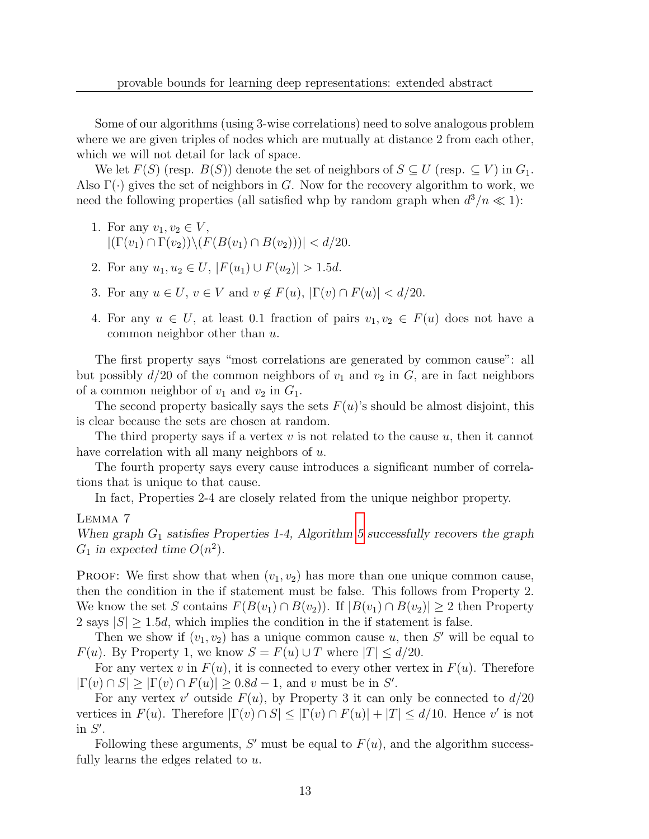Some of our algorithms (using 3-wise correlations) need to solve analogous problem where we are given triples of nodes which are mutually at distance 2 from each other, which we will not detail for lack of space.

We let  $F(S)$  (resp.  $B(S)$ ) denote the set of neighbors of  $S \subseteq U$  (resp.  $\subseteq V$ ) in  $G_1$ . Also  $\Gamma(\cdot)$  gives the set of neighbors in G. Now for the recovery algorithm to work, we need the following properties (all satisfied whp by random graph when  $d^3/n \ll 1$ ):

- 1. For any  $v_1, v_2 \in V$ ,  $|(\Gamma(v_1) \cap \Gamma(v_2)) \setminus (F(B(v_1) \cap B(v_2)))| < d/20.$
- 2. For any  $u_1, u_2 \in U$ ,  $|F(u_1) \cup F(u_2)| > 1.5d$ .
- 3. For any  $u \in U$ ,  $v \in V$  and  $v \notin F(u)$ ,  $|\Gamma(v) \cap F(u)| < d/20$ .
- 4. For any  $u \in U$ , at least 0.1 fraction of pairs  $v_1, v_2 \in F(u)$  does not have a common neighbor other than u.

The first property says "most correlations are generated by common cause": all but possibly  $d/20$  of the common neighbors of  $v_1$  and  $v_2$  in G, are in fact neighbors of a common neighbor of  $v_1$  and  $v_2$  in  $G_1$ .

The second property basically says the sets  $F(u)$ 's should be almost disjoint, this is clear because the sets are chosen at random.

The third property says if a vertex  $v$  is not related to the cause  $u$ , then it cannot have correlation with all many neighbors of u.

The fourth property says every cause introduces a significant number of correlations that is unique to that cause.

In fact, Properties 2-4 are closely related from the unique neighbor property.

### Lemma 7

When graph  $G_1$  satisfies Properties 1-4, Algorithm [5](#page-13-1) successfully recovers the graph  $G_1$  in expected time  $O(n^2)$ .

**PROOF:** We first show that when  $(v_1, v_2)$  has more than one unique common cause, then the condition in the if statement must be false. This follows from Property 2. We know the set S contains  $F(B(v_1) \cap B(v_2))$ . If  $|B(v_1) \cap B(v_2)| \geq 2$  then Property 2 says  $|S| \geq 1.5d$ , which implies the condition in the if statement is false.

Then we show if  $(v_1, v_2)$  has a unique common cause u, then S' will be equal to  $F(u)$ . By Property 1, we know  $S = F(u) \cup T$  where  $|T| \le d/20$ .

For any vertex v in  $F(u)$ , it is connected to every other vertex in  $F(u)$ . Therefore  $|\Gamma(v) \cap S| \geq |\Gamma(v) \cap F(u)| \geq 0.8d - 1$ , and v must be in S'.

For any vertex v' outside  $F(u)$ , by Property 3 it can only be connected to  $d/20$ vertices in  $F(u)$ . Therefore  $|\Gamma(v) \cap S| \leq |\Gamma(v) \cap F(u)| + |T| \leq d/10$ . Hence v' is not in  $S'$ .

Following these arguments, S' must be equal to  $F(u)$ , and the algorithm successfully learns the edges related to u.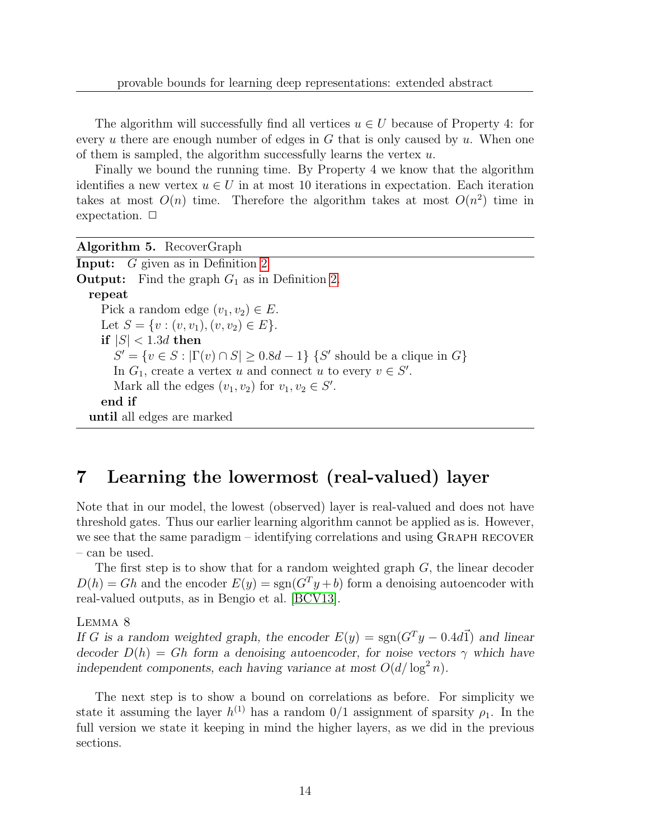The algorithm will successfully find all vertices  $u \in U$  because of Property 4: for every u there are enough number of edges in  $G$  that is only caused by u. When one of them is sampled, the algorithm successfully learns the vertex  $u$ .

Finally we bound the running time. By Property 4 we know that the algorithm identifies a new vertex  $u \in U$  in at most 10 iterations in expectation. Each iteration takes at most  $O(n)$  time. Therefore the algorithm takes at most  $O(n^2)$  time in expectation.  $\Box$ 

<span id="page-13-1"></span>Algorithm 5. RecoverGraph Input: G given as in Definition [2](#page-11-1) **Output:** Find the graph  $G_1$  as in Definition [2.](#page-11-1) repeat Pick a random edge  $(v_1, v_2) \in E$ . Let  $S = \{v : (v, v_1), (v, v_2) \in E\}.$ if  $|S| < 1.3d$  then  $S' = \{v \in S : |\Gamma(v) \cap S| \ge 0.8d - 1\}$  {S' should be a clique in G} In  $G_1$ , create a vertex u and connect u to every  $v \in S'$ . Mark all the edges  $(v_1, v_2)$  for  $v_1, v_2 \in S'$ . end if until all edges are marked

# <span id="page-13-0"></span>7 Learning the lowermost (real-valued) layer

Note that in our model, the lowest (observed) layer is real-valued and does not have threshold gates. Thus our earlier learning algorithm cannot be applied as is. However, we see that the same paradigm – identifying correlations and using GRAPH RECOVER – can be used.

The first step is to show that for a random weighted graph  $G$ , the linear decoder  $D(h) = Gh$  and the encoder  $E(y) = sgn(G<sup>T</sup>y + b)$  form a denoising autoencoder with real-valued outputs, as in Bengio et al. [\[BCV13\]](#page-16-11).

### Lemma 8

If G is a random weighted graph, the encoder  $E(y) = sgn(G^T y - 0.4d\vec{1})$  and linear decoder  $D(h) = Gh$  form a denoising autoencoder, for noise vectors  $\gamma$  which have independent components, each having variance at most  $O(d/\log^2 n)$ .

The next step is to show a bound on correlations as before. For simplicity we state it assuming the layer  $h^{(1)}$  has a random  $0/1$  assignment of sparsity  $\rho_1$ . In the full version we state it keeping in mind the higher layers, as we did in the previous sections.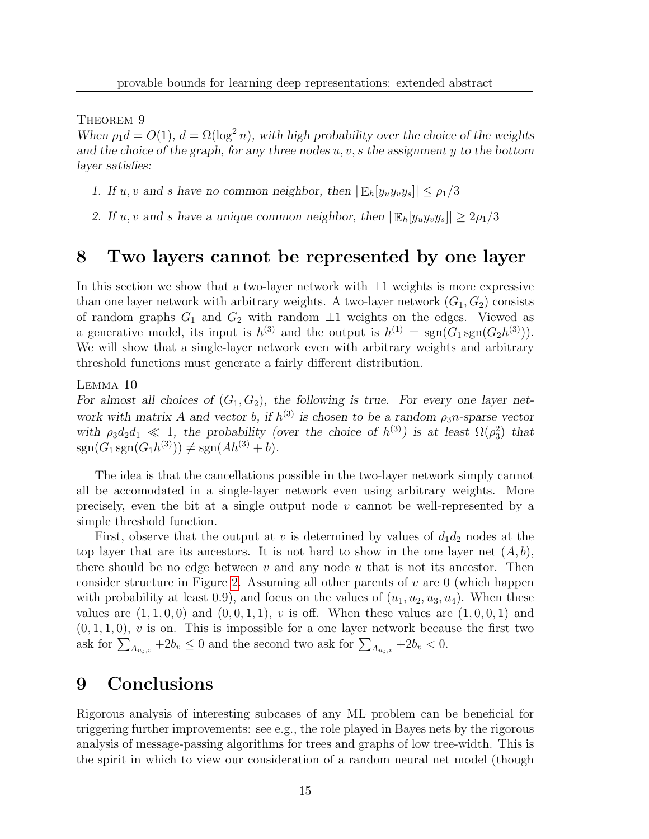THEOREM 9

When  $\rho_1 d = O(1)$ ,  $d = \Omega(\log^2 n)$ , with high probability over the choice of the weights and the choice of the graph, for any three nodes  $u, v, s$  the assignment  $y$  to the bottom layer satisfies:

- 1. If u, v and s have no common neighbor, then  $|\mathbb{E}_h[y_uy_vy_s]|\leq \rho_1/3$
- 2. If u, v and s have a unique common neighbor, then  $|\mathbb{E}_h[y_i y_i y_s]| \geq 2\rho_1/3$

# <span id="page-14-0"></span>8 Two layers cannot be represented by one layer

In this section we show that a two-layer network with  $\pm 1$  weights is more expressive than one layer network with arbitrary weights. A two-layer network  $(G_1, G_2)$  consists of random graphs  $G_1$  and  $G_2$  with random  $\pm 1$  weights on the edges. Viewed as a generative model, its input is  $h^{(3)}$  and the output is  $h^{(1)} = \text{sgn}(G_1 \text{sgn}(G_2 h^{(3)})).$ We will show that a single-layer network even with arbitrary weights and arbitrary threshold functions must generate a fairly different distribution.

Lemma 10

For almost all choices of  $(G_1, G_2)$ , the following is true. For every one layer network with matrix A and vector b, if  $h^{(3)}$  is chosen to be a random  $\rho_3 n$ -sparse vector with  $\rho_3 d_2 d_1 \ll 1$ , the probability (over the choice of  $h^{(3)}$ ) is at least  $\Omega(\rho_3^2)$  that  $sgn(G_1 sgn(G_1 h^{(3)})) \neq sgn(Ah^{(3)} + b).$ 

The idea is that the cancellations possible in the two-layer network simply cannot all be accomodated in a single-layer network even using arbitrary weights. More precisely, even the bit at a single output node v cannot be well-represented by a simple threshold function.

First, observe that the output at v is determined by values of  $d_1d_2$  nodes at the top layer that are its ancestors. It is not hard to show in the one layer net  $(A, b)$ , there should be no edge between  $v$  and any node  $u$  that is not its ancestor. Then consider structure in Figure [2.](#page-15-3) Assuming all other parents of  $v$  are 0 (which happen with probability at least 0.9), and focus on the values of  $(u_1, u_2, u_3, u_4)$ . When these values are  $(1, 1, 0, 0)$  and  $(0, 0, 1, 1)$ , v is off. When these values are  $(1, 0, 0, 1)$  and  $(0, 1, 1, 0)$ , v is on. This is impossible for a one layer network because the first two ask for  $\sum_{Au_i,v} +2b_v \leq 0$  and the second two ask for  $\sum_{Au_i,v} +2b_v < 0$ .

### 9 Conclusions

Rigorous analysis of interesting subcases of any ML problem can be beneficial for triggering further improvements: see e.g., the role played in Bayes nets by the rigorous analysis of message-passing algorithms for trees and graphs of low tree-width. This is the spirit in which to view our consideration of a random neural net model (though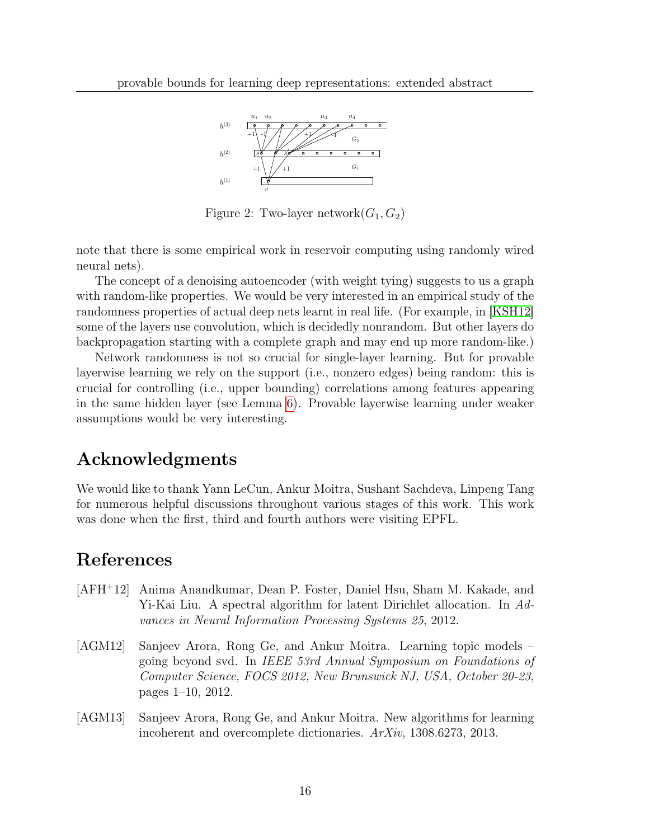

<span id="page-15-3"></span>Figure 2: Two-layer network $(G_1, G_2)$ 

note that there is some empirical work in reservoir computing using randomly wired neural nets).

The concept of a denoising autoencoder (with weight tying) suggests to us a graph with random-like properties. We would be very interested in an empirical study of the randomness properties of actual deep nets learnt in real life. (For example, in [\[KSH12\]](#page-16-5) some of the layers use convolution, which is decidedly nonrandom. But other layers do backpropagation starting with a complete graph and may end up more random-like.)

Network randomness is not so crucial for single-layer learning. But for provable layerwise learning we rely on the support (i.e., nonzero edges) being random: this is crucial for controlling (i.e., upper bounding) correlations among features appearing in the same hidden layer (see Lemma [6\)](#page-10-0). Provable layerwise learning under weaker assumptions would be very interesting.

# Acknowledgments

We would like to thank Yann LeCun, Ankur Moitra, Sushant Sachdeva, Linpeng Tang for numerous helpful discussions throughout various stages of this work. This work was done when the first, third and fourth authors were visiting EPFL.

### References

- <span id="page-15-1"></span>[AFH<sup>+</sup>12] Anima Anandkumar, Dean P. Foster, Daniel Hsu, Sham M. Kakade, and Yi-Kai Liu. A spectral algorithm for latent Dirichlet allocation. In Advances in Neural Information Processing Systems 25, 2012.
- <span id="page-15-0"></span>[AGM12] Sanjeev Arora, Rong Ge, and Ankur Moitra. Learning topic models – going beyond svd. In IEEE 53rd Annual Symposium on Foundations of Computer Science, FOCS 2012, New Brunswick NJ, USA, October 20-23, pages 1–10, 2012.
- <span id="page-15-2"></span>[AGM13] Sanjeev Arora, Rong Ge, and Ankur Moitra. New algorithms for learning incoherent and overcomplete dictionaries. ArXiv, 1308.6273, 2013.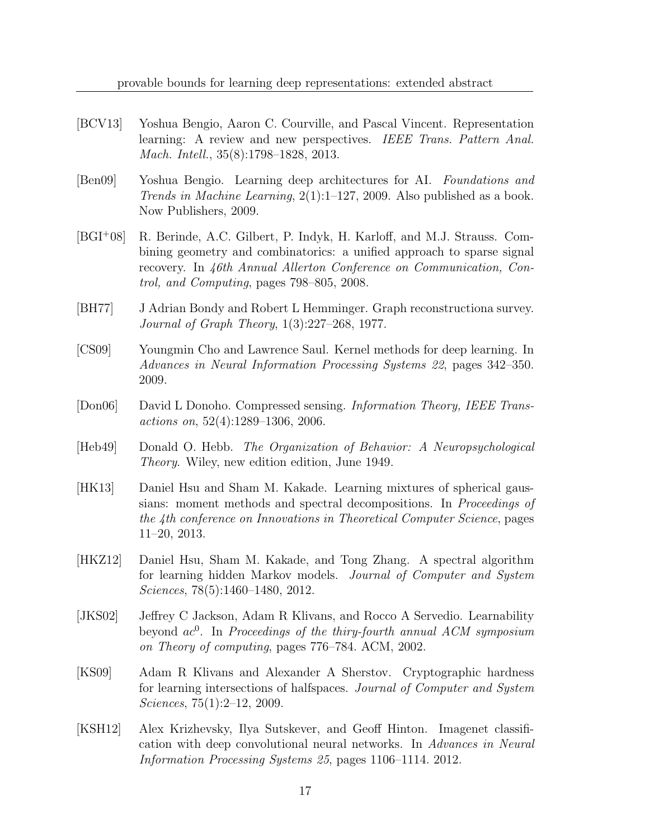- <span id="page-16-11"></span>[BCV13] Yoshua Bengio, Aaron C. Courville, and Pascal Vincent. Representation learning: A review and new perspectives. IEEE Trans. Pattern Anal. Mach. Intell., 35(8):1798–1828, 2013.
- <span id="page-16-4"></span>[Ben09] Yoshua Bengio. Learning deep architectures for AI. Foundations and Trends in Machine Learning, 2(1):1–127, 2009. Also published as a book. Now Publishers, 2009.
- <span id="page-16-8"></span>[BGI<sup>+</sup>08] R. Berinde, A.C. Gilbert, P. Indyk, H. Karloff, and M.J. Strauss. Combining geometry and combinatorics: a unified approach to sparse signal recovery. In 46th Annual Allerton Conference on Communication, Control, and Computing, pages 798–805, 2008.
- <span id="page-16-10"></span>[BH77] J Adrian Bondy and Robert L Hemminger. Graph reconstructiona survey. Journal of Graph Theory, 1(3):227–268, 1977.
- <span id="page-16-6"></span>[CS09] Youngmin Cho and Lawrence Saul. Kernel methods for deep learning. In Advances in Neural Information Processing Systems 22, pages 342–350. 2009.
- <span id="page-16-7"></span>[Don06] David L Donoho. Compressed sensing. Information Theory, IEEE Transactions on, 52(4):1289–1306, 2006.
- <span id="page-16-9"></span>[Heb49] Donald O. Hebb. The Organization of Behavior: A Neuropsychological Theory. Wiley, new edition edition, June 1949.
- <span id="page-16-1"></span>[HK13] Daniel Hsu and Sham M. Kakade. Learning mixtures of spherical gaussians: moment methods and spectral decompositions. In Proceedings of the 4th conference on Innovations in Theoretical Computer Science, pages 11–20, 2013.
- <span id="page-16-0"></span>[HKZ12] Daniel Hsu, Sham M. Kakade, and Tong Zhang. A spectral algorithm for learning hidden Markov models. Journal of Computer and System Sciences, 78(5):1460–1480, 2012.
- <span id="page-16-2"></span>[JKS02] Jeffrey C Jackson, Adam R Klivans, and Rocco A Servedio. Learnability beyond  $ac^0$ . In Proceedings of the thiry-fourth annual ACM symposium on Theory of computing, pages 776–784. ACM, 2002.
- <span id="page-16-3"></span>[KS09] Adam R Klivans and Alexander A Sherstov. Cryptographic hardness for learning intersections of halfspaces. Journal of Computer and System Sciences, 75(1):2–12, 2009.
- <span id="page-16-5"></span>[KSH12] Alex Krizhevsky, Ilya Sutskever, and Geoff Hinton. Imagenet classification with deep convolutional neural networks. In Advances in Neural Information Processing Systems 25, pages 1106–1114. 2012.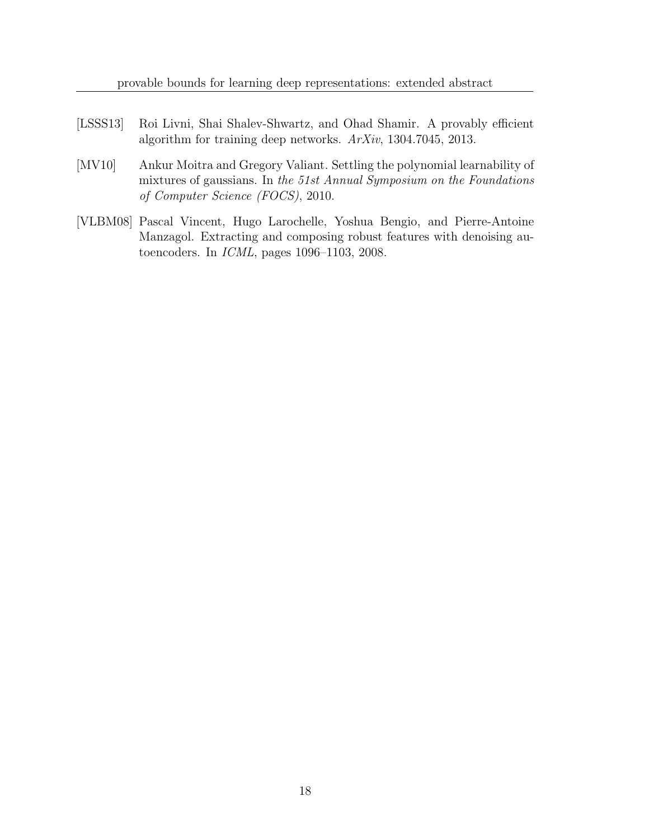- <span id="page-17-2"></span>[LSSS13] Roi Livni, Shai Shalev-Shwartz, and Ohad Shamir. A provably efficient algorithm for training deep networks. ArXiv, 1304.7045, 2013.
- <span id="page-17-0"></span>[MV10] Ankur Moitra and Gregory Valiant. Settling the polynomial learnability of mixtures of gaussians. In the 51st Annual Symposium on the Foundations of Computer Science (FOCS), 2010.
- <span id="page-17-1"></span>[VLBM08] Pascal Vincent, Hugo Larochelle, Yoshua Bengio, and Pierre-Antoine Manzagol. Extracting and composing robust features with denoising autoencoders. In ICML, pages 1096–1103, 2008.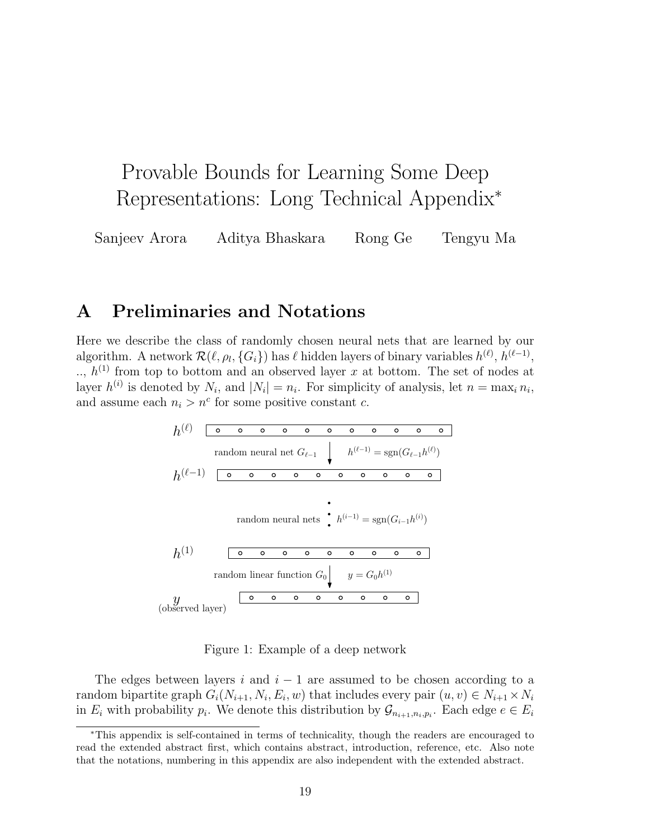# Provable Bounds for Learning Some Deep Representations: Long Technical Appendix<sup>∗</sup>

Sanjeev Arora Aditya Bhaskara Rong Ge Tengyu Ma

# A Preliminaries and Notations

Here we describe the class of randomly chosen neural nets that are learned by our algorithm. A network  $\mathcal{R}(\ell, \rho_l, \{G_i\})$  has  $\ell$  hidden layers of binary variables  $h^{(\ell)}, h^{(\ell-1)},$  $\ldots$ ,  $h^{(1)}$  from top to bottom and an observed layer x at bottom. The set of nodes at layer  $h^{(i)}$  is denoted by  $N_i$ , and  $|N_i| = n_i$ . For simplicity of analysis, let  $n = \max_i n_i$ , and assume each  $n_i > n^c$  for some positive constant c.

(`) h (`−1) = sgn(G`−<sup>1</sup>h (`)) random neural net G`−<sup>1</sup> h (`−1) h (i−1) = sgn(G<sup>i</sup>−<sup>1</sup>h (i)) random neural nets h (1) h (1) random linear function G<sup>0</sup> y = G0h y (observed layer)

Figure 1: Example of a deep network

The edges between layers i and  $i - 1$  are assumed to be chosen according to a random bipartite graph  $G_i(N_{i+1}, N_i, E_i, w)$  that includes every pair  $(u, v) \in N_{i+1} \times N_i$ in  $E_i$  with probability  $p_i$ . We denote this distribution by  $\mathcal{G}_{n_{i+1},n_i,p_i}$ . Each edge  $e \in E_i$ 

<sup>∗</sup>This appendix is self-contained in terms of technicality, though the readers are encouraged to read the extended abstract first, which contains abstract, introduction, reference, etc. Also note that the notations, numbering in this appendix are also independent with the extended abstract.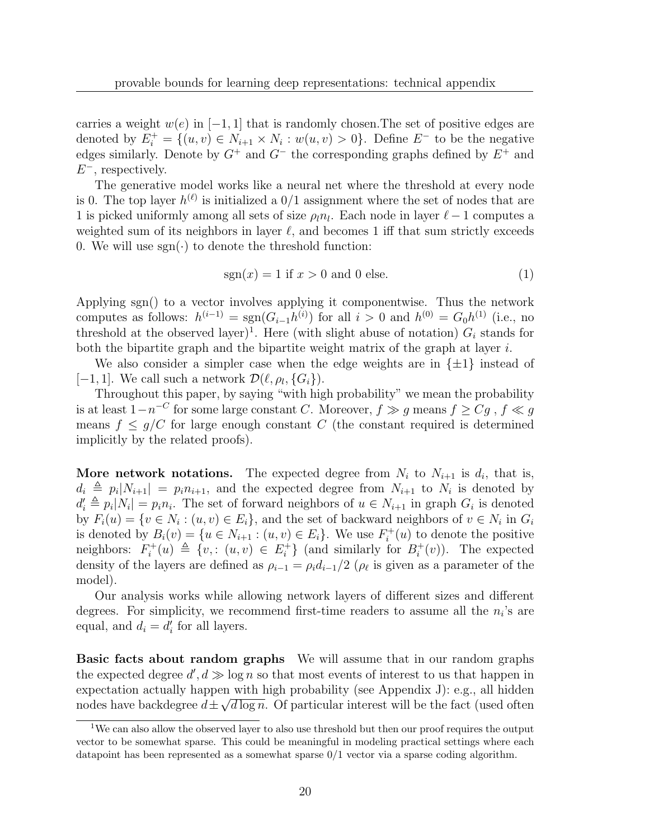carries a weight  $w(e)$  in  $[-1, 1]$  that is randomly chosen. The set of positive edges are denoted by  $E_i^+ = \{(u, v) \in N_{i+1} \times N_i : w(u, v) > 0\}$ . Define  $E^-$  to be the negative edges similarly. Denote by  $G^+$  and  $G^-$  the corresponding graphs defined by  $E^+$  and  $E^-$ , respectively.

The generative model works like a neural net where the threshold at every node is 0. The top layer  $h^{(\ell)}$  is initialized a  $0/1$  assignment where the set of nodes that are 1 is picked uniformly among all sets of size  $\rho_l n_l$ . Each node in layer  $\ell - 1$  computes a weighted sum of its neighbors in layer  $\ell$ , and becomes 1 iff that sum strictly exceeds 0. We will use  $sgn(\cdot)$  to denote the threshold function:

$$
sgn(x) = 1 \text{ if } x > 0 \text{ and } 0 \text{ else.}
$$
 (1)

Applying sgn() to a vector involves applying it componentwise. Thus the network computes as follows:  $h^{(i-1)} = \text{sgn}(G_{i-1}h^{(i)})$  for all  $i > 0$  and  $h^{(0)} = G_0h^{(1)}$  (i.e., no threshold at the observed layer)<sup>1</sup>. Here (with slight abuse of notation)  $G_i$  stands for both the bipartite graph and the bipartite weight matrix of the graph at layer  $i$ .

We also consider a simpler case when the edge weights are in  $\{\pm 1\}$  instead of [-1,1]. We call such a network  $\mathcal{D}(\ell, \rho_l, \{G_i\})$ .

Throughout this paper, by saying "with high probability" we mean the probability is at least  $1-n^{-C}$  for some large constant C. Moreover,  $f \gg g$  means  $f \geq Cg$ ,  $f \ll g$ means  $f \leq g/C$  for large enough constant C (the constant required is determined implicitly by the related proofs).

**More network notations.** The expected degree from  $N_i$  to  $N_{i+1}$  is  $d_i$ , that is,  $d_i \triangleq p_i |N_{i+1}| = p_i n_{i+1}$ , and the expected degree from  $N_{i+1}$  to  $N_i$  is denoted by  $d'_i \triangleq p_i|N_i| = p_i n_i$ . The set of forward neighbors of  $u \in N_{i+1}$  in graph  $G_i$  is denoted by  $F_i(u) = \{v \in N_i : (u, v) \in E_i\}$ , and the set of backward neighbors of  $v \in N_i$  in  $G_i$ is denoted by  $B_i(v) = \{u \in N_{i+1} : (u, v) \in E_i\}$ . We use  $F_i^+$  $i^+(u)$  to denote the positive neighbors:  $F_i^+$  $i^+(u) \triangleq \{v, : (u, v) \in E_i^+$  $\{a_i^+\}$  (and similarly for  $B_i^+$  $i^+(v)$ ). The expected density of the layers are defined as  $\rho_{i-1} = \rho_i d_{i-1}/2$  ( $\rho_{\ell}$  is given as a parameter of the model).

Our analysis works while allowing network layers of different sizes and different degrees. For simplicity, we recommend first-time readers to assume all the  $n_i$ 's are equal, and  $d_i = d'_i$  for all layers.

Basic facts about random graphs We will assume that in our random graphs the expected degree  $d', d \gg \log n$  so that most events of interest to us that happen in expectation actually happen with high probability (see Appendix J): e.g., all hidden nodes have backdegree  $d \pm \sqrt{d \log n}$ . Of particular interest will be the fact (used often

<sup>&</sup>lt;sup>1</sup>We can also allow the observed layer to also use threshold but then our proof requires the output vector to be somewhat sparse. This could be meaningful in modeling practical settings where each datapoint has been represented as a somewhat sparse 0/1 vector via a sparse coding algorithm.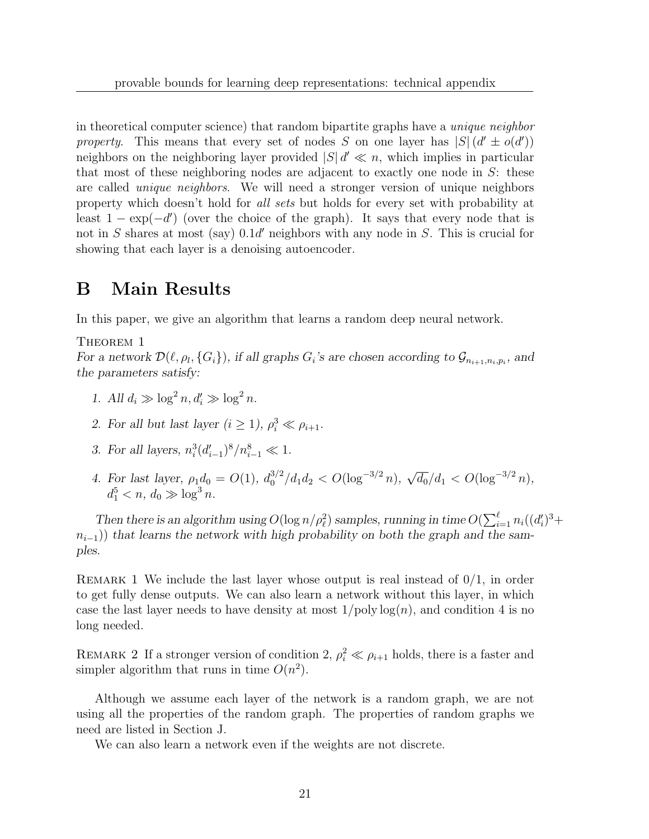in theoretical computer science) that random bipartite graphs have a *unique neighbor* property. This means that every set of nodes S on one layer has  $|S|$   $(d' \pm o(d'))$ neighbors on the neighboring layer provided  $|S| d' \ll n$ , which implies in particular that most of these neighboring nodes are adjacent to exactly one node in  $S$ : these are called unique neighbors. We will need a stronger version of unique neighbors property which doesn't hold for all sets but holds for every set with probability at least  $1 - \exp(-d')$  (over the choice of the graph). It says that every node that is not in S shares at most (say)  $0.1d'$  neighbors with any node in S. This is crucial for showing that each layer is a denoising autoencoder.

### B Main Results

In this paper, we give an algorithm that learns a random deep neural network.

THEOREM 1

For a network  $\mathcal{D}(\ell, \rho_l, \{G_i\})$ , if all graphs  $G_i$ 's are chosen according to  $\mathcal{G}_{n_{i+1}, n_i, p_i}$ , and the parameters satisfy:

- 1. All  $d_i \gg \log^2 n, d'_i \gg \log^2 n$ .
- 2. For all but last layer  $(i \geq 1)$ ,  $\rho_i^3 \ll \rho_{i+1}$ .
- 3. For all layers,  $n_i^3 (d'_{i-1})^8 / n_{i-1}^8 \ll 1$ .
- 4. For last layer,  $\rho_1 d_0 = O(1)$ ,  $d_0^{3/2}$  $\frac{3}{2}d_0^{3/2}/d_1d_2 < O(\log^{-3/2} n), \sqrt{d_0}/d_1 < O(\log^{-3/2} n),$  $d_1^5 < n, d_0 \gg \log^3 n.$

Then there is an algorithm using  $O(\log n/\rho_\ell^2)$  samples, running in time  $O(\sum_{i=1}^\ell n_i((d_i')^3 +$  $n_{i-1}$ )) that learns the network with high probability on both the graph and the samples.

REMARK 1 We include the last layer whose output is real instead of  $0/1$ , in order to get fully dense outputs. We can also learn a network without this layer, in which case the last layer needs to have density at most  $1/poly log(n)$ , and condition 4 is no long needed.

REMARK 2 If a stronger version of condition 2,  $\rho_i^2 \ll \rho_{i+1}$  holds, there is a faster and simpler algorithm that runs in time  $O(n^2)$ .

Although we assume each layer of the network is a random graph, we are not using all the properties of the random graph. The properties of random graphs we need are listed in Section J.

We can also learn a network even if the weights are not discrete.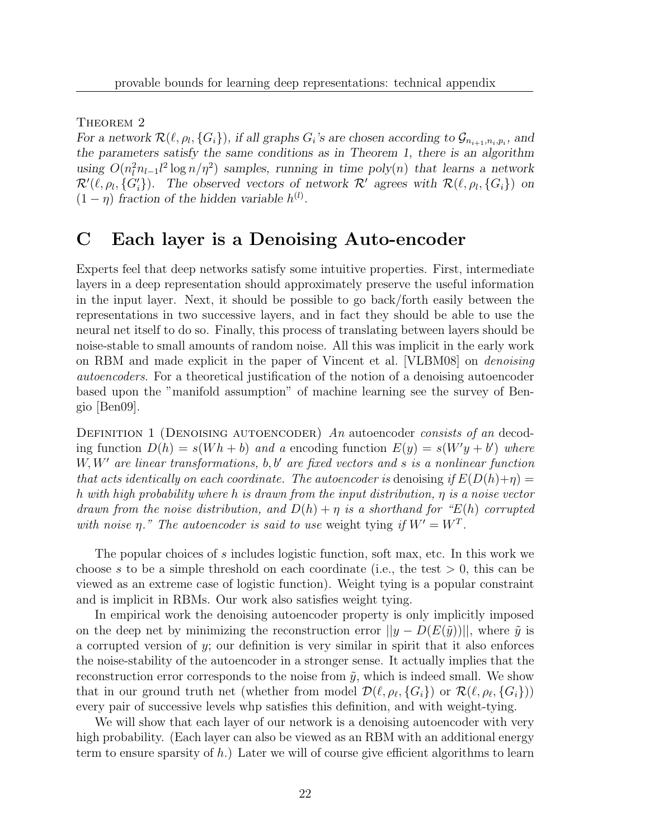THEOREM 2

For a network  $\mathcal{R}(\ell, \rho_l, \{G_i\})$ , if all graphs  $G_i$ 's are chosen according to  $\mathcal{G}_{n_{i+1}, n_i, p_i}$ , and the parameters satisfy the same conditions as in Theorem 1, there is an algorithm using  $O(n_l^2 n_{l-1} l^2 \log n / \eta^2)$  samples, running in time poly $(n)$  that learns a network  $\mathcal{R}'(\ell, \rho_l, \{G'_i\})$ . The observed vectors of network  $\mathcal{R}'$  agrees with  $\mathcal{R}(\ell, \rho_l, \{G_i\})$  on  $(1 - \eta)$  fraction of the hidden variable  $h^{(l)}$ .

# C Each layer is a Denoising Auto-encoder

Experts feel that deep networks satisfy some intuitive properties. First, intermediate layers in a deep representation should approximately preserve the useful information in the input layer. Next, it should be possible to go back/forth easily between the representations in two successive layers, and in fact they should be able to use the neural net itself to do so. Finally, this process of translating between layers should be noise-stable to small amounts of random noise. All this was implicit in the early work on RBM and made explicit in the paper of Vincent et al. [VLBM08] on *denoising* autoencoders. For a theoretical justification of the notion of a denoising autoencoder based upon the "manifold assumption" of machine learning see the survey of Bengio [Ben09].

DEFINITION 1 (DENOISING AUTOENCODER) An autoencoder consists of an decoding function  $D(h) = s(Wh + b)$  and a encoding function  $E(y) = s(W'y + b')$  where  $W, W'$  are linear transformations, b, b' are fixed vectors and s is a nonlinear function that acts identically on each coordinate. The autoencoder is denoising if  $E(D(h)+\eta)$ h with high probability where h is drawn from the input distribution, η is a noise vector drawn from the noise distribution, and  $D(h) + \eta$  is a shorthand for "E(h) corrupted with noise  $\eta$ ." The autoencoder is said to use weight tying if  $W' = W^T$ .

The popular choices of s includes logistic function, soft max, etc. In this work we choose s to be a simple threshold on each coordinate (i.e., the test  $> 0$ , this can be viewed as an extreme case of logistic function). Weight tying is a popular constraint and is implicit in RBMs. Our work also satisfies weight tying.

In empirical work the denoising autoencoder property is only implicitly imposed on the deep net by minimizing the reconstruction error  $||y - D(E(\tilde{y}))||$ , where  $\tilde{y}$  is a corrupted version of  $y$ ; our definition is very similar in spirit that it also enforces the noise-stability of the autoencoder in a stronger sense. It actually implies that the reconstruction error corresponds to the noise from  $\tilde{y}$ , which is indeed small. We show that in our ground truth net (whether from model  $\mathcal{D}(\ell, \rho_\ell, \{G_i\})$  or  $\mathcal{R}(\ell, \rho_\ell, \{G_i\})$ ) every pair of successive levels whp satisfies this definition, and with weight-tying.

We will show that each layer of our network is a denoising autoencoder with very high probability. (Each layer can also be viewed as an RBM with an additional energy term to ensure sparsity of  $h$ .) Later we will of course give efficient algorithms to learn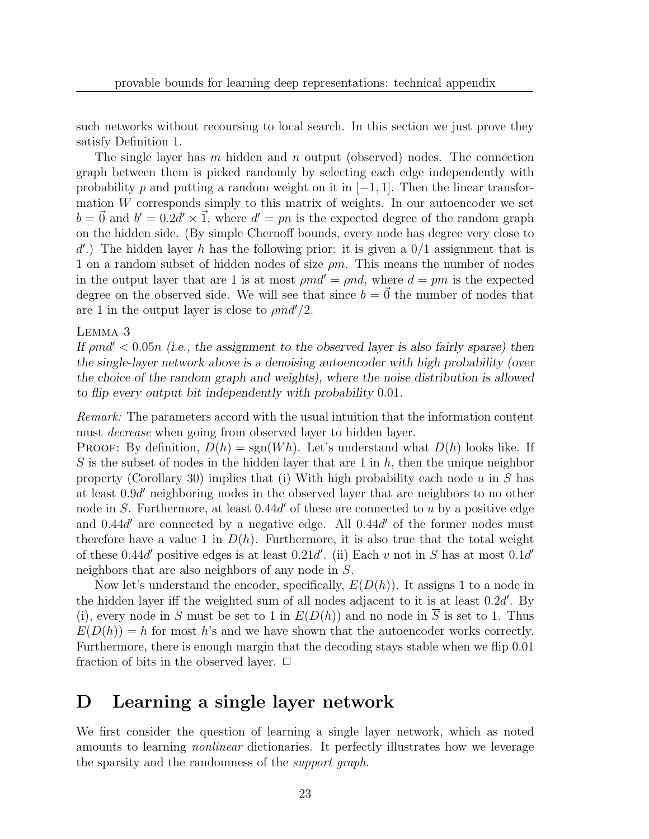such networks without recoursing to local search. In this section we just prove they satisfy Definition 1.

The single layer has m hidden and n output (observed) nodes. The connection graph between them is picked randomly by selecting each edge independently with probability p and putting a random weight on it in  $[-1, 1]$ . Then the linear transformation  $W$  corresponds simply to this matrix of weights. In our autoencoder we set  $b = \vec{0}$  and  $b' = 0.2d' \times \vec{1}$ , where  $d' = pn$  is the expected degree of the random graph on the hidden side. (By simple Chernoff bounds, every node has degree very close to  $d'.$ ) The hidden layer h has the following prior: it is given a  $0/1$  assignment that is 1 on a random subset of hidden nodes of size  $\rho m$ . This means the number of nodes in the output layer that are 1 is at most  $\rho md' = \rho nd$ , where  $d = pm$  is the expected degree on the observed side. We will see that since  $b = \vec{0}$  the number of nodes that are 1 in the output layer is close to  $\rho m d'/2$ .

#### Lemma 3

If  $\rho m d' < 0.05n$  (i.e., the assignment to the observed layer is also fairly sparse) then the single-layer network above is a denoising autoencoder with high probability (over the choice of the random graph and weights), where the noise distribution is allowed to flip every output bit independently with probability 0.01.

Remark: The parameters accord with the usual intuition that the information content must *decrease* when going from observed layer to hidden layer.

**PROOF:** By definition,  $D(h) = \text{sgn}(Wh)$ . Let's understand what  $D(h)$  looks like. If S is the subset of nodes in the hidden layer that are 1 in  $h$ , then the unique neighbor property (Corollary 30) implies that (i) With high probability each node u in S has at least 0.9d <sup>0</sup> neighboring nodes in the observed layer that are neighbors to no other node in S. Furthermore, at least  $0.44d'$  of these are connected to u by a positive edge and  $0.44d'$  are connected by a negative edge. All  $0.44d'$  of the former nodes must therefore have a value 1 in  $D(h)$ . Furthermore, it is also true that the total weight of these 0.44d' positive edges is at least 0.21d'. (ii) Each v not in S has at most  $0.1d'$ neighbors that are also neighbors of any node in S.

Now let's understand the encoder, specifically,  $E(D(h))$ . It assigns 1 to a node in the hidden layer iff the weighted sum of all nodes adjacent to it is at least  $0.2d'$ . By (i), every node in S must be set to 1 in  $E(D(h))$  and no node in  $\overline{S}$  is set to 1. Thus  $E(D(h)) = h$  for most h's and we have shown that the autoencoder works correctly. Furthermore, there is enough margin that the decoding stays stable when we flip 0.01 fraction of bits in the observed layer.  $\Box$ 

### D Learning a single layer network

We first consider the question of learning a single layer network, which as noted amounts to learning nonlinear dictionaries. It perfectly illustrates how we leverage the sparsity and the randomness of the support graph.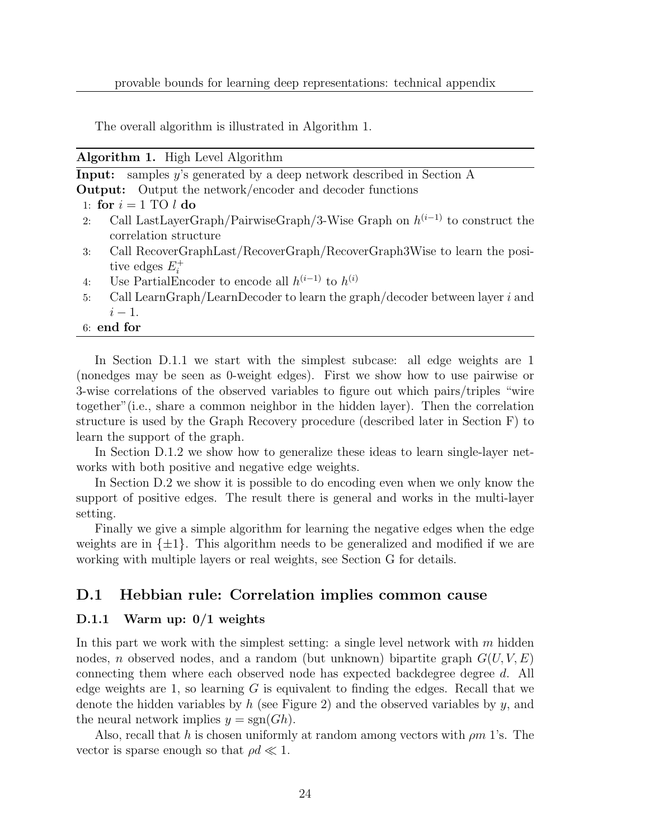The overall algorithm is illustrated in Algorithm 1.

| Algorithm 1. |  | High Level Algorithm |
|--------------|--|----------------------|
|--------------|--|----------------------|

|    | <b>Input:</b> samples y's generated by a deep network described in Section $A$ |
|----|--------------------------------------------------------------------------------|
|    | <b>Output:</b> Output the network/encoder and decoder functions                |
|    | 1: for $i = 1$ TO l do                                                         |
| 2: | Call LastLayerGraph/PairwiseGraph/3-Wise Graph on $h^{(i-1)}$ to construct the |
|    | correlation structure                                                          |
| 3: | Call RecoverGraphLast/RecoverGraph/RecoverGraph3Wise to learn the posi-        |
|    | tive edges $E_i^+$                                                             |
| 4: | Use PartialEncoder to encode all $h^{(i-1)}$ to $h^{(i)}$                      |
| 5: | Call LearnGraph/LearnDecoder to learn the graph/decoder between layer i and    |

- $i-1$ .
- 6: end for

In Section D.1.1 we start with the simplest subcase: all edge weights are 1 (nonedges may be seen as 0-weight edges). First we show how to use pairwise or 3-wise correlations of the observed variables to figure out which pairs/triples "wire together"(i.e., share a common neighbor in the hidden layer). Then the correlation structure is used by the Graph Recovery procedure (described later in Section F) to learn the support of the graph.

In Section D.1.2 we show how to generalize these ideas to learn single-layer networks with both positive and negative edge weights.

In Section D.2 we show it is possible to do encoding even when we only know the support of positive edges. The result there is general and works in the multi-layer setting.

Finally we give a simple algorithm for learning the negative edges when the edge weights are in  $\{\pm 1\}$ . This algorithm needs to be generalized and modified if we are working with multiple layers or real weights, see Section G for details.

### D.1 Hebbian rule: Correlation implies common cause

### D.1.1 Warm up: 0/1 weights

In this part we work with the simplest setting: a single level network with  $m$  hidden nodes, n observed nodes, and a random (but unknown) bipartite graph  $G(U, V, E)$ connecting them where each observed node has expected backdegree degree d. All edge weights are 1, so learning  $G$  is equivalent to finding the edges. Recall that we denote the hidden variables by h (see Figure 2) and the observed variables by y, and the neural network implies  $y = sgn(Gh)$ .

Also, recall that h is chosen uniformly at random among vectors with  $\rho m$  1's. The vector is sparse enough so that  $\rho d \ll 1$ .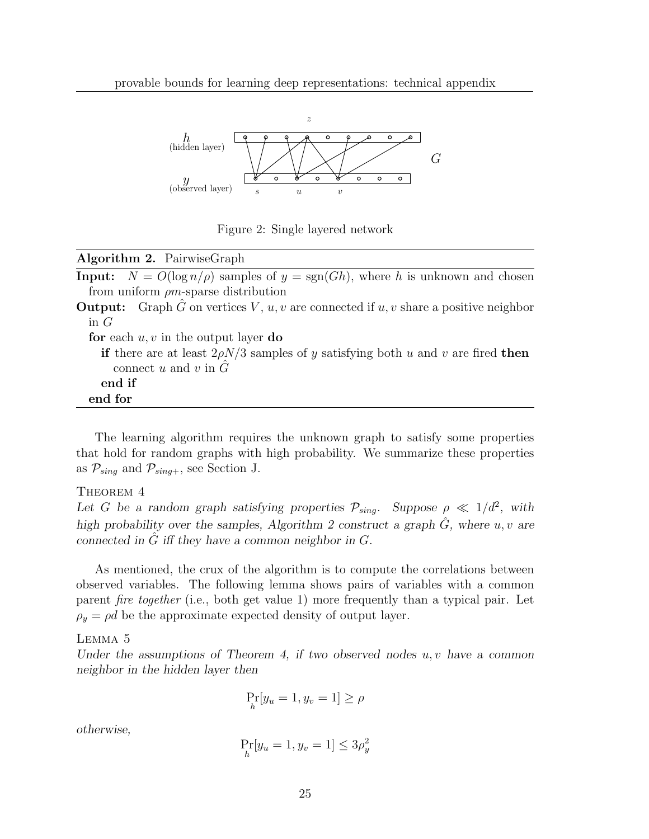

Figure 2: Single layered network

| Algorithm 2. PairwiseGraph                                                                               |
|----------------------------------------------------------------------------------------------------------|
| <b>Input:</b> $N = O(\log n/\rho)$ samples of $y = sgn(Gh)$ , where h is unknown and chosen              |
| from uniform $\rho m$ -sparse distribution                                                               |
| <b>Output:</b> Graph $\tilde{G}$ on vertices $V, u, v$ are connected if $u, v$ share a positive neighbor |
| in $G$                                                                                                   |
| for each $u, v$ in the output layer do                                                                   |
| if there are at least $2\rho N/3$ samples of y satisfying both u and v are fired then                    |
| connect u and v in $\tilde{G}$                                                                           |
| end if                                                                                                   |
| end for                                                                                                  |

The learning algorithm requires the unknown graph to satisfy some properties that hold for random graphs with high probability. We summarize these properties as  $\mathcal{P}_{sing}$  and  $\mathcal{P}_{sing+}$ , see Section J.

THEOREM 4

Let G be a random graph satisfying properties  $\mathcal{P}_{sing}$ . Suppose  $\rho \ll 1/d^2$ , with high probability over the samples, Algorithm 2 construct a graph  $\hat{G}$ , where u, v are connected in  $\tilde{G}$  iff they have a common neighbor in  $G$ .

As mentioned, the crux of the algorithm is to compute the correlations between observed variables. The following lemma shows pairs of variables with a common parent fire together (i.e., both get value 1) more frequently than a typical pair. Let  $\rho_y = \rho d$  be the approximate expected density of output layer.

#### Lemma 5

Under the assumptions of Theorem 4, if two observed nodes  $u, v$  have a common neighbor in the hidden layer then

$$
\Pr_h[y_u = 1, y_v = 1] \ge \rho
$$

otherwise,

$$
\Pr_{h}[y_u = 1, y_v = 1] \le 3\rho_y^2
$$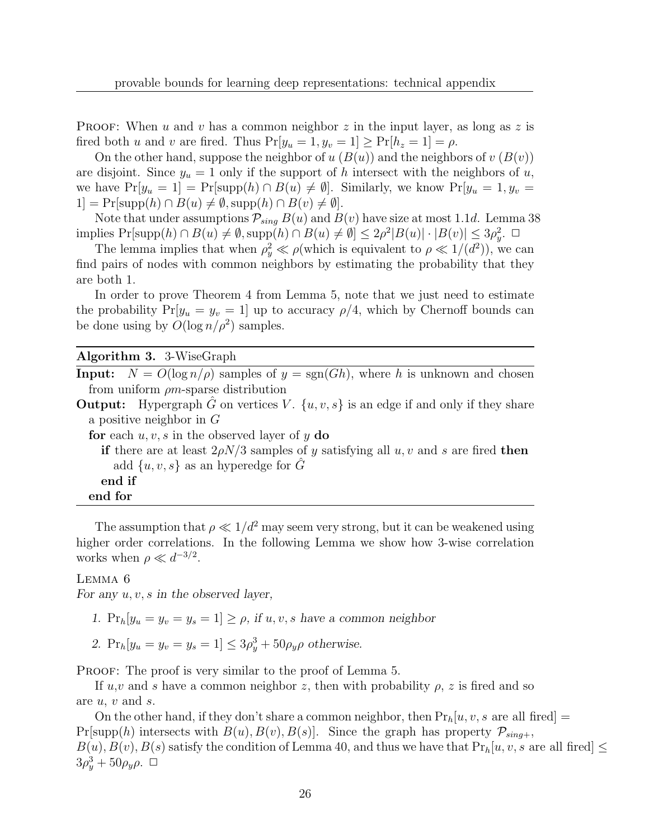**PROOF:** When u and v has a common neighbor z in the input layer, as long as z is fired both u and v are fired. Thus  $Pr[y_u = 1, y_v = 1] \ge Pr[h_z = 1] = \rho$ .

On the other hand, suppose the neighbor of  $u(B(u))$  and the neighbors of  $v(B(v))$ are disjoint. Since  $y_u = 1$  only if the support of h intersect with the neighbors of u, we have  $Pr[y_u = 1] = Pr[supp(h) \cap B(u) \neq \emptyset]$ . Similarly, we know  $Pr[y_u = 1, y_v =$  $1] = Pr[supp(h) \cap B(u) \neq \emptyset, supp(h) \cap B(v) \neq \emptyset].$ 

Note that under assumptions  $\mathcal{P}_{sing} B(u)$  and  $B(v)$  have size at most 1.1d. Lemma 38 implies  $Pr[\text{supp}(h) \cap B(u) \neq \emptyset, \text{supp}(h) \cap B(u) \neq \emptyset] \leq 2\rho^2|B(u)| \cdot |B(v)| \leq 3\rho_y^2$ .

The lemma implies that when  $\rho_y^2 \ll \rho(\text{which is equivalent to } \rho \ll 1/(d^2))$ , we can find pairs of nodes with common neighbors by estimating the probability that they are both 1.

In order to prove Theorem 4 from Lemma 5, note that we just need to estimate the probability  $Pr[y_u = y_v = 1]$  up to accuracy  $\rho/4$ , which by Chernoff bounds can be done using by  $O(\log n/\rho^2)$  samples.

### Algorithm 3. 3-WiseGraph

**Input:**  $N = O(\log n/\rho)$  samples of  $y = sgn(Gh)$ , where h is unknown and chosen from uniform  $\rho$ m-sparse distribution

**Output:** Hypergraph G on vertices V.  $\{u, v, s\}$  is an edge if and only if they share a positive neighbor in G

for each  $u, v, s$  in the observed layer of y do

if there are at least  $2\rho N/3$  samples of y satisfying all  $u, v$  and s are fired then add  $\{u, v, s\}$  as an hyperedge for  $\tilde{G}$ 

end if end for

The assumption that  $\rho \ll 1/d^2$  may seem very strong, but it can be weakened using higher order correlations. In the following Lemma we show how 3-wise correlation works when  $\rho \ll d^{-3/2}$ .

### Lemma 6

For any  $u, v, s$  in the observed layer,

- 1.  $Pr_h[y_u = y_v = y_s = 1] > \rho$ , if u, v, s have a common neighbor
- 2.  $Pr_h[y_u = y_v = y_s = 1] \le 3\rho_y^3 + 50\rho_y\rho$  otherwise.

PROOF: The proof is very similar to the proof of Lemma 5.

If  $u, v$  and s have a common neighbor z, then with probability  $\rho$ , z is fired and so are u, v and s.

On the other hand, if they don't share a common neighbor, then  $Pr_h[u, v, s]$  are all fired = Pr[supp(h) intersects with  $B(u), B(v), B(s)$ ]. Since the graph has property  $\mathcal{P}_{sing+}$ ,  $B(u), B(v), B(s)$  satisfy the condition of Lemma 40, and thus we have that  $Pr_h[u, v, s]$  are all fired  $\leq$  $3\rho_y^3 + 50\rho_y\rho$ .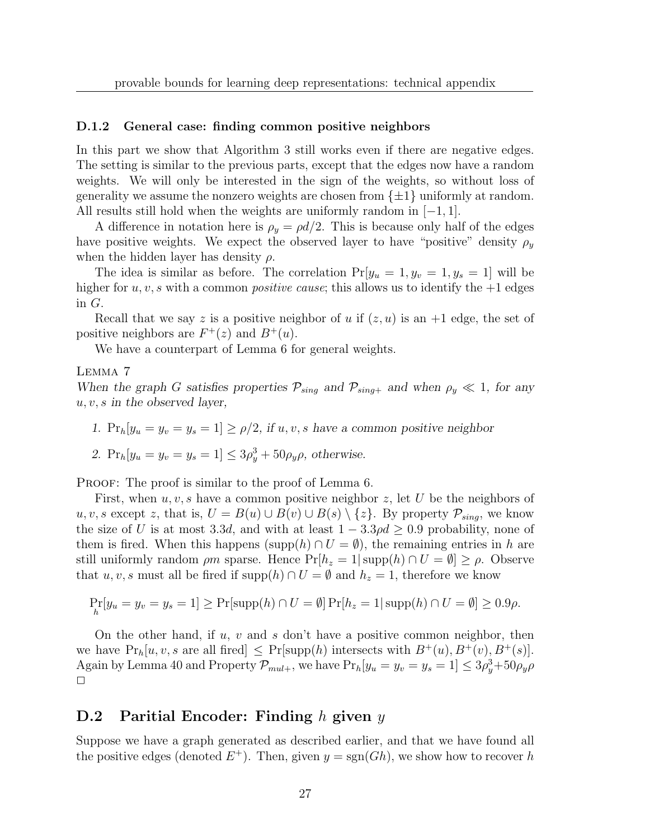#### D.1.2 General case: finding common positive neighbors

In this part we show that Algorithm 3 still works even if there are negative edges. The setting is similar to the previous parts, except that the edges now have a random weights. We will only be interested in the sign of the weights, so without loss of generality we assume the nonzero weights are chosen from  $\{\pm 1\}$  uniformly at random. All results still hold when the weights are uniformly random in  $[-1, 1]$ .

A difference in notation here is  $\rho_y = \rho d/2$ . This is because only half of the edges have positive weights. We expect the observed layer to have "positive" density  $\rho_y$ when the hidden layer has density  $\rho$ .

The idea is similar as before. The correlation  $Pr[y_u = 1, y_v = 1, y_s = 1]$  will be higher for  $u, v, s$  with a common *positive cause*; this allows us to identify the  $+1$  edges in G.

Recall that we say z is a positive neighbor of u if  $(z, u)$  is an  $+1$  edge, the set of positive neighbors are  $F^+(z)$  and  $B^+(u)$ .

We have a counterpart of Lemma 6 for general weights.

### Lemma 7

When the graph G satisfies properties  $\mathcal{P}_{sing}$  and  $\mathcal{P}_{sing+}$  and when  $\rho_y \ll 1$ , for any  $u, v, s$  in the observed layer,

1.  $Pr_h[y_u = y_v = y_s = 1] \ge \rho/2$ , if  $u, v, s$  have a common positive neighbor

2. 
$$
Pr_h[y_u = y_v = y_s = 1] \le 3\rho_y^3 + 50\rho_y\rho
$$
, otherwise.

PROOF: The proof is similar to the proof of Lemma 6.

First, when  $u, v, s$  have a common positive neighbor z, let U be the neighbors of u, v, s except z, that is,  $U = B(u) \cup B(v) \cup B(s) \setminus \{z\}$ . By property  $\mathcal{P}_{sing}$ , we know the size of U is at most 3.3d, and with at least  $1 - 3.3\rho d \geq 0.9$  probability, none of them is fired. When this happens (supp $(h) \cap U = \emptyset$ ), the remaining entries in h are still uniformly random  $\rho m$  sparse. Hence  $Pr[h_z = 1 | supp(h) \cap U = \emptyset] \ge \rho$ . Observe that u, v, s must all be fired if supp $(h) \cap U = \emptyset$  and  $h_z = 1$ , therefore we know

$$
\Pr_{h}[y_u = y_v = y_s = 1] \ge \Pr[\text{supp}(h) \cap U = \emptyset] \Pr[h_z = 1 | \text{supp}(h) \cap U = \emptyset] \ge 0.9\rho.
$$

On the other hand, if  $u, v$  and s don't have a positive common neighbor, then we have  $Pr_h[u, v, s \text{ are all fired}] \leq Pr[supp(h) \text{ intersects with } B^+(u), B^+(v), B^+(s)].$ Again by Lemma 40 and Property  $\mathcal{P}_{mult}$ , we have  $Pr_h[y_u = y_v = y_s = 1] \leq 3\rho_y^3 + 50\rho_y\rho$  $\Box$ 

### D.2 Paritial Encoder: Finding  $h$  given  $y$

Suppose we have a graph generated as described earlier, and that we have found all the positive edges (denoted  $E^+$ ). Then, given  $y = sgn(Gh)$ , we show how to recover h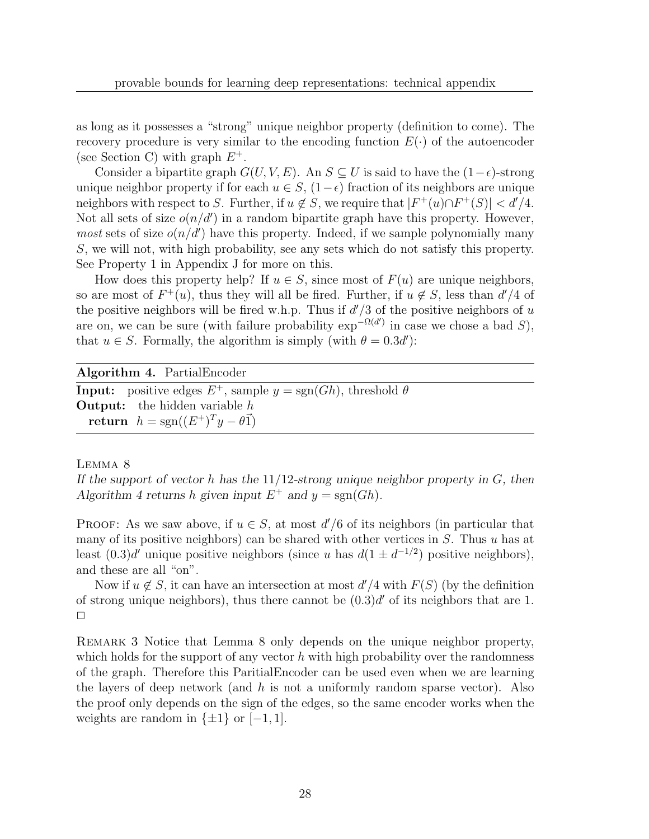as long as it possesses a "strong" unique neighbor property (definition to come). The recovery procedure is very similar to the encoding function  $E(\cdot)$  of the autoencoder (see Section C) with graph  $E^+$ .

Consider a bipartite graph  $G(U, V, E)$ . An  $S \subseteq U$  is said to have the  $(1 - \epsilon)$ -strong unique neighbor property if for each  $u \in S$ ,  $(1-\epsilon)$  fraction of its neighbors are unique neighbors with respect to S. Further, if  $u \notin S$ , we require that  $|F^+(u) \cap F^+(S)| < d'/4$ . Not all sets of size  $o(n/d')$  in a random bipartite graph have this property. However, *most* sets of size  $o(n/d')$  have this property. Indeed, if we sample polynomially many S, we will not, with high probability, see any sets which do not satisfy this property. See Property 1 in Appendix J for more on this.

How does this property help? If  $u \in S$ , since most of  $F(u)$  are unique neighbors, so are most of  $F^+(u)$ , thus they will all be fired. Further, if  $u \notin S$ , less than  $d'/4$  of the positive neighbors will be fired w.h.p. Thus if  $d'/3$  of the positive neighbors of u are on, we can be sure (with failure probability  $\exp^{-\Omega(d')}$  in case we chose a bad S), that  $u \in S$ . Formally, the algorithm is simply (with  $\theta = 0.3d'$ ):

### Algorithm 4. PartialEncoder

**Input:** positive edges  $E^+$ , sample  $y = \text{sgn}(Gh)$ , threshold  $\theta$ **Output:** the hidden variable  $h$ return  $h = sgn((E^+)^T y - \theta \vec{1})$ 

Lemma 8

If the support of vector h has the  $11/12$ -strong unique neighbor property in G, then Algorithm 4 returns h given input  $E^+$  and  $y = sgn(Gh)$ .

**PROOF:** As we saw above, if  $u \in S$ , at most  $d'/6$  of its neighbors (in particular that many of its positive neighbors) can be shared with other vertices in  $S$ . Thus  $u$  has at least  $(0.3)d'$  unique positive neighbors (since u has  $d(1 \pm d^{-1/2})$  positive neighbors), and these are all "on".

Now if  $u \notin S$ , it can have an intersection at most  $d'/4$  with  $F(S)$  (by the definition of strong unique neighbors), thus there cannot be  $(0.3)d'$  of its neighbors that are 1.  $\Box$ 

Remark 3 Notice that Lemma 8 only depends on the unique neighbor property, which holds for the support of any vector  $h$  with high probability over the randomness of the graph. Therefore this ParitialEncoder can be used even when we are learning the layers of deep network (and h is not a uniformly random sparse vector). Also the proof only depends on the sign of the edges, so the same encoder works when the weights are random in  $\{\pm 1\}$  or  $[-1, 1]$ .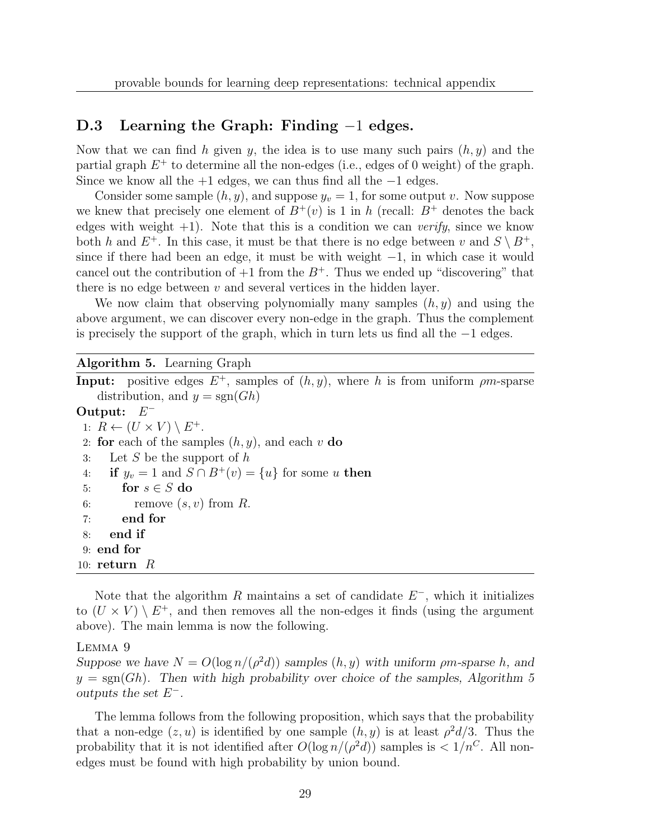### D.3 Learning the Graph: Finding −1 edges.

Now that we can find h given y, the idea is to use many such pairs  $(h, y)$  and the partial graph  $E^+$  to determine all the non-edges (i.e., edges of 0 weight) of the graph. Since we know all the  $+1$  edges, we can thus find all the  $-1$  edges.

Consider some sample  $(h, y)$ , and suppose  $y_v = 1$ , for some output v. Now suppose we knew that precisely one element of  $B^+(v)$  is 1 in h (recall:  $B^+$  denotes the back edges with weight  $+1$ ). Note that this is a condition we can *verify*, since we know both h and  $E^+$ . In this case, it must be that there is no edge between v and  $S \setminus B^+$ , since if there had been an edge, it must be with weight  $-1$ , in which case it would cancel out the contribution of  $+1$  from the  $B^+$ . Thus we ended up "discovering" that there is no edge between  $v$  and several vertices in the hidden layer.

We now claim that observing polynomially many samples  $(h, y)$  and using the above argument, we can discover every non-edge in the graph. Thus the complement is precisely the support of the graph, which in turn lets us find all the −1 edges.

#### Algorithm 5. Learning Graph

**Input:** positive edges  $E^+$ , samples of  $(h, y)$ , where h is from uniform  $\rho m$ -sparse distribution, and  $y = sgn(Gh)$ Output:  $E^-$ 1:  $R \leftarrow (U \times V) \setminus E^+.$ 2: for each of the samples  $(h, y)$ , and each v do 3: Let S be the support of  $h$ 4: **if**  $y_v = 1$  and  $S \cap B^+(v) = \{u\}$  for some u then<br>5: **for**  $s \in S$  **do** for  $s \in S$  do 6: remove  $(s, v)$  from  $R$ . 7: end for 8: end if 9: end for 10:  $return R$ 

Note that the algorithm R maintains a set of candidate  $E^-$ , which it initializes to  $(U \times V) \setminus E^+$ , and then removes all the non-edges it finds (using the argument above). The main lemma is now the following.

### Lemma 9

Suppose we have  $N = O(\log n/(\rho^2 d))$  samples  $(h, y)$  with uniform  $\rho m$ -sparse h, and  $y = sgn(Gh)$ . Then with high probability over choice of the samples, Algorithm 5 outputs the set  $E^-$ .

The lemma follows from the following proposition, which says that the probability that a non-edge  $(z, u)$  is identified by one sample  $(h, y)$  is at least  $\rho^2 d/3$ . Thus the probability that it is not identified after  $O(\log n/(\rho^2 d))$  samples is  $\langle 1/n^C$ . All nonedges must be found with high probability by union bound.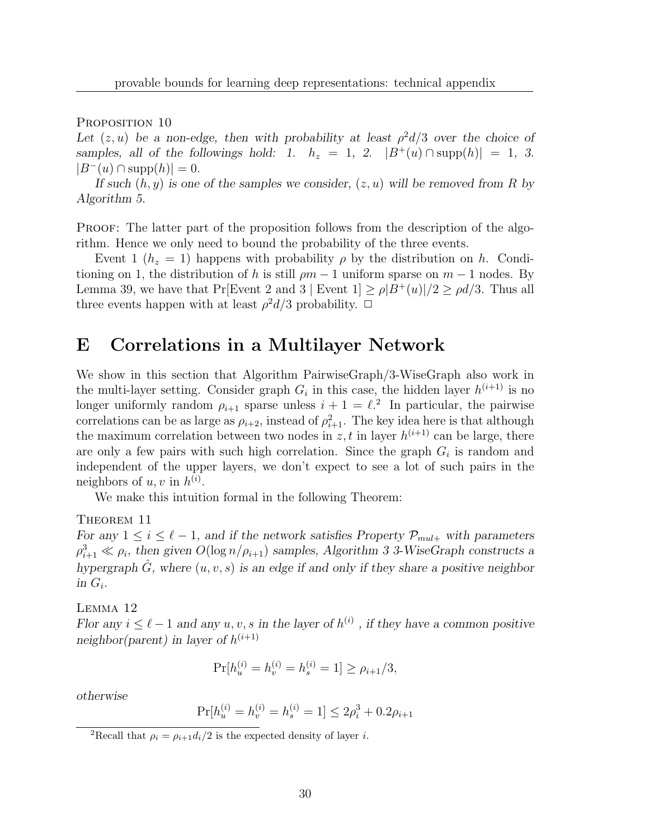PROPOSITION 10

Let  $(z, u)$  be a non-edge, then with probability at least  $\rho^2 d/3$  over the choice of samples, all of the followings hold: 1.  $h_z = 1$ , 2.  $|B^+(u) \cap \text{supp}(h)| = 1$ , 3.  $|B^-(u) \cap \text{supp}(h)| = 0.$ 

If such  $(h, y)$  is one of the samples we consider,  $(z, u)$  will be removed from R by Algorithm 5.

PROOF: The latter part of the proposition follows from the description of the algorithm. Hence we only need to bound the probability of the three events.

Event 1 ( $h_z = 1$ ) happens with probability  $\rho$  by the distribution on h. Conditioning on 1, the distribution of h is still  $\rho m - 1$  uniform sparse on  $m - 1$  nodes. By Lemma 39, we have that Pr[Event 2 and 3 | Event  $1 \geq \rho |B^+(u)|/2 \geq \rho d/3$ . Thus all three events happen with at least  $\rho^2 d/3$  probability.  $\Box$ 

# E Correlations in a Multilayer Network

We show in this section that Algorithm PairwiseGraph/3-WiseGraph also work in the multi-layer setting. Consider graph  $G_i$  in this case, the hidden layer  $h^{(i+1)}$  is no longer uniformly random  $\rho_{i+1}$  sparse unless  $i+1 = \ell^2$ . In particular, the pairwise correlations can be as large as  $\rho_{i+2}$ , instead of  $\rho_{i+1}^2$ . The key idea here is that although the maximum correlation between two nodes in z, t in layer  $h^{(i+1)}$  can be large, there are only a few pairs with such high correlation. Since the graph  $G_i$  is random and independent of the upper layers, we don't expect to see a lot of such pairs in the neighbors of  $u, v$  in  $h^{(i)}$ .

We make this intuition formal in the following Theorem:

### THEOREM 11

For any  $1 \leq i \leq \ell - 1$ , and if the network satisfies Property  $\mathcal{P}_{mul+}$  with parameters  $\rho_{i+1}^3 \ll \rho_i$ , then given  $O(\log n/\rho_{i+1})$  samples, Algorithm 3 3-WiseGraph constructs a hypergraph  $\hat{G}$ , where  $(u, v, s)$  is an edge if and only if they share a positive neighbor in  $G_i$ .

Lemma 12

Flor any  $i \leq \ell - 1$  and any  $u, v, s$  in the layer of  $h^{(i)}$ , if they have a common positive neighbor(parent) in layer of  $h^{(i+1)}$ 

$$
\Pr[h_u^{(i)} = h_v^{(i)} = h_s^{(i)} = 1] \ge \rho_{i+1}/3,
$$

otherwise

$$
Pr[h_u^{(i)} = h_v^{(i)} = h_s^{(i)} = 1] \le 2\rho_i^3 + 0.2\rho_{i+1}
$$

<sup>2</sup>Recall that  $\rho_i = \rho_{i+1} d_i/2$  is the expected density of layer *i*.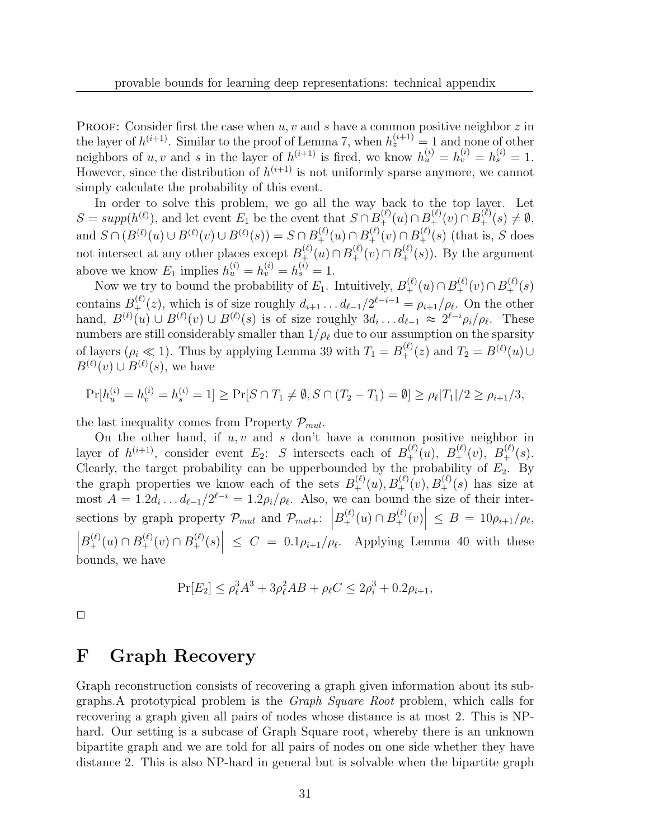**PROOF:** Consider first the case when  $u, v$  and  $s$  have a common positive neighbor  $z$  in the layer of  $h^{(i+1)}$ . Similar to the proof of Lemma 7, when  $h_z^{(i+1)} = 1$  and none of other neighbors of u, v and s in the layer of  $h^{(i+1)}$  is fired, we know  $h_u^{(i)} = h_v^{(i)} = h_s^{(i)} = 1$ . However, since the distribution of  $h^{(i+1)}$  is not uniformly sparse anymore, we cannot simply calculate the probability of this event.

In order to solve this problem, we go all the way back to the top layer. Let  $S = supp(h^{(\ell)}),$  and let event  $E_1$  be the event that  $S \cap B_+^{(\ell)}(u) \cap B_+^{(\ell)}(v) \cap B_+^{(\ell)}(s) \neq \emptyset$ , and  $S \cap (B^{(\ell)}(u) \cup B^{(\ell)}(v) \cup B^{(\ell)}(s)) = S \cap B^{(\ell)}(u) \cap B^{(\ell)}(v) \cap B^{(\ell)}(s)$  (that is, S does not intersect at any other places except  $B_{+}^{(\ell)}(u) \cap B_{+}^{(\ell)}(v) \cap B_{+}^{(\ell)}(s)$ ). By the argument above we know  $E_1$  implies  $h_u^{(i)} = h_v^{(i)} = h_s^{(i)} = 1$ .

Now we try to bound the probability of  $E_1$ . Intuitively,  $B_+^{(\ell)}(u) \cap B_+^{(\ell)}(v) \cap B_+^{(\ell)}(s)$ contains  $B_{+}^{(\ell)}(z)$ , which is of size roughly  $d_{i+1} \ldots d_{\ell-1}/2^{\ell-i-1} = \rho_{i+1}/\rho_{\ell}$ . On the other hand,  $B^{(\ell)}(u) \cup B^{(\ell)}(v) \cup B^{(\ell)}(s)$  is of size roughly  $3d_i \dots d_{\ell-1} \approx 2^{\ell-i} \rho_i / \rho_{\ell}$ . These numbers are still considerably smaller than  $1/\rho_\ell$  due to our assumption on the sparsity of layers  $(\rho_i \ll 1)$ . Thus by applying Lemma 39 with  $T_1 = B_+^{(\ell)}(z)$  and  $T_2 = B^{(\ell)}(u) \cup$  $B^{(\ell)}(v) \cup B^{(\ell)}(s)$ , we have

$$
\Pr[h_u^{(i)} = h_v^{(i)} = h_s^{(i)} = 1] \ge \Pr[S \cap T_1 \neq \emptyset, S \cap (T_2 - T_1) = \emptyset] \ge \rho_\ell |T_1|/2 \ge \rho_{i+1}/3,
$$

the last inequality comes from Property  $\mathcal{P}_{mul}$ .

On the other hand, if  $u, v$  and  $s$  don't have a common positive neighbor in layer of  $h^{(i+1)}$ , consider event  $E_2$ : S intersects each of  $B_+^{(\ell)}(u)$ ,  $B_+^{(\ell)}(v)$ ,  $B_+^{(\ell)}(s)$ . Clearly, the target probability can be upperbounded by the probability of  $E_2$ . By the graph properties we know each of the sets  $B_+^{(\ell)}(u), B_+^{(\ell)}(v), B_+^{(\ell)}(s)$  has size at most  $A = 1.2d_i \dots d_{\ell-1}/2^{\ell-i} = 1.2\rho_i/\rho_{\ell}$ . Also, we can bound the size of their intersections by graph property  $\mathcal{P}_{mul}$  and  $\mathcal{P}_{mul+}:$   $\left|B_{+}^{(\ell)}(u) \cap B_{+}^{(\ell)}(v)\right| \leq B = 10\rho_{i+1}/\rho_{\ell}$ ,  $\left| B_+^{(\ell)}(u) \cap B_+^{(\ell)}(v) \cap B_+^{(\ell)}(s) \right| \leq C = 0.1 \rho_{i+1}/\rho_{\ell}$ . Applying Lemma 40 with these bounds, we have

$$
Pr[E_2] \le \rho_\ell^3 A^3 + 3\rho_\ell^2 AB + \rho_\ell C \le 2\rho_i^3 + 0.2\rho_{i+1},
$$

 $\Box$ 

# F Graph Recovery

Graph reconstruction consists of recovering a graph given information about its subgraphs.A prototypical problem is the Graph Square Root problem, which calls for recovering a graph given all pairs of nodes whose distance is at most 2. This is NPhard. Our setting is a subcase of Graph Square root, whereby there is an unknown bipartite graph and we are told for all pairs of nodes on one side whether they have distance 2. This is also NP-hard in general but is solvable when the bipartite graph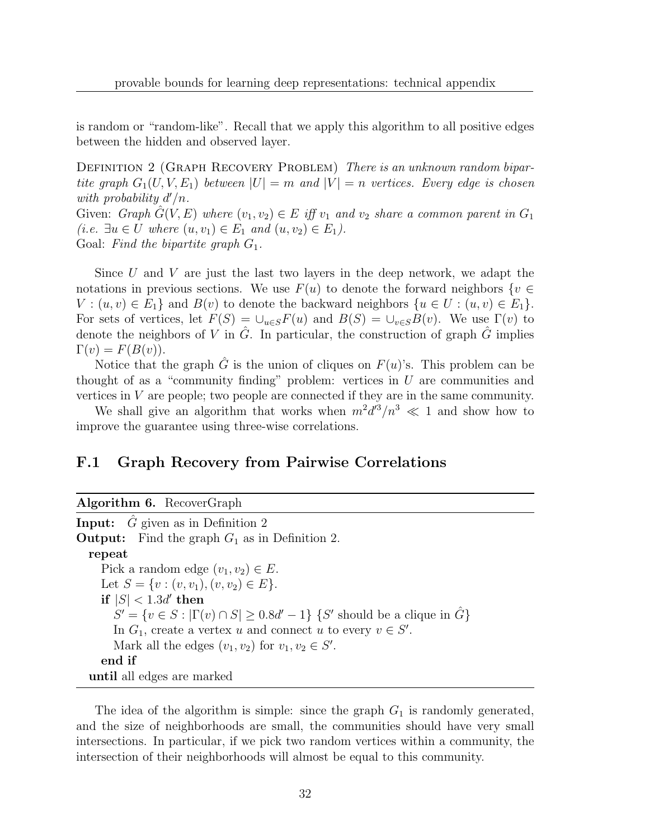is random or "random-like". Recall that we apply this algorithm to all positive edges between the hidden and observed layer.

DEFINITION 2 (GRAPH RECOVERY PROBLEM) There is an unknown random bipartite graph  $G_1(U, V, E_1)$  between  $|U| = m$  and  $|V| = n$  vertices. Every edge is chosen with probability  $d'/n$ . Given: Graph  $G(V, E)$  where  $(v_1, v_2) \in E$  iff  $v_1$  and  $v_2$  share a common parent in  $G_1$ (i.e.  $\exists u \in U$  where  $(u, v_1) \in E_1$  and  $(u, v_2) \in E_1$ ).

Goal: Find the bipartite graph  $G_1$ .

Since U and V are just the last two layers in the deep network, we adapt the notations in previous sections. We use  $F(u)$  to denote the forward neighbors  $\{v \in$  $V: (u, v) \in E_1$  and  $B(v)$  to denote the backward neighbors  $\{u \in U: (u, v) \in E_1\}.$ For sets of vertices, let  $F(S) = \bigcup_{u \in S} F(u)$  and  $B(S) = \bigcup_{v \in S} B(v)$ . We use  $\Gamma(v)$  to denote the neighbors of V in  $\tilde{G}$ . In particular, the construction of graph  $\tilde{G}$  implies  $\Gamma(v) = F(B(v)).$ 

Notice that the graph  $\hat{G}$  is the union of cliques on  $F(u)$ 's. This problem can be thought of as a "community finding" problem: vertices in  $U$  are communities and vertices in  $V$  are people; two people are connected if they are in the same community.

We shall give an algorithm that works when  $m^2 d^3/n^3 \ll 1$  and show how to improve the guarantee using three-wise correlations.

### F.1 Graph Recovery from Pairwise Correlations

|  | Algorithm 6. RecoverGraph |
|--|---------------------------|
|--|---------------------------|

**Input:**  $\hat{G}$  given as in Definition 2 **Output:** Find the graph  $G_1$  as in Definition 2. repeat Pick a random edge  $(v_1, v_2) \in E$ . Let  $S = \{v : (v, v_1), (v, v_2) \in E\}.$  $\text{if} \hspace{0.1cm} |S| < 1.3d' \text{ then}$  $S' = \{v \in S : |\Gamma(v) \cap S| \ge 0.8d' - 1\}$  {S' should be a clique in  $\hat{G}$ } In  $G_1$ , create a vertex u and connect u to every  $v \in S'$ . Mark all the edges  $(v_1, v_2)$  for  $v_1, v_2 \in S'$ . end if until all edges are marked

The idea of the algorithm is simple: since the graph  $G_1$  is randomly generated, and the size of neighborhoods are small, the communities should have very small intersections. In particular, if we pick two random vertices within a community, the intersection of their neighborhoods will almost be equal to this community.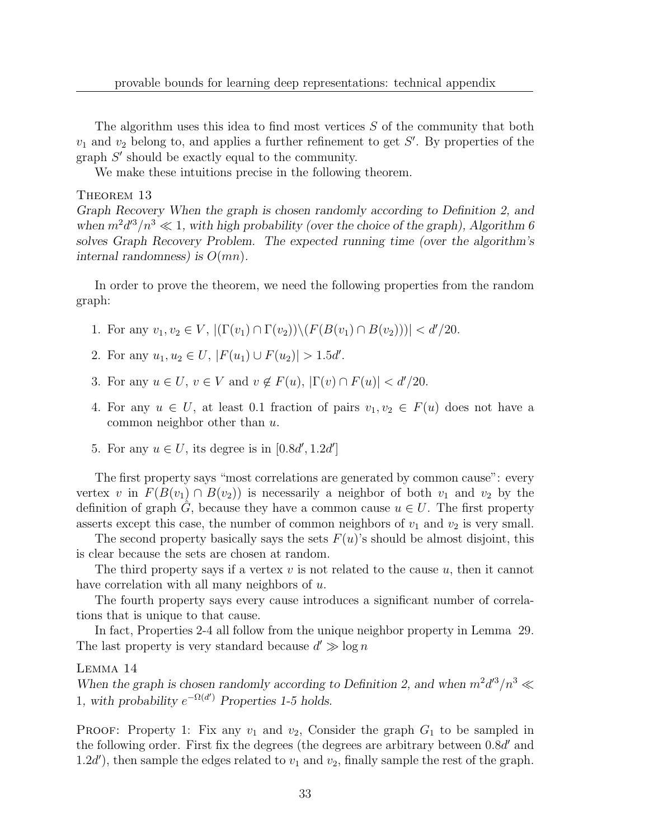The algorithm uses this idea to find most vertices  $S$  of the community that both  $v_1$  and  $v_2$  belong to, and applies a further refinement to get S'. By properties of the graph  $S'$  should be exactly equal to the community.

We make these intuitions precise in the following theorem.

THEOREM 13

Graph Recovery When the graph is chosen randomly according to Definition 2, and when  $m^2 d'^3/n^3 \ll 1$ , with high probability (over the choice of the graph), Algorithm 6 solves Graph Recovery Problem. The expected running time (over the algorithm's internal randomness) is  $O(mn)$ .

In order to prove the theorem, we need the following properties from the random graph:

- 1. For any  $v_1, v_2 \in V$ ,  $|(\Gamma(v_1) \cap \Gamma(v_2)) \setminus (F(B(v_1) \cap B(v_2)))| < d'/20$ .
- 2. For any  $u_1, u_2 \in U$ ,  $|F(u_1) \cup F(u_2)| > 1.5d'$ .
- 3. For any  $u \in U$ ,  $v \in V$  and  $v \notin F(u)$ ,  $|\Gamma(v) \cap F(u)| < d'/20$ .
- 4. For any  $u \in U$ , at least 0.1 fraction of pairs  $v_1, v_2 \in F(u)$  does not have a common neighbor other than u.
- 5. For any  $u \in U$ , its degree is in  $[0.8d', 1.2d']$

The first property says "most correlations are generated by common cause": every vertex v in  $F(B(v_1) \cap B(v_2))$  is necessarily a neighbor of both  $v_1$  and  $v_2$  by the definition of graph G, because they have a common cause  $u \in U$ . The first property asserts except this case, the number of common neighbors of  $v_1$  and  $v_2$  is very small.

The second property basically says the sets  $F(u)$ 's should be almost disjoint, this is clear because the sets are chosen at random.

The third property says if a vertex  $v$  is not related to the cause  $u$ , then it cannot have correlation with all many neighbors of u.

The fourth property says every cause introduces a significant number of correlations that is unique to that cause.

In fact, Properties 2-4 all follow from the unique neighbor property in Lemma 29. The last property is very standard because  $d' \gg \log n$ 

Lemma 14

When the graph is chosen randomly according to Definition 2, and when  $m^2 d'^3/n^3 \ll$ 1, with probability  $e^{-\Omega(d')}$  Properties 1-5 holds.

**PROOF:** Property 1: Fix any  $v_1$  and  $v_2$ , Consider the graph  $G_1$  to be sampled in the following order. First fix the degrees (the degrees are arbitrary between  $0.8d'$  and 1.2d'), then sample the edges related to  $v_1$  and  $v_2$ , finally sample the rest of the graph.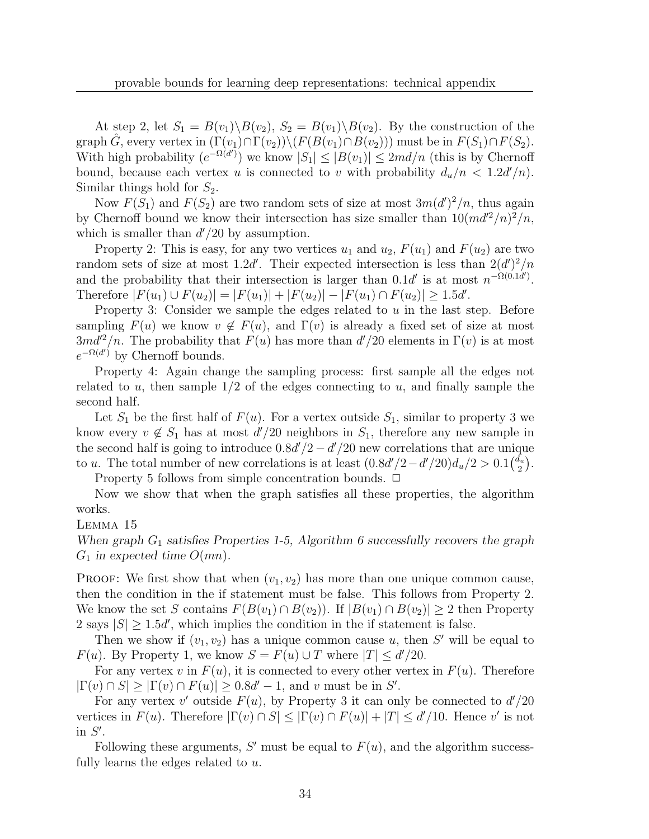At step 2, let  $S_1 = B(v_1) \backslash B(v_2)$ ,  $S_2 = B(v_1) \backslash B(v_2)$ . By the construction of the graph  $\hat{G}$ , every vertex in  $(\Gamma(v_1) \cap \Gamma(v_2)) \setminus (F(B(v_1) \cap B(v_2)))$  must be in  $F(S_1) \cap F(S_2)$ . With high probability  $(e^{-\Omega(d')})$  we know  $|S_1| \leq |B(v_1)| \leq 2md/n$  (this is by Chernoff bound, because each vertex u is connected to v with probability  $d_u/n < 1.2d'/n$ . Similar things hold for  $S_2$ .

Now  $F(S_1)$  and  $F(S_2)$  are two random sets of size at most  $3m(d')^2/n$ , thus again by Chernoff bound we know their intersection has size smaller than  $10(md^2/n)^2/n$ , which is smaller than  $d'/20$  by assumption.

Property 2: This is easy, for any two vertices  $u_1$  and  $u_2$ ,  $F(u_1)$  and  $F(u_2)$  are two random sets of size at most 1.2d'. Their expected intersection is less than  $2(d')^2/n$ and the probability that their intersection is larger than  $0.1d'$  is at most  $n^{-\Omega(0.1d')}$ . Therefore  $|F(u_1) \cup F(u_2)| = |F(u_1)| + |F(u_2)| - |F(u_1) \cap F(u_2)| \ge 1.5d'$ .

Property 3: Consider we sample the edges related to  $u$  in the last step. Before sampling  $F(u)$  we know  $v \notin F(u)$ , and  $\Gamma(v)$  is already a fixed set of size at most  $3md^2/n$ . The probability that  $F(u)$  has more than  $d'/20$  elements in  $\Gamma(v)$  is at most  $e^{-\Omega(d')}$  by Chernoff bounds.

Property 4: Again change the sampling process: first sample all the edges not related to u, then sample  $1/2$  of the edges connecting to u, and finally sample the second half.

Let  $S_1$  be the first half of  $F(u)$ . For a vertex outside  $S_1$ , similar to property 3 we know every  $v \notin S_1$  has at most  $d'/20$  neighbors in  $S_1$ , therefore any new sample in the second half is going to introduce  $0.8d'/2 - d'/20$  new correlations that are unique to u. The total number of new correlations is at least  $(0.8d'/2 - d'/20)d_u/2 > 0.1\left(\frac{d_u}{2}\right)$  $\frac{\tilde{l_u}}{2}\Big).$ 

Property 5 follows from simple concentration bounds.  $\Box$ 

Now we show that when the graph satisfies all these properties, the algorithm works.

Lemma 15

When graph  $G_1$  satisfies Properties 1-5, Algorithm 6 successfully recovers the graph  $G_1$  in expected time  $O(mn)$ .

**PROOF:** We first show that when  $(v_1, v_2)$  has more than one unique common cause, then the condition in the if statement must be false. This follows from Property 2. We know the set S contains  $F(B(v_1) \cap B(v_2))$ . If  $|B(v_1) \cap B(v_2)| \geq 2$  then Property 2 says  $|S| \ge 1.5d'$ , which implies the condition in the if statement is false.

Then we show if  $(v_1, v_2)$  has a unique common cause u, then S' will be equal to  $F(u)$ . By Property 1, we know  $S = F(u) \cup T$  where  $|T| \le d'/20$ .

For any vertex v in  $F(u)$ , it is connected to every other vertex in  $F(u)$ . Therefore  $|\Gamma(v) \cap S| \geq |\Gamma(v) \cap F(u)| \geq 0.8d' - 1$ , and v must be in S'.

For any vertex  $v'$  outside  $F(u)$ , by Property 3 it can only be connected to  $d'/20$ vertices in  $F(u)$ . Therefore  $|\Gamma(v) \cap S| \leq |\Gamma(v) \cap F(u)| + |T| \leq d'/10$ . Hence v' is not in  $S'$ .

Following these arguments, S' must be equal to  $F(u)$ , and the algorithm successfully learns the edges related to u.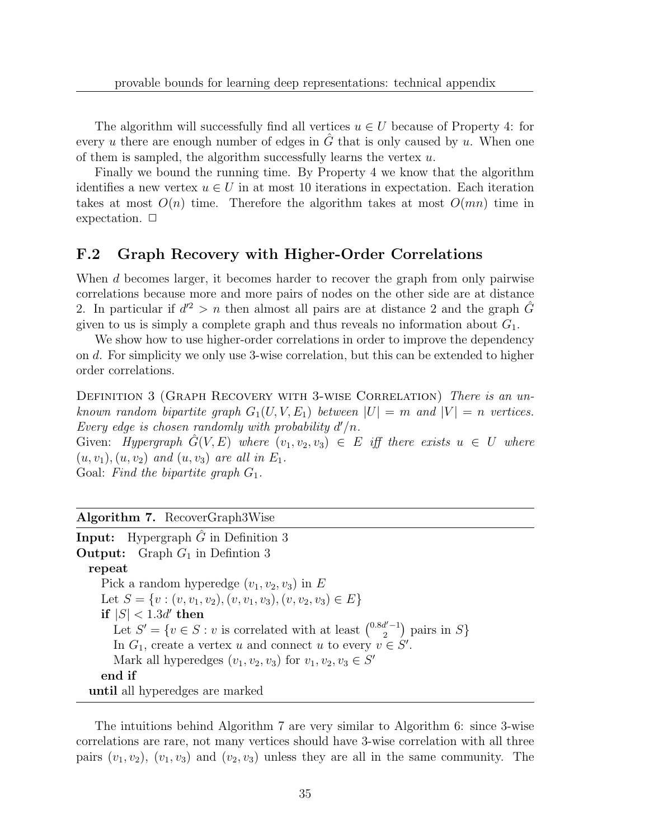The algorithm will successfully find all vertices  $u \in U$  because of Property 4: for every u there are enough number of edges in  $\tilde{G}$  that is only caused by u. When one of them is sampled, the algorithm successfully learns the vertex  $u$ .

Finally we bound the running time. By Property 4 we know that the algorithm identifies a new vertex  $u \in U$  in at most 10 iterations in expectation. Each iteration takes at most  $O(n)$  time. Therefore the algorithm takes at most  $O(mn)$  time in expectation.  $\Box$ 

### F.2 Graph Recovery with Higher-Order Correlations

When d becomes larger, it becomes harder to recover the graph from only pairwise correlations because more and more pairs of nodes on the other side are at distance 2. In particular if  $d'^2 > n$  then almost all pairs are at distance 2 and the graph  $\hat{G}$ given to us is simply a complete graph and thus reveals no information about  $G_1$ .

We show how to use higher-order correlations in order to improve the dependency on d. For simplicity we only use 3-wise correlation, but this can be extended to higher order correlations.

DEFINITION 3 (GRAPH RECOVERY WITH 3-WISE CORRELATION) There is an unknown random bipartite graph  $G_1(U, V, E_1)$  between  $|U| = m$  and  $|V| = n$  vertices. Every edge is chosen randomly with probability  $d'/n$ .

Given: Hypergraph  $G(V, E)$  where  $(v_1, v_2, v_3) \in E$  iff there exists  $u \in U$  where  $(u, v_1), (u, v_2)$  and  $(u, v_3)$  are all in  $E_1$ .

Goal: Find the bipartite graph  $G_1$ .

### Algorithm 7. RecoverGraph3Wise

| <b>Input:</b> Hypergraph $\hat{G}$ in Definition 3                                                     |
|--------------------------------------------------------------------------------------------------------|
| <b>Output:</b> Graph $G_1$ in Defintion 3                                                              |
| repeat                                                                                                 |
| Pick a random hyperedge $(v_1, v_2, v_3)$ in E                                                         |
| Let $S = \{v : (v, v_1, v_2), (v, v_1, v_3), (v, v_2, v_3) \in E\}$                                    |
| if $ S  < 1.3d'$ then                                                                                  |
| Let $S' = \{v \in S : v \text{ is correlated with at least } \binom{0.8d'-1}{2} \text{ pairs in } S\}$ |
| In $G_1$ , create a vertex u and connect u to every $v \in S'$ .                                       |
| Mark all hyperedges $(v_1, v_2, v_3)$ for $v_1, v_2, v_3 \in S'$                                       |
| end if                                                                                                 |
| until all hyperedges are marked                                                                        |

The intuitions behind Algorithm 7 are very similar to Algorithm 6: since 3-wise correlations are rare, not many vertices should have 3-wise correlation with all three pairs  $(v_1, v_2)$ ,  $(v_1, v_3)$  and  $(v_2, v_3)$  unless they are all in the same community. The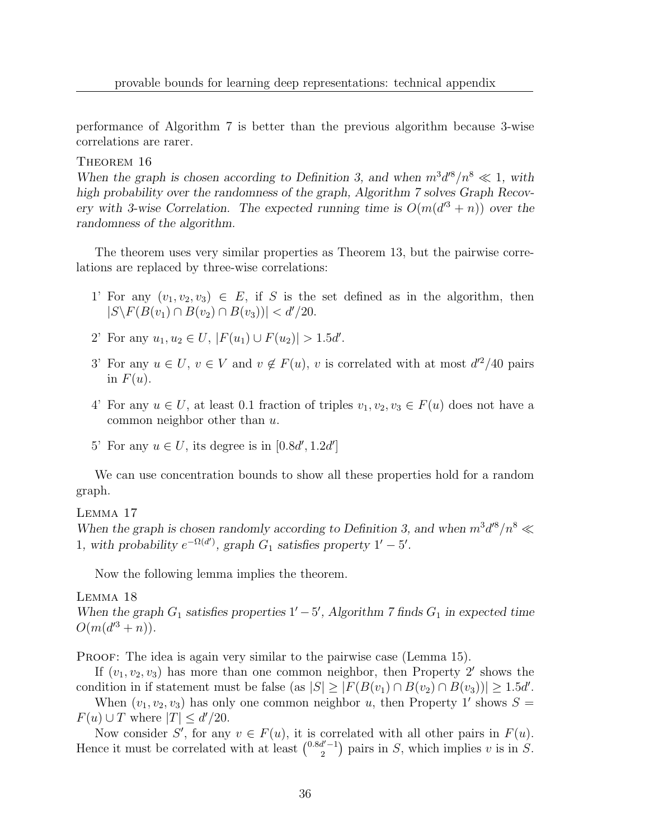performance of Algorithm 7 is better than the previous algorithm because 3-wise correlations are rarer.

THEOREM 16

When the graph is chosen according to Definition 3, and when  $m^3 d^8/n^8 \ll 1$ , with high probability over the randomness of the graph, Algorithm 7 solves Graph Recovery with 3-wise Correlation. The expected running time is  $O(m(d^{3} + n))$  over the randomness of the algorithm.

The theorem uses very similar properties as Theorem 13, but the pairwise correlations are replaced by three-wise correlations:

- 1' For any  $(v_1, v_2, v_3) \in E$ , if S is the set defined as in the algorithm, then  $|S \backslash F(B(v_1) \cap B(v_2) \cap B(v_3))| < d'/20.$
- 2' For any  $u_1, u_2 \in U$ ,  $|F(u_1) \cup F(u_2)| > 1.5d'$ .
- 3' For any  $u \in U$ ,  $v \in V$  and  $v \notin F(u)$ , v is correlated with at most  $d'^2/40$  pairs in  $F(u)$ .
- 4' For any  $u \in U$ , at least 0.1 fraction of triples  $v_1, v_2, v_3 \in F(u)$  does not have a common neighbor other than u.
- 5' For any  $u \in U$ , its degree is in  $[0.8d', 1.2d']$

We can use concentration bounds to show all these properties hold for a random graph.

Lemma 17

When the graph is chosen randomly according to Definition 3, and when  $m^3d^8/n^8 \ll$ 1, with probability  $e^{-\Omega(d')}$ , graph  $G_1$  satisfies property  $1' - 5'$ .

Now the following lemma implies the theorem.

Lemma 18

When the graph  $G_1$  satisfies properties  $1' - 5'$ , Algorithm 7 finds  $G_1$  in expected time  $O(m(d^{3}+n)).$ 

PROOF: The idea is again very similar to the pairwise case (Lemma 15).

If  $(v_1, v_2, v_3)$  has more than one common neighbor, then Property 2' shows the condition in if statement must be false (as  $|S| \geq |F(B(v_1) \cap B(v_2) \cap B(v_3))| \geq 1.5d'$ .

When  $(v_1, v_2, v_3)$  has only one common neighbor u, then Property 1' shows  $S =$  $F(u) \cup T$  where  $|T| \le d'/20$ .

Now consider S', for any  $v \in F(u)$ , it is correlated with all other pairs in  $F(u)$ . Hence it must be correlated with at least  $\binom{0.8d'-1}{2}$  pairs in S, which implies v is in S.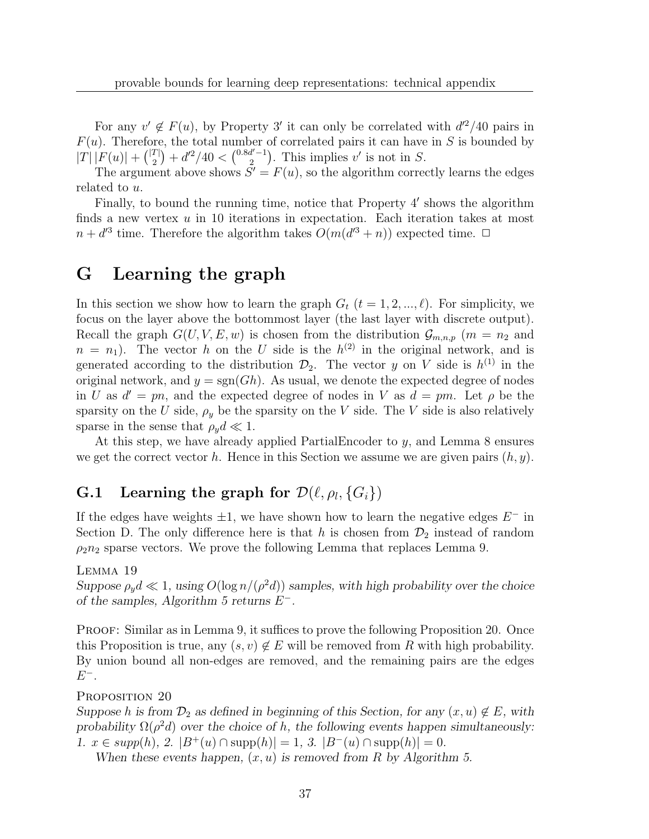For any  $v' \notin F(u)$ , by Property 3' it can only be correlated with  $d'^2/40$  pairs in  $F(u)$ . Therefore, the total number of correlated pairs it can have in S is bounded by  $|T| |F(u)| + { |T| \choose 2} + d'^2/40 < {0.8d'-1 \choose 2}$ . This implies v' is not in S.

The argument above shows  $S' = F(u)$ , so the algorithm correctly learns the edges related to u.

Finally, to bound the running time, notice that Property 4' shows the algorithm finds a new vertex  $u$  in 10 iterations in expectation. Each iteration takes at most  $n + d^{3}$  time. Therefore the algorithm takes  $O(m(d^{3} + n))$  expected time.  $\Box$ 

# G Learning the graph

In this section we show how to learn the graph  $G_t$   $(t = 1, 2, ..., \ell)$ . For simplicity, we focus on the layer above the bottommost layer (the last layer with discrete output). Recall the graph  $G(U, V, E, w)$  is chosen from the distribution  $\mathcal{G}_{m,n,p}$  ( $m = n_2$  and  $n = n_1$ ). The vector h on the U side is the  $h^{(2)}$  in the original network, and is generated according to the distribution  $\mathcal{D}_2$ . The vector y on V side is  $h^{(1)}$  in the original network, and  $y = sgn(Gh)$ . As usual, we denote the expected degree of nodes in U as  $d' = pn$ , and the expected degree of nodes in V as  $d = pm$ . Let  $\rho$  be the sparsity on the U side,  $\rho_y$  be the sparsity on the V side. The V side is also relatively sparse in the sense that  $\rho_y d \ll 1$ .

At this step, we have already applied PartialEncoder to  $y$ , and Lemma 8 ensures we get the correct vector h. Hence in this Section we assume we are given pairs  $(h, y)$ .

# **G.1** Learning the graph for  $\mathcal{D}(\ell, \rho_l, \{G_i\})$

If the edges have weights  $\pm 1$ , we have shown how to learn the negative edges  $E^-$  in Section D. The only difference here is that h is chosen from  $\mathcal{D}_2$  instead of random  $\rho_2 n_2$  sparse vectors. We prove the following Lemma that replaces Lemma 9.

### Lemma 19

Suppose  $\rho_y d \ll 1$ , using  $O(\log n/(\rho^2 d))$  samples, with high probability over the choice of the samples, Algorithm 5 returns  $E^-$ .

PROOF: Similar as in Lemma 9, it suffices to prove the following Proposition 20. Once this Proposition is true, any  $(s, v) \notin E$  will be removed from R with high probability. By union bound all non-edges are removed, and the remaining pairs are the edges  $E^-$ .

### PROPOSITION 20

Suppose h is from  $\mathcal{D}_2$  as defined in beginning of this Section, for any  $(x, u) \notin E$ , with probability  $\Omega(\rho^2 d)$  over the choice of h, the following events happen simultaneously: 1.  $x \in supp(h)$ , 2.  $|B^+(u) \cap supp(h)| = 1$ , 3.  $|B^-(u) \cap supp(h)| = 0$ .

When these events happen,  $(x, u)$  is removed from R by Algorithm 5.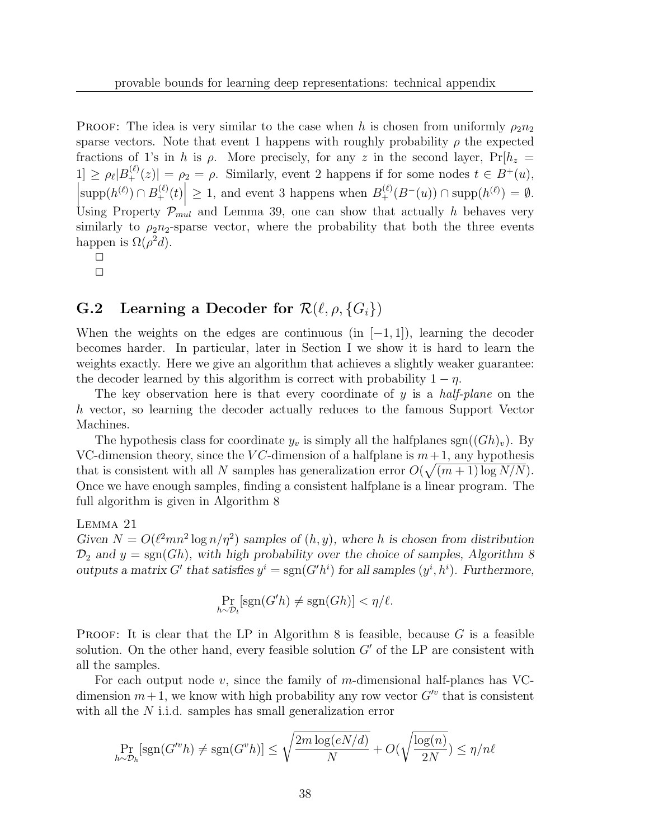PROOF: The idea is very similar to the case when h is chosen from uniformly  $\rho_2 n_2$ sparse vectors. Note that event 1 happens with roughly probability  $\rho$  the expected fractions of 1's in h is  $\rho$ . More precisely, for any z in the second layer,  $Pr[h_z =$  $|1| \ge \rho_\ell |B_+^{(\ell)}(z)| = \rho_2 = \rho$ . Similarly, event 2 happens if for some nodes  $t \in B^+(u)$ ,  $\left|\text{supp}(h^{(\ell)}) \cap B_+^{(\ell)}(t)\right| \geq 1$ , and event 3 happens when  $B_+^{(\ell)}(B^-(u)) \cap \text{supp}(h^{(\ell)}) = \emptyset$ . Using Property  $P_{mul}$  and Lemma 39, one can show that actually h behaves very similarly to  $\rho_2 n_2$ -sparse vector, where the probability that both the three events happen is  $\Omega(\rho^2 d)$ .

 $\Box$  $\Box$ 

### **G.2** Learning a Decoder for  $\mathcal{R}(\ell, \rho, \{G_i\})$

When the weights on the edges are continuous (in  $[-1, 1]$ ), learning the decoder becomes harder. In particular, later in Section I we show it is hard to learn the weights exactly. Here we give an algorithm that achieves a slightly weaker guarantee: the decoder learned by this algorithm is correct with probability  $1 - \eta$ .

The key observation here is that every coordinate of y is a *half-plane* on the h vector, so learning the decoder actually reduces to the famous Support Vector Machines.

The hypothesis class for coordinate  $y_v$  is simply all the halfplanes sgn $((Gh)_v)$ . By VC-dimension theory, since the VC-dimension of a halfplane is  $m+1$ , any hypothesis that is consistent with all N samples has generalization error  $O(\sqrt{(m+1)\log N/N})$ . Once we have enough samples, finding a consistent halfplane is a linear program. The full algorithm is given in Algorithm 8

#### Lemma 21

Given  $N = O(\ell^2 mn^2 \log n / \eta^2)$  samples of  $(h, y)$ , where h is chosen from distribution  $\mathcal{D}_2$  and  $y = \text{sgn}(Gh)$ , with high probability over the choice of samples, Algorithm 8 outputs a matrix G' that satisfies  $y^i = \text{sgn}(G'h^i)$  for all samples  $(y^i, h^i)$ . Furthermore,

$$
\Pr_{h \sim \mathcal{D}_t}[\text{sgn}(G'h) \neq \text{sgn}(Gh)] < \eta/\ell.
$$

PROOF: It is clear that the LP in Algorithm 8 is feasible, because  $G$  is a feasible solution. On the other hand, every feasible solution  $G'$  of the LP are consistent with all the samples.

For each output node  $v$ , since the family of m-dimensional half-planes has VCdimension  $m+1$ , we know with high probability any row vector  $G^{\prime\prime}$  that is consistent with all the N i.i.d. samples has small generalization error

$$
\Pr_{h \sim \mathcal{D}_h}[\text{sgn}(G'^v h) \neq \text{sgn}(G^v h)] \leq \sqrt{\frac{2m \log(eN/d)}{N}} + O(\sqrt{\frac{\log(n)}{2N}}) \leq \eta/n\ell
$$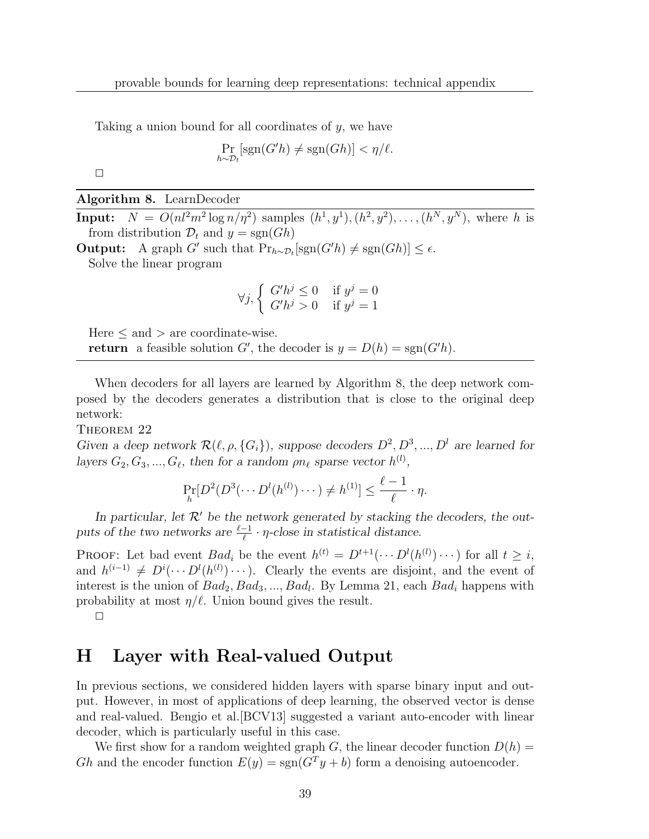Taking a union bound for all coordinates of  $y$ , we have

$$
\Pr_{h \sim \mathcal{D}_t}[\text{sgn}(G'h) \neq \text{sgn}(Gh)] < \eta/\ell.
$$

 $\Box$ 

#### Algorithm 8. LearnDecoder

**Input:**  $N = O(nl^2m^2 \log n/\eta^2)$  samples  $(h^1, y^1), (h^2, y^2), \ldots, (h^N, y^N)$ , where h is from distribution  $\mathcal{D}_t$  and  $y = \text{sgn}(Gh)$ 

**Output:** A graph G' such that  $Pr_{h \sim \mathcal{D}_t}[\text{sgn}(G'h) \neq \text{sgn}(Gh)] \leq \epsilon$ . Solve the linear program

$$
\forall j, \left\{ \begin{array}{ll} G'h^j \le 0 & \text{if } y^j = 0\\ G'h^j > 0 & \text{if } y^j = 1 \end{array} \right.
$$

Here  $\leq$  and  $>$  are coordinate-wise.

**return** a feasible solution G', the decoder is  $y = D(h) = \text{sgn}(G'h)$ .

When decoders for all layers are learned by Algorithm 8, the deep network composed by the decoders generates a distribution that is close to the original deep network:

THEOREM 22

Given a deep network  $\mathcal{R}(\ell, \rho, \{G_i\})$ , suppose decoders  $D^2, D^3, ..., D^l$  are learned for layers  $G_2, G_3, ..., G_\ell$ , then for a random  $\rho n_\ell$  sparse vector  $h^{(l)}$ ,

$$
\Pr_{h}[D^{2}(D^{3}(\cdots D^{l}(h^{(l)})\cdots)\neq h^{(1)}] \leq \frac{\ell-1}{\ell}\cdot\eta.
$$

In particular, let  $\mathcal{R}'$  be the network generated by stacking the decoders, the outputs of the two networks are  $\frac{\ell-1}{\ell} \cdot \eta$ -close in statistical distance.

**PROOF:** Let bad event  $Bad_i$  be the event  $h^{(t)} = D^{t+1}(\cdots D^l(h^{(l)}) \cdots)$  for all  $t \geq i$ , and  $h^{(i-1)} \neq D^{i}(\cdots D^{l}(h^{(l)}) \cdots)$ . Clearly the events are disjoint, and the event of interest is the union of  $Bad_2, Bad_3, ..., Bad_l$ . By Lemma 21, each  $Bad_i$  happens with probability at most  $\eta/\ell$ . Union bound gives the result.

 $\Box$ 

### H Layer with Real-valued Output

In previous sections, we considered hidden layers with sparse binary input and output. However, in most of applications of deep learning, the observed vector is dense and real-valued. Bengio et al.[BCV13] suggested a variant auto-encoder with linear decoder, which is particularly useful in this case.

We first show for a random weighted graph G, the linear decoder function  $D(h)$ Gh and the encoder function  $E(y) = sgn(G<sup>T</sup>y + b)$  form a denoising autoencoder.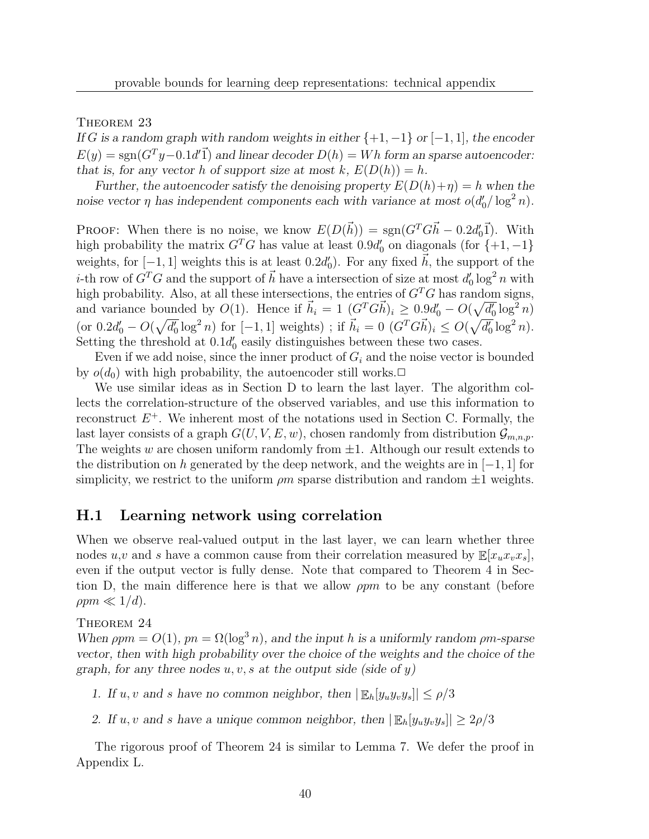THEOREM 23

If G is a random graph with random weights in either  $\{+1, -1\}$  or  $[-1, 1]$ , the encoder  $E(y) = sgn(G^T y - 0.1d'\vec{1})$  and linear decoder  $D(h) = Wh$  form an sparse autoencoder: that is, for any vector h of support size at most k,  $E(D(h)) = h$ .

Further, the autoencoder satisfy the denoising property  $E(D(h)+\eta) = h$  when the noise vector  $\eta$  has independent components each with variance at most  $o(d'_0/\log^2 n)$ .

PROOF: When there is no noise, we know  $E(D(\vec{h})) = \text{sgn}(G^T G \vec{h} - 0.2d_0' \vec{1})$ . With high probability the matrix  $G<sup>T</sup>G$  has value at least 0.9 $d'_0$  on diagonals (for  $\{+1, -1\}$ ) weights, for  $[-1, 1]$  weights this is at least 0.2d'<sub>0</sub>). For any fixed  $\vec{h}$ , the support of the *i*-th row of  $G^T G$  and the support of  $\vec{h}$  have a intersection of size at most  $d'_0 \log^2 n$  with high probability. Also, at all these intersections, the entries of  $G<sup>T</sup>G$  has random signs, and variance bounded by  $O(1)$ . Hence if  $\vec{h}_i = 1$   $(G^T G \vec{h})_i \geq 0.9d'_0 - O(\sqrt{d'_0} \log^2 n)$  $(\text{or } 0.2d'_0 - O(\sqrt{d'_0} \log^2 n) \text{ for } [-1, 1] \text{ weights})$ ; if  $\vec{h}_i = 0 \ (G^T G \vec{h})_i \leq O(\sqrt{d'_0} \log^2 n)$ . Setting the threshold at  $0.1d_0'$  easily distinguishes between these two cases.

Even if we add noise, since the inner product of  $G_i$  and the noise vector is bounded by  $o(d_0)$  with high probability, the autoencoder still works. $\Box$ 

We use similar ideas as in Section D to learn the last layer. The algorithm collects the correlation-structure of the observed variables, and use this information to reconstruct  $E^+$ . We inherent most of the notations used in Section C. Formally, the last layer consists of a graph  $G(U, V, E, w)$ , chosen randomly from distribution  $\mathcal{G}_{m,n,p}$ . The weights w are chosen uniform randomly from  $\pm 1$ . Although our result extends to the distribution on h generated by the deep network, and the weights are in  $[-1, 1]$  for simplicity, we restrict to the uniform  $\rho m$  sparse distribution and random  $\pm 1$  weights.

### H.1 Learning network using correlation

When we observe real-valued output in the last layer, we can learn whether three nodes u,v and s have a common cause from their correlation measured by  $\mathbb{E}[x_u x_v x_s]$ , even if the output vector is fully dense. Note that compared to Theorem 4 in Section D, the main difference here is that we allow  $\rho p m$  to be any constant (before  $\rho p m \ll 1/d$ .

THEOREM 24

When  $\rho p m = O(1)$ ,  $p n = \Omega(\log^3 n)$ , and the input h is a uniformly random  $\rho m$ -sparse vector, then with high probability over the choice of the weights and the choice of the graph, for any three nodes  $u, v, s$  at the output side (side of y)

- 1. If u, v and s have no common neighbor, then  $|\mathbb{E}_h[y_u y_v y_s]|\leq \rho/3$
- 2. If u, v and s have a unique common neighbor, then  $|\mathbb{E}_h[y_u y_v y_s]| \geq 2\rho/3$

The rigorous proof of Theorem 24 is similar to Lemma 7. We defer the proof in Appendix L.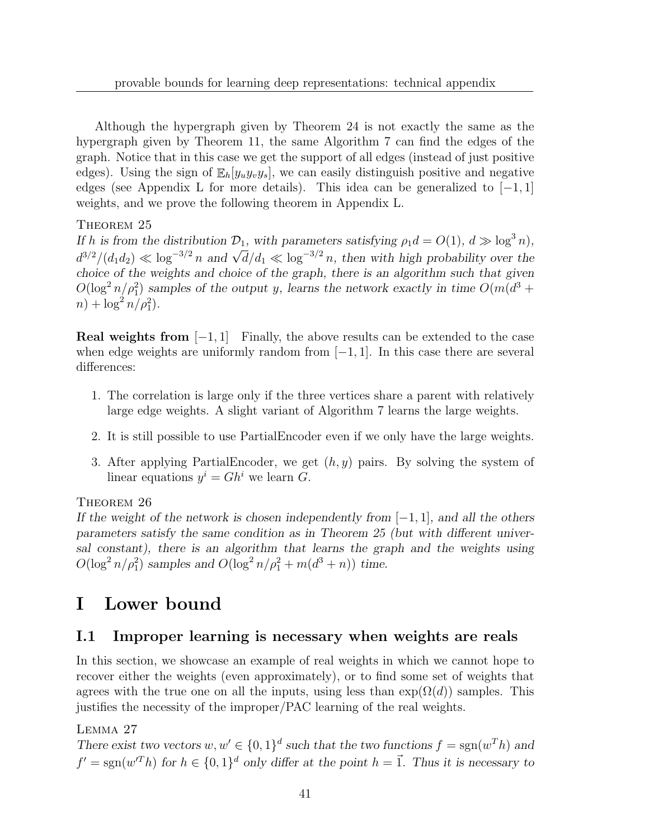Although the hypergraph given by Theorem 24 is not exactly the same as the hypergraph given by Theorem 11, the same Algorithm 7 can find the edges of the graph. Notice that in this case we get the support of all edges (instead of just positive edges). Using the sign of  $\mathbb{E}_{h}[y_{u}y_{v}y_{s}]$ , we can easily distinguish positive and negative edges (see Appendix L for more details). This idea can be generalized to  $[-1, 1]$ weights, and we prove the following theorem in Appendix L.

### THEOREM 25

If h is from the distribution  $\mathcal{D}_1$ , with parameters satisfying  $\rho_1 d = O(1)$ ,  $d \gg \log^3 n$ ,  $d^{3/2}/(d_1d_2) \ll \log^{-3/2} n$  and  $\sqrt{d}/d_1 \ll \log^{-3/2} n$ , then with high probability over the choice of the weights and choice of the graph, there is an algorithm such that given  $O(\log^2 n/\rho_1^2)$  samples of the output y, learns the network exactly in time  $O(m(d^3 +$  $n) + \log^2 n / \rho_1^2$ .

**Real weights from**  $[-1, 1]$  Finally, the above results can be extended to the case when edge weights are uniformly random from  $[-1, 1]$ . In this case there are several differences:

- 1. The correlation is large only if the three vertices share a parent with relatively large edge weights. A slight variant of Algorithm 7 learns the large weights.
- 2. It is still possible to use PartialEncoder even if we only have the large weights.
- 3. After applying PartialEncoder, we get  $(h, y)$  pairs. By solving the system of linear equations  $y^i = Gh^i$  we learn G.

### THEOREM 26

If the weight of the network is chosen independently from  $[-1, 1]$ , and all the others parameters satisfy the same condition as in Theorem 25 (but with different universal constant), there is an algorithm that learns the graph and the weights using  $O(\log^2 n/\rho_1^2)$  samples and  $O(\log^2 n/\rho_1^2 + m(d^3 + n))$  time.

# I Lower bound

### I.1 Improper learning is necessary when weights are reals

In this section, we showcase an example of real weights in which we cannot hope to recover either the weights (even approximately), or to find some set of weights that agrees with the true one on all the inputs, using less than  $exp(\Omega(d))$  samples. This justifies the necessity of the improper/PAC learning of the real weights.

### Lemma 27

There exist two vectors  $w, w' \in \{0, 1\}^d$  such that the two functions  $f = \text{sgn}(w^T h)$  and  $f' = sgn(w'^T h)$  for  $h \in \{0, 1\}^d$  only differ at the point  $h = \vec{1}$ . Thus it is necessary to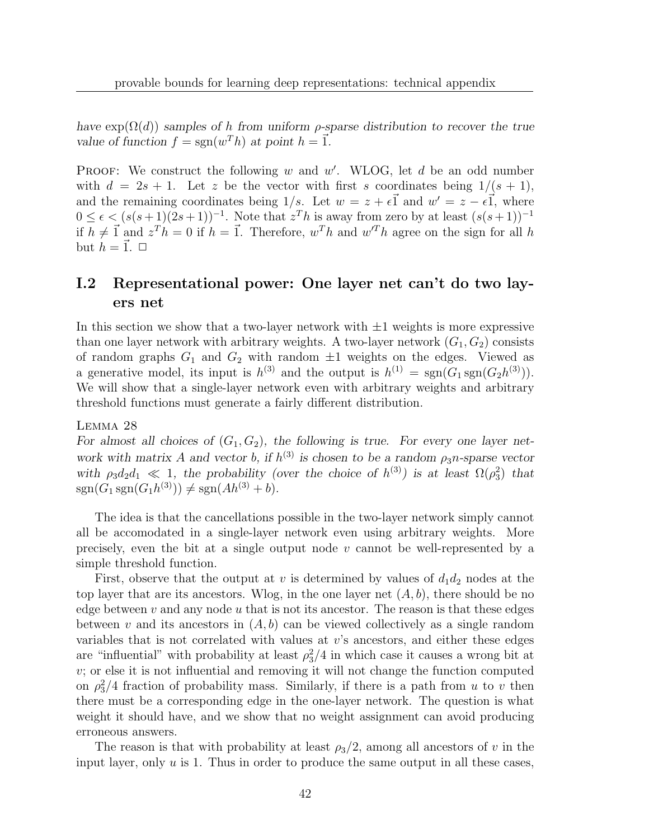have  $exp(\Omega(d))$  samples of h from uniform  $\rho$ -sparse distribution to recover the true value of function  $f = sgn(w^T h)$  at point  $h = \vec{1}$ .

**PROOF:** We construct the following w and w'. WLOG, let d be an odd number with  $d = 2s + 1$ . Let z be the vector with first s coordinates being  $1/(s + 1)$ , and the remaining coordinates being  $1/s$ . Let  $w = z + \epsilon \vec{1}$  and  $w' = z - \epsilon \vec{1}$ , where  $0 \leq \epsilon \leq (s(s+1)(2s+1))^{-1}$ . Note that  $z^T h$  is away from zero by at least  $(s(s+1))^{-1}$ if  $h \neq \vec{1}$  and  $z^T h = 0$  if  $h = \vec{1}$ . Therefore,  $w^T h$  and  $w^T h$  agree on the sign for all h but  $h = \vec{1}$ .  $\Box$ 

### I.2 Representational power: One layer net can't do two layers net

In this section we show that a two-layer network with  $\pm 1$  weights is more expressive than one layer network with arbitrary weights. A two-layer network  $(G_1, G_2)$  consists of random graphs  $G_1$  and  $G_2$  with random  $\pm 1$  weights on the edges. Viewed as a generative model, its input is  $h^{(3)}$  and the output is  $h^{(1)} = \text{sgn}(G_1 \text{sgn}(G_2 h^{(3)})).$ We will show that a single-layer network even with arbitrary weights and arbitrary threshold functions must generate a fairly different distribution.

### Lemma 28

For almost all choices of  $(G_1, G_2)$ , the following is true. For every one layer network with matrix A and vector b, if  $h^{(3)}$  is chosen to be a random  $\rho_3 n$ -sparse vector with  $\rho_3 d_2 d_1 \ll 1$ , the probability (over the choice of  $h^{(3)}$ ) is at least  $\Omega(\rho_3^2)$  that  $sgn(G_1 sgn(G_1 h^{(3)})) \neq sgn(Ah^{(3)} + b).$ 

The idea is that the cancellations possible in the two-layer network simply cannot all be accomodated in a single-layer network even using arbitrary weights. More precisely, even the bit at a single output node v cannot be well-represented by a simple threshold function.

First, observe that the output at v is determined by values of  $d_1d_2$  nodes at the top layer that are its ancestors. Wlog, in the one layer net  $(A, b)$ , there should be no edge between  $v$  and any node  $u$  that is not its ancestor. The reason is that these edges between v and its ancestors in  $(A, b)$  can be viewed collectively as a single random variables that is not correlated with values at  $v$ 's ancestors, and either these edges are "influential" with probability at least  $\rho_3^2/4$  in which case it causes a wrong bit at v; or else it is not influential and removing it will not change the function computed on  $\rho_3^2/4$  fraction of probability mass. Similarly, if there is a path from u to v then there must be a corresponding edge in the one-layer network. The question is what weight it should have, and we show that no weight assignment can avoid producing erroneous answers.

The reason is that with probability at least  $\rho_3/2$ , among all ancestors of v in the input layer, only  $u$  is 1. Thus in order to produce the same output in all these cases,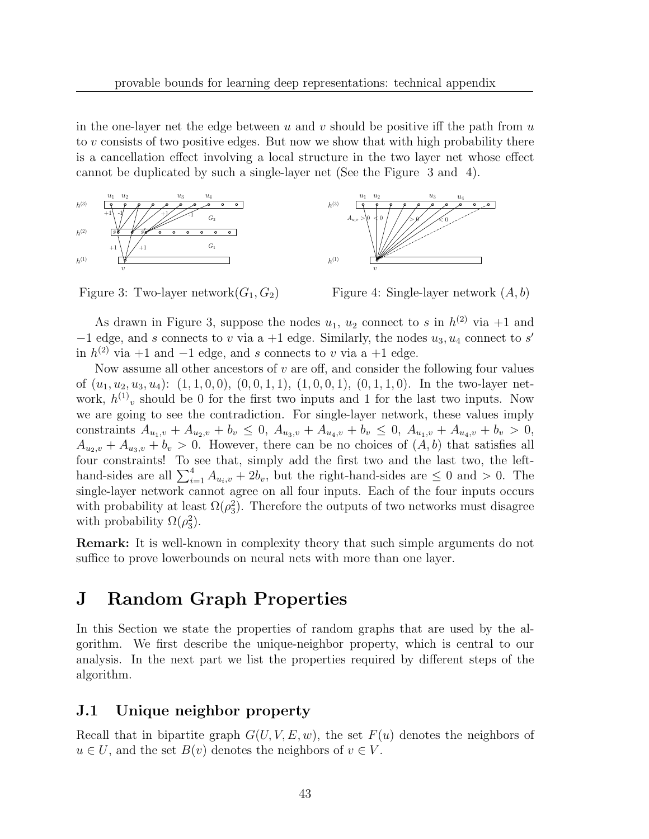in the one-layer net the edge between u and v should be positive iff the path from  $u$ to v consists of two positive edges. But now we show that with high probability there is a cancellation effect involving a local structure in the two layer net whose effect cannot be duplicated by such a single-layer net (See the Figure 3 and 4).





Figure 4: Single-layer network  $(A, b)$ 

As drawn in Figure 3, suppose the nodes  $u_1$ ,  $u_2$  connect to s in  $h^{(2)}$  via  $+1$  and  $-1$  edge, and s connects to v via a +1 edge. Similarly, the nodes  $u_3, u_4$  connect to s' in  $h^{(2)}$  via +1 and -1 edge, and s connects to v via a +1 edge.

Now assume all other ancestors of  $v$  are off, and consider the following four values of  $(u_1, u_2, u_3, u_4)$ :  $(1, 1, 0, 0), (0, 0, 1, 1), (1, 0, 0, 1), (0, 1, 1, 0)$ . In the two-layer network,  $h^{(1)}$ <sub>v</sub> should be 0 for the first two inputs and 1 for the last two inputs. Now we are going to see the contradiction. For single-layer network, these values imply constraints  $A_{u_1,v} + A_{u_2,v} + b_v \leq 0$ ,  $A_{u_3,v} + A_{u_4,v} + b_v \leq 0$ ,  $A_{u_1,v} + A_{u_4,v} + b_v > 0$ ,  $A_{u_2,v} + A_{u_3,v} + b_v > 0$ . However, there can be no choices of  $(A, b)$  that satisfies all four constraints! To see that, simply add the first two and the last two, the lefthand-sides are all  $\sum_{i=1}^{4} A_{u_i,v} + 2b_v$ , but the right-hand-sides are  $\leq 0$  and  $> 0$ . The single-layer network cannot agree on all four inputs. Each of the four inputs occurs with probability at least  $\Omega(\rho_3^2)$ . Therefore the outputs of two networks must disagree with probability  $\Omega(\rho_3^2)$ .

Remark: It is well-known in complexity theory that such simple arguments do not suffice to prove lowerbounds on neural nets with more than one layer.

# J Random Graph Properties

In this Section we state the properties of random graphs that are used by the algorithm. We first describe the unique-neighbor property, which is central to our analysis. In the next part we list the properties required by different steps of the algorithm.

### J.1 Unique neighbor property

Recall that in bipartite graph  $G(U, V, E, w)$ , the set  $F(u)$  denotes the neighbors of  $u \in U$ , and the set  $B(v)$  denotes the neighbors of  $v \in V$ .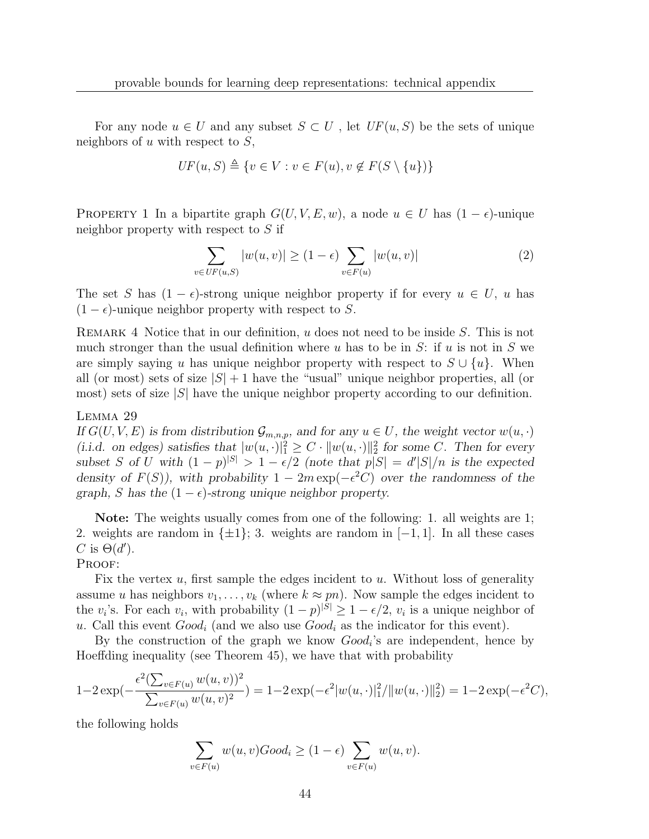For any node  $u \in U$  and any subset  $S \subset U$ , let  $UF(u, S)$  be the sets of unique neighbors of u with respect to  $S$ ,

$$
UF(u, S) \triangleq \{v \in V : v \in F(u), v \notin F(S \setminus \{u\})\}
$$

PROPERTY 1 In a bipartite graph  $G(U, V, E, w)$ , a node  $u \in U$  has  $(1 - \epsilon)$ -unique neighbor property with respect to  $S$  if

$$
\sum_{v \in UF(u,S)} |w(u,v)| \ge (1-\epsilon) \sum_{v \in F(u)} |w(u,v)| \tag{2}
$$

The set S has  $(1 - \epsilon)$ -strong unique neighbor property if for every  $u \in U$ , u has  $(1 - \epsilon)$ -unique neighbor property with respect to S.

REMARK 4 Notice that in our definition,  $u$  does not need to be inside  $S$ . This is not much stronger than the usual definition where u has to be in S: if u is not in S we are simply saying u has unique neighbor property with respect to  $S \cup \{u\}$ . When all (or most) sets of size  $|S| + 1$  have the "usual" unique neighbor properties, all (or most) sets of size  $|S|$  have the unique neighbor property according to our definition.

#### Lemma 29

If  $G(U, V, E)$  is from distribution  $\mathcal{G}_{m,n,p}$ , and for any  $u \in U$ , the weight vector  $w(u, \cdot)$ (i.i.d. on edges) satisfies that  $|w(u, \cdot)|_1^2 \geq C \cdot ||w(u, \cdot)||_2^2$  for some C. Then for every subset S of U with  $(1-p)^{|S|} > 1 - \epsilon/2$  (note that  $p|S| = d'|S|/n$  is the expected density of  $F(S)$ , with probability  $1 - 2m \exp(-\epsilon^2 C)$  over the randomness of the graph, S has the  $(1 - \epsilon)$ -strong unique neighbor property.

Note: The weights usually comes from one of the following: 1. all weights are 1; 2. weights are random in  $\{\pm 1\}$ ; 3. weights are random in [−1, 1]. In all these cases C is  $\Theta(d')$ .

PROOF:

Fix the vertex  $u$ , first sample the edges incident to  $u$ . Without loss of generality assume u has neighbors  $v_1, \ldots, v_k$  (where  $k \approx pn$ ). Now sample the edges incident to the  $v_i$ 's. For each  $v_i$ , with probability  $(1-p)^{|S|} \geq 1 - \epsilon/2$ ,  $v_i$  is a unique neighbor of u. Call this event  $Good_i$  (and we also use  $Good_i$  as the indicator for this event).

By the construction of the graph we know  $Good_i$ 's are independent, hence by Hoeffding inequality (see Theorem 45), we have that with probability

$$
1 - 2\exp(-\frac{\epsilon^2(\sum_{v \in F(u)} w(u, v))^2}{\sum_{v \in F(u)} w(u, v)^2}) = 1 - 2\exp(-\epsilon^2 |w(u, \cdot)|_1^2 / ||w(u, \cdot)||_2^2) = 1 - 2\exp(-\epsilon^2 C),
$$

the following holds

$$
\sum_{v \in F(u)} w(u, v) Good_i \ge (1 - \epsilon) \sum_{v \in F(u)} w(u, v).
$$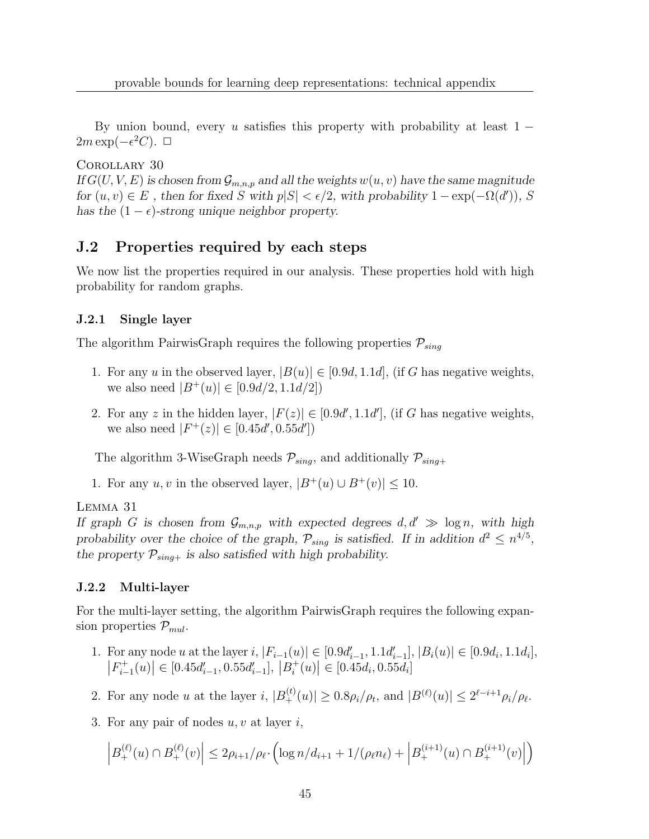By union bound, every u satisfies this property with probability at least  $1 2m \exp(-\epsilon^2 C)$ . □

Corollary 30

If  $G(U, V, E)$  is chosen from  $\mathcal{G}_{m,n,p}$  and all the weights  $w(u, v)$  have the same magnitude for  $(u, v) \in E$ , then for fixed S with  $p|S| < \epsilon/2$ , with probability  $1 - \exp(-\Omega(d'))$ , S has the  $(1 - \epsilon)$ -strong unique neighbor property.

### J.2 Properties required by each steps

We now list the properties required in our analysis. These properties hold with high probability for random graphs.

### J.2.1 Single layer

The algorithm PairwisGraph requires the following properties  $P_{sing}$ 

- 1. For any u in the observed layer,  $|B(u)| \in [0.9d, 1.1d]$ , (if G has negative weights, we also need  $|B^+(u)| \in [0.9d/2, 1.1d/2]$
- 2. For any z in the hidden layer,  $|F(z)| \in [0.9d', 1.1d']$ , (if G has negative weights, we also need  $|F^+(z)| \in [0.45d', 0.55d']$

The algorithm 3-WiseGraph needs  $\mathcal{P}_{sing}$ , and additionally  $\mathcal{P}_{sing+}$ 

1. For any u, v in the observed layer,  $|B^+(u) \cup B^+(v)| \leq 10$ .

Lemma 31

If graph G is chosen from  $\mathcal{G}_{m,n,p}$  with expected degrees  $d, d' \gg \log n$ , with high probability over the choice of the graph,  $\mathcal{P}_{sing}$  is satisfied. If in addition  $d^2 \leq n^{4/5}$ , the property  $P_{sing+}$  is also satisfied with high probability.

### J.2.2 Multi-layer

For the multi-layer setting, the algorithm PairwisGraph requires the following expansion properties  $P_{mul}$ .

- 1. For any node u at the layer i,  $|F_{i-1}(u)| \in [0.9d'_{i-1}, 1.1d'_{i-1}], |B_i(u)| \in [0.9d_i, 1.1d_i],$  $\big|F_{i-}^{+}$  $\left| \begin{array}{c} t_{i+1}^+(u) \end{array} \right| \in [0.45d'_{i-1}, 0.55d'_{i-1}], |B_i^+|$  $\left| \begin{array}{c} t_i^+(u) \end{array} \right| \in [0.45d_i, 0.55d_i]$
- 2. For any node u at the layer i,  $|B_{+}^{(t)}(u)| \ge 0.8\rho_i/\rho_t$ , and  $|B^{(\ell)}(u)| \le 2^{\ell-i+1}\rho_i/\rho_{\ell}$ .
- 3. For any pair of nodes  $u, v$  at layer  $i$ ,

$$
\left|B_+^{(\ell)}(u)\cap B_+^{(\ell)}(v)\right|\leq 2\rho_{i+1}/\rho_{\ell}\cdot \left(\log n/d_{i+1}+1/(\rho_{\ell}n_{\ell})+\left|B_+^{(i+1)}(u)\cap B_+^{(i+1)}(v)\right|\right)
$$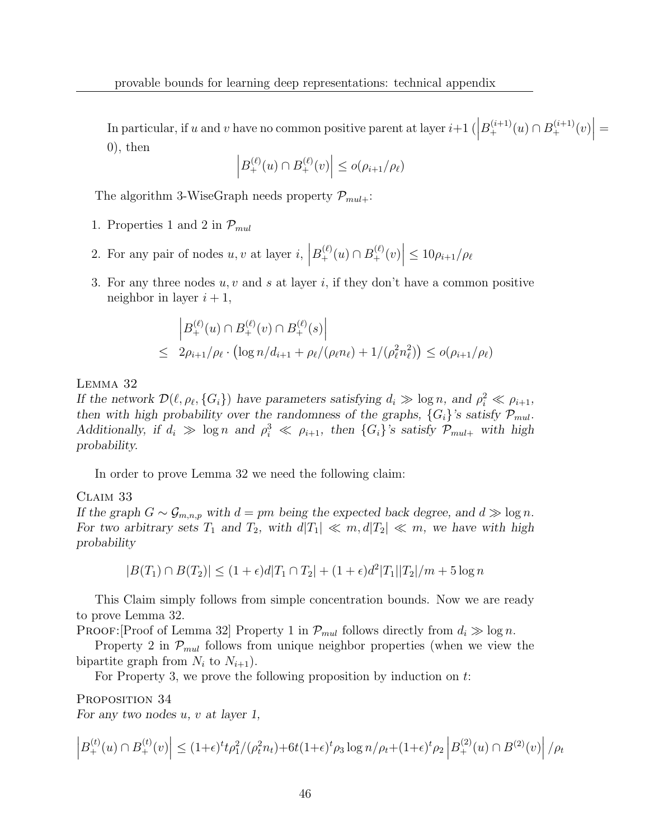In particular, if u and v have no common positive parent at layer  $i+1\left(\left|B_+^{(i+1)}(u)\cap B_+^{(i+1)}(v)\right|\right)=$  $(0)$ , then

$$
\left| B_{+}^{(\ell)}(u) \cap B_{+}^{(\ell)}(v) \right| \le o(\rho_{i+1}/\rho_{\ell})
$$

The algorithm 3-WiseGraph needs property  $\mathcal{P}_{mult}$ :

- 1. Properties 1 and 2 in  $\mathcal{P}_{mul}$
- 2. For any pair of nodes  $u, v$  at layer  $i, |B_{+}^{(\ell)}(u) \cap B_{+}^{(\ell)}(v)| \leq 10\rho_{i+1}/\rho_{\ell}$
- 3. For any three nodes  $u, v$  and s at layer i, if they don't have a common positive neighbor in layer  $i + 1$ ,

$$
\begin{aligned} \left| B_+^{(\ell)}(u) \cap B_+^{(\ell)}(v) \cap B_+^{(\ell)}(s) \right| \\ \leq 2\rho_{i+1}/\rho_{\ell} \cdot \left( \log n/d_{i+1} + \rho_{\ell}/(\rho_{\ell} n_{\ell}) + 1/(\rho_{\ell}^2 n_{\ell}^2) \right) \leq o(\rho_{i+1}/\rho_{\ell}) \end{aligned}
$$

### Lemma 32

If the network  $\mathcal{D}(\ell, \rho_\ell, \{G_i\})$  have parameters satisfying  $d_i \gg \log n$ , and  $\rho_i^2 \ll \rho_{i+1}$ , then with high probability over the randomness of the graphs,  $\{G_i\}$ 's satisfy  $\mathcal{P}_{mul}$ . Additionally, if  $d_i \gg \log n$  and  $\rho_i^3 \ll \rho_{i+1}$ , then  $\{G_i\}$ 's satisfy  $\mathcal{P}_{mul+}$  with high probability.

In order to prove Lemma 32 we need the following claim:

### Claim 33

If the graph  $G \sim \mathcal{G}_{m,n,p}$  with  $d = pm$  being the expected back degree, and  $d \gg \log n$ . For two arbitrary sets  $T_1$  and  $T_2$ , with  $d|T_1| \ll m$ ,  $d|T_2| \ll m$ , we have with high probability

$$
|B(T_1) \cap B(T_2)| \le (1+\epsilon)d|T_1 \cap T_2| + (1+\epsilon)d^2|T_1||T_2|/m + 5\log n
$$

This Claim simply follows from simple concentration bounds. Now we are ready to prove Lemma 32.

PROOF: Proof of Lemma 32 Property 1 in  $\mathcal{P}_{mul}$  follows directly from  $d_i \gg \log n$ .

Property 2 in  $\mathcal{P}_{mul}$  follows from unique neighbor properties (when we view the bipartite graph from  $N_i$  to  $N_{i+1}$ ).

For Property 3, we prove the following proposition by induction on  $t$ :

PROPOSITION 34 For any two nodes  $u, v$  at layer 1,

$$
\left| B_{+}^{(t)}(u) \cap B_{+}^{(t)}(v) \right| \leq (1+\epsilon)^{t} p_{1}^{2} / (\rho_{t}^{2} n_{t}) + 6t(1+\epsilon)^{t} \rho_{3} \log n / \rho_{t} + (1+\epsilon)^{t} \rho_{2} \left| B_{+}^{(2)}(u) \cap B^{(2)}(v) \right| / \rho_{t}
$$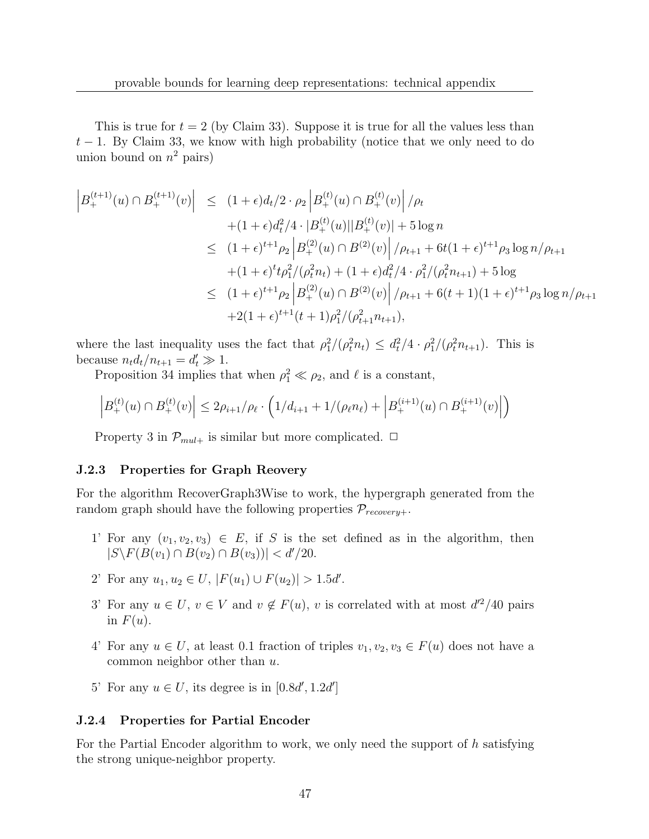This is true for  $t = 2$  (by Claim 33). Suppose it is true for all the values less than  $t-1$ . By Claim 33, we know with high probability (notice that we only need to do union bound on  $n^2$  pairs)

$$
\begin{aligned}\n\left| B_{+}^{(t+1)}(u) \cap B_{+}^{(t+1)}(v) \right| &\leq (1+\epsilon)d_t/2 \cdot \rho_2 \left| B_{+}^{(t)}(u) \cap B_{+}^{(t)}(v) \right| / \rho_t \\
&\quad + (1+\epsilon)d_t^2/4 \cdot |B_{+}^{(t)}(u)||B_{+}^{(t)}(v)| + 5\log n \\
&\leq (1+\epsilon)^{t+1}\rho_2 \left| B_{+}^{(2)}(u) \cap B_{-}^{(2)}(v) \right| / \rho_{t+1} + 6t(1+\epsilon)^{t+1}\rho_3 \log n / \rho_{t+1} \\
&\quad + (1+\epsilon)^t t \rho_1^2 / (\rho_t^2 n_t) + (1+\epsilon)d_t^2/4 \cdot \rho_1^2 / (\rho_t^2 n_{t+1}) + 5\log \\
&\leq (1+\epsilon)^{t+1}\rho_2 \left| B_{+}^{(2)}(u) \cap B_{-}^{(2)}(v) \right| / \rho_{t+1} + 6(t+1)(1+\epsilon)^{t+1}\rho_3 \log n / \rho_{t+1} \\
&\quad + 2(1+\epsilon)^{t+1}(t+1)\rho_1^2 / (\rho_{t+1}^2 n_{t+1}),\n\end{aligned}
$$

where the last inequality uses the fact that  $\rho_1^2/(\rho_t^2 n_t) \leq d_t^2/4 \cdot \rho_1^2/(\rho_t^2 n_{t+1})$ . This is because  $n_t d_t/n_{t+1} = d'_t \gg 1$ .

Proposition 34 implies that when  $\rho_1^2 \ll \rho_2$ , and  $\ell$  is a constant,

$$
\left|B_{+}^{(t)}(u)\cap B_{+}^{(t)}(v)\right|\leq 2\rho_{i+1}/\rho_{\ell}\cdot\left(1/d_{i+1}+1/(\rho_{\ell}n_{\ell})+\left|B_{+}^{(i+1)}(u)\cap B_{+}^{(i+1)}(v)\right|\right)
$$

Property 3 in  $\mathcal{P}_{mul+}$  is similar but more complicated.  $\Box$ 

### J.2.3 Properties for Graph Reovery

For the algorithm RecoverGraph3Wise to work, the hypergraph generated from the random graph should have the following properties  $\mathcal{P}_{recovery+}$ .

- 1' For any  $(v_1, v_2, v_3) \in E$ , if S is the set defined as in the algorithm, then  $|S \backslash F(B(v_1) \cap B(v_2) \cap B(v_3))| < d'/20.$
- 2' For any  $u_1, u_2 \in U$ ,  $|F(u_1) \cup F(u_2)| > 1.5d'$ .
- 3' For any  $u \in U$ ,  $v \in V$  and  $v \notin F(u)$ , v is correlated with at most  $d'^2/40$  pairs in  $F(u)$ .
- 4' For any  $u \in U$ , at least 0.1 fraction of triples  $v_1, v_2, v_3 \in F(u)$  does not have a common neighbor other than u.
- 5' For any  $u \in U$ , its degree is in  $[0.8d', 1.2d']$

### J.2.4 Properties for Partial Encoder

For the Partial Encoder algorithm to work, we only need the support of h satisfying the strong unique-neighbor property.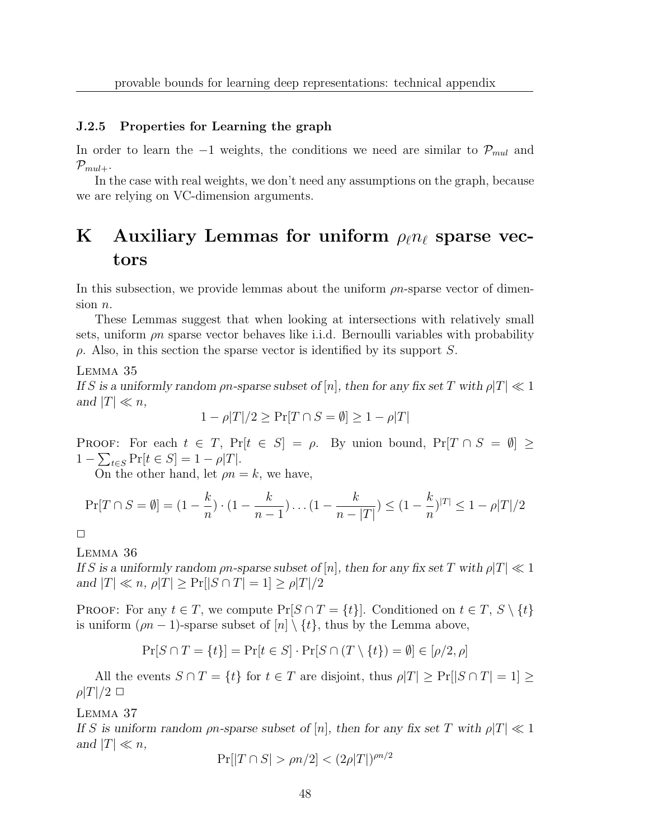### J.2.5 Properties for Learning the graph

In order to learn the −1 weights, the conditions we need are similar to  $\mathcal{P}_{mul}$  and  $\mathcal{P}_{mul+}.$ 

In the case with real weights, we don't need any assumptions on the graph, because we are relying on VC-dimension arguments.

# K Auxiliary Lemmas for uniform  $\rho_{\ell}n_{\ell}$  sparse vectors

In this subsection, we provide lemmas about the uniform  $\rho n$ -sparse vector of dimension  $n$ .

These Lemmas suggest that when looking at intersections with relatively small sets, uniform  $\rho n$  sparse vector behaves like i.i.d. Bernoulli variables with probability  $\rho$ . Also, in this section the sparse vector is identified by its support S.

Lemma 35

If S is a uniformly random  $\rho n$ -sparse subset of  $[n]$ , then for any fix set T with  $\rho |T| \ll 1$ and  $|T| \ll n$ ,

$$
1 - \rho |T|/2 \ge \Pr[T \cap S = \emptyset] \ge 1 - \rho |T|
$$

PROOF: For each  $t \in T$ ,  $Pr[t \in S] = \rho$ . By union bound,  $Pr[T \cap S = \emptyset] \ge$  $1 - \sum_{t \in S} \Pr[t \in S] = 1 - \rho |T|.$ 

On the other hand, let  $\rho n = k$ , we have,

$$
\Pr[T \cap S = \emptyset] = (1 - \frac{k}{n}) \cdot (1 - \frac{k}{n-1}) \dots (1 - \frac{k}{n-|T|}) \le (1 - \frac{k}{n})^{|T|} \le 1 - \rho |T|/2
$$

 $\Box$ 

### Lemma 36

If S is a uniformly random  $\rho n$ -sparse subset of  $[n]$ , then for any fix set T with  $\rho |T| \ll 1$ and  $|T| \ll n$ ,  $\rho |T| \geq \Pr[|S \cap T| = 1] \geq \rho |T|/2$ 

PROOF: For any  $t \in T$ , we compute  $Pr[S \cap T = \{t\}]$ . Conditioned on  $t \in T$ ,  $S \setminus \{t\}$ is uniform  $(\rho n - 1)$ -sparse subset of  $[n] \setminus \{t\}$ , thus by the Lemma above,

$$
\Pr[S \cap T = \{t\}] = \Pr[t \in S] \cdot \Pr[S \cap (T \setminus \{t\}) = \emptyset] \in [\rho/2, \rho]
$$

All the events  $S \cap T = \{t\}$  for  $t \in T$  are disjoint, thus  $\rho |T| \geq \Pr[|S \cap T| = 1] \geq$  $\rho|T|/2 \Box$ 

Lemma 37

If S is uniform random  $\rho n$ -sparse subset of  $[n]$ , then for any fix set T with  $\rho |T| \ll 1$ and  $|T| \ll n$ ,

$$
\Pr[|T \cap S| > \rho n/2] < (2\rho|T|)^{\rho n/2}
$$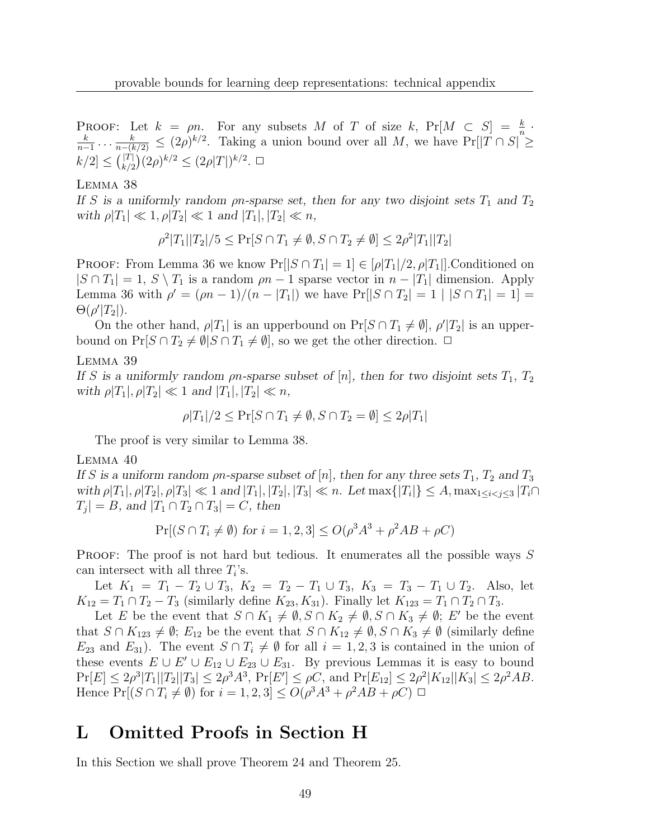**PROOF:** Let  $k = \rho n$ . For any subsets M of T of size k,  $Pr[M \subset S] = \frac{k}{n}$ .  $\frac{k}{k} = \frac{k}{k} \times (2a)^{k/2}$  Taking a union bound over all M we have  $\Pr[T \cap S]$  $\frac{k}{n-1} \ldots \frac{k}{n-(k/2)} \leq (2\rho)^{k/2}$ . Taking a union bound over all M, we have Pr[|T ∩ S| ≥  $k/2 \leq {|\mathcal{T}| \choose k/2} (2\rho)^{k/2} \leq (2\rho |\mathcal{T}|)^{k/2}. \ \Box$ 

#### Lemma 38

If S is a uniformly random  $\rho n$ -sparse set, then for any two disjoint sets  $T_1$  and  $T_2$ with  $\rho|T_1| \ll 1, \rho|T_2| \ll 1$  and  $|T_1|, |T_2| \ll n$ ,

$$
\rho^2 |T_1||T_2|/5 \le \Pr[S \cap T_1 \ne \emptyset, S \cap T_2 \ne \emptyset] \le 2\rho^2 |T_1||T_2|
$$

**PROOF:** From Lemma 36 we know  $Pr[|S \cap T_1| = 1] \in [\rho|T_1]/2, \rho|T_1|]$ . Conditioned on  $|S \cap T_1| = 1, S \setminus T_1$  is a random  $\rho n - 1$  sparse vector in  $n - |T_1|$  dimension. Apply Lemma 36 with  $\rho' = (\rho n - 1)/(n - |T_1|)$  we have  $Pr[|S \cap T_2| = 1 | |S \cap T_1| = 1] =$  $\Theta(\rho'|T_2|).$ 

On the other hand,  $\rho |T_1|$  is an upperbound on  $\Pr[S \cap T_1 \neq \emptyset], \rho' |T_2|$  is an upperbound on  $Pr[S \cap T_2 \neq \emptyset | S \cap T_1 \neq \emptyset]$ , so we get the other direction.  $\Box$ 

### Lemma 39

If S is a uniformly random  $\rho n$ -sparse subset of [n], then for two disjoint sets  $T_1, T_2$ with  $\rho|T_1|, \rho|T_2| \ll 1$  and  $|T_1|, |T_2| \ll n$ ,

$$
\rho|T_1|/2 \le \Pr[S \cap T_1 \ne \emptyset, S \cap T_2 = \emptyset] \le 2\rho|T_1|
$$

The proof is very similar to Lemma 38.

#### Lemma 40

If S is a uniform random  $\rho n$ -sparse subset of [n], then for any three sets  $T_1$ ,  $T_2$  and  $T_3$ with  $\rho|T_1|, \rho|T_2|, \rho|T_3| \ll 1$  and  $|T_1|, |T_2|, |T_3| \ll n$ . Let  $\max\{|T_i|\} \leq A, \max_{1 \leq i < j \leq 3} |T_i \cap T_j|$  $|T_j| = B$ , and  $|T_1 \cap T_2 \cap T_3| = C$ , then

$$
Pr[(S \cap T_i \neq \emptyset) \text{ for } i = 1, 2, 3] \le O(\rho^3 A^3 + \rho^2 A B + \rho C)
$$

PROOF: The proof is not hard but tedious. It enumerates all the possible ways S can intersect with all three  $T_i$ 's.

Let  $K_1 = T_1 - T_2 \cup T_3$ ,  $K_2 = T_2 - T_1 \cup T_3$ ,  $K_3 = T_3 - T_1 \cup T_2$ . Also, let  $K_{12} = T_1 \cap T_2 - T_3$  (similarly define  $K_{23}, K_{31}$ ). Finally let  $K_{123} = T_1 \cap T_2 \cap T_3$ .

Let E be the event that  $S \cap K_1 \neq \emptyset$ ,  $S \cap K_2 \neq \emptyset$ ,  $S \cap K_3 \neq \emptyset$ ; E' be the event that  $S \cap K_{123} \neq \emptyset$ ;  $E_{12}$  be the event that  $S \cap K_{12} \neq \emptyset$ ,  $S \cap K_3 \neq \emptyset$  (similarly define  $E_{23}$  and  $E_{31}$ ). The event  $S \cap T_i \neq \emptyset$  for all  $i = 1, 2, 3$  is contained in the union of these events  $E \cup E' \cup E_{12} \cup E_{23} \cup E_{31}$ . By previous Lemmas it is easy to bound  $\Pr[E] \le 2\rho^3 |T_1||T_2||T_3| \le 2\rho^3 A^3$ ,  $\Pr[E'] \le \rho C$ , and  $\Pr[E_{12}] \le 2\rho^2 |K_{12}| |K_3| \le 2\rho^2 AB$ . Hence  $Pr[(S \cap T_i \neq \emptyset)$  for  $i = 1, 2, 3] \le O(\rho^3 A^3 + \rho^2 AB + \rho C) \square$ 

### L Omitted Proofs in Section H

In this Section we shall prove Theorem 24 and Theorem 25.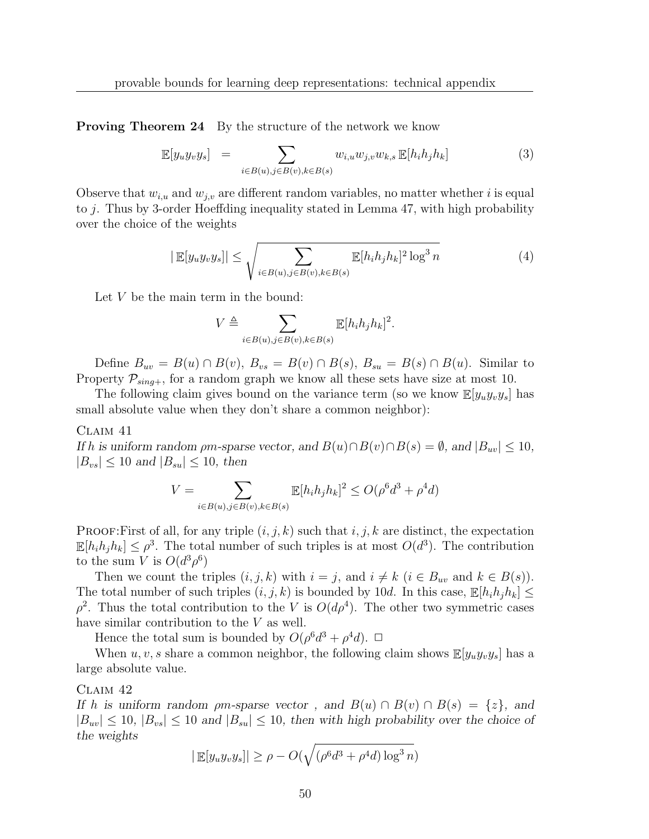**Proving Theorem 24** By the structure of the network we know

$$
\mathbb{E}[y_uy_vy_s] = \sum_{i \in B(u), j \in B(v), k \in B(s)} w_{i,u}w_{j,v}w_{k,s} \mathbb{E}[h_ih_jh_k]
$$
(3)

Observe that  $w_{i,u}$  and  $w_{j,v}$  are different random variables, no matter whether i is equal to j. Thus by 3-order Hoeffding inequality stated in Lemma 47, with high probability over the choice of the weights

$$
|\mathbb{E}[y_uy_vy_s]| \le \sqrt{\sum_{i \in B(u), j \in B(v), k \in B(s)} \mathbb{E}[h_ih_jh_k]^2 \log^3 n}
$$
 (4)

Let  $V$  be the main term in the bound:

$$
V\triangleq\sum_{i\in B(u),j\in B(v),k\in B(s)}\mathbb{E}[h_ih_jh_k]^2.
$$

Define  $B_{uv} = B(u) \cap B(v)$ ,  $B_{vs} = B(v) \cap B(s)$ ,  $B_{su} = B(s) \cap B(u)$ . Similar to Property  $P_{sing+}$ , for a random graph we know all these sets have size at most 10.

The following claim gives bound on the variance term (so we know  $\mathbb{E}[y_uy_vy_s]$  has small absolute value when they don't share a common neighbor):

### Claim 41

If h is uniform random  $\rho m$ -sparse vector, and  $B(u) \cap B(v) \cap B(s) = \emptyset$ , and  $|B_{uv}| \leq 10$ ,  $|B_{vs}| \leq 10$  and  $|B_{su}| \leq 10$ , then

$$
V = \sum_{i \in B(u), j \in B(v), k \in B(s)} \mathbb{E}[h_i h_j h_k]^2 \le O(\rho^6 d^3 + \rho^4 d)
$$

PROOF:First of all, for any triple  $(i, j, k)$  such that i, j, k are distinct, the expectation  $\mathbb{E}[h_i h_j h_k] \leq \rho^3$ . The total number of such triples is at most  $O(d^3)$ . The contribution to the sum V is  $O(d^3 \rho^6)$ 

Then we count the triples  $(i, j, k)$  with  $i = j$ , and  $i \neq k$   $(i \in B_{uv}$  and  $k \in B(s)$ ). The total number of such triples  $(i, j, k)$  is bounded by 10d. In this case,  $\mathbb{E}[h_i h_j h_k] \leq$  $\rho^2$ . Thus the total contribution to the V is  $O(d\rho^4)$ . The other two symmetric cases have similar contribution to the V as well.

Hence the total sum is bounded by  $O(\rho^6 d^3 + \rho^4 d)$ .  $\Box$ 

When  $u, v, s$  share a common neighbor, the following claim shows  $\mathbb{E}[y_uy_vy_s]$  has a large absolute value.

#### Claim 42

If h is uniform random  $\rho m$ -sparse vector, and  $B(u) \cap B(v) \cap B(s) = \{z\}$ , and  $|B_{uv}| \leq 10$ ,  $|B_{vs}| \leq 10$  and  $|B_{su}| \leq 10$ , then with high probability over the choice of the weights

$$
|\mathop{\mathbb{E}}[y_{u}y_{v}y_{s}]| \geq \rho - O(\sqrt{(\rho^{6}d^{3} + \rho^{4}d)\log^{3} n})
$$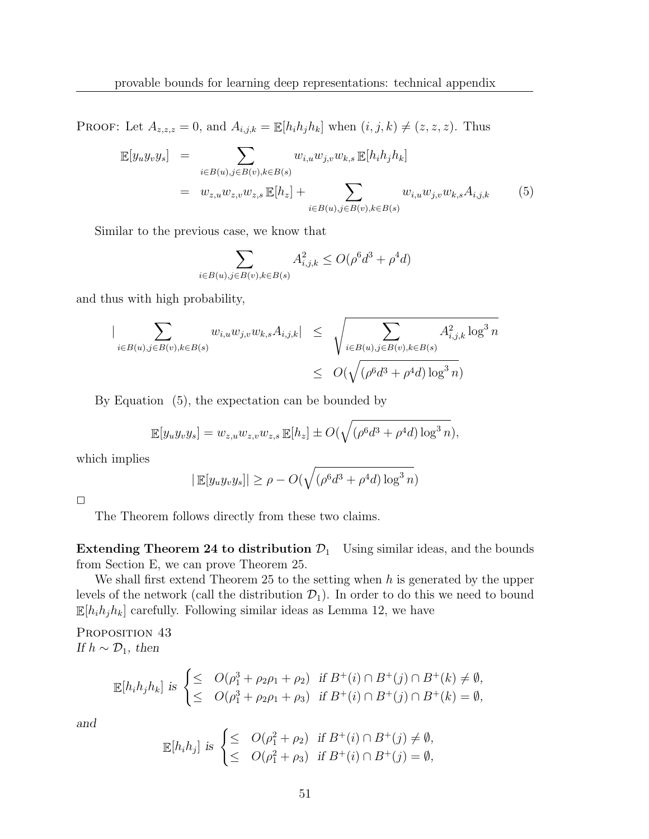PROOF: Let  $A_{z,z,z} = 0$ , and  $A_{i,j,k} = \mathbb{E}[h_i h_j h_k]$  when  $(i, j, k) \neq (z, z, z)$ . Thus

$$
\mathbb{E}[y_{u}y_{v}y_{s}] = \sum_{i \in B(u), j \in B(v), k \in B(s)} w_{i,u}w_{j,v}w_{k,s} \mathbb{E}[h_{i}h_{j}h_{k}]
$$
  

$$
= w_{z,u}w_{z,v}w_{z,s} \mathbb{E}[h_{z}] + \sum_{i \in B(u), j \in B(v), k \in B(s)} w_{i,u}w_{j,v}w_{k,s}A_{i,j,k}
$$
(5)

Similar to the previous case, we know that

$$
\sum_{i \in B(u), j \in B(v), k \in B(s)} A_{i,j,k}^2 \le O(\rho^6 d^3 + \rho^4 d)
$$

and thus with high probability,

$$
\begin{array}{lcl} \big| \sum_{i \in B(u), j \in B(v), k \in B(s)} w_{i,u} w_{j,v} w_{k,s} A_{i,j,k} \big| & \leq & \sqrt{\sum_{i \in B(u), j \in B(v), k \in B(s)} A_{i,j,k}^2 \log^3 n} \\ & \leq & O(\sqrt{(\rho^6 d^3 + \rho^4 d) \log^3 n}) \end{array}
$$

By Equation (5), the expectation can be bounded by

$$
\mathbb{E}[y_uy_vy_s] = w_{z,u}w_{z,v}w_{z,s}\mathbb{E}[h_z] \pm O(\sqrt{(\rho^6d^3 + \rho^4d)\log^3 n}),
$$

which implies

$$
|\mathbb{E}[y_uy_vy_s]| \ge \rho - O(\sqrt{(\rho^6 d^3 + \rho^4 d) \log^3 n})
$$

 $\Box$ 

The Theorem follows directly from these two claims.

Extending Theorem 24 to distribution  $\mathcal{D}_1$  Using similar ideas, and the bounds from Section E, we can prove Theorem 25.

We shall first extend Theorem 25 to the setting when  $h$  is generated by the upper levels of the network (call the distribution  $\mathcal{D}_1$ ). In order to do this we need to bound  $\mathbb{E}[h_i h_j h_k]$  carefully. Following similar ideas as Lemma 12, we have

PROPOSITION 43 If  $h \sim \mathcal{D}_1$ , then

$$
\mathbb{E}[h_i h_j h_k] \text{ is } \begin{cases} \leq & O(\rho_1^3 + \rho_2 \rho_1 + \rho_2) \quad \text{if } B^+(i) \cap B^+(j) \cap B^+(k) \neq \emptyset, \\ \leq & O(\rho_1^3 + \rho_2 \rho_1 + \rho_3) \quad \text{if } B^+(i) \cap B^+(j) \cap B^+(k) = \emptyset, \end{cases}
$$

and

$$
\mathbb{E}[h_i h_j] \text{ is } \begin{cases} \leq & O(\rho_1^2 + \rho_2) \quad \text{if } B^+(i) \cap B^+(j) \neq \emptyset, \\ \leq & O(\rho_1^2 + \rho_3) \quad \text{if } B^+(i) \cap B^+(j) = \emptyset, \end{cases}
$$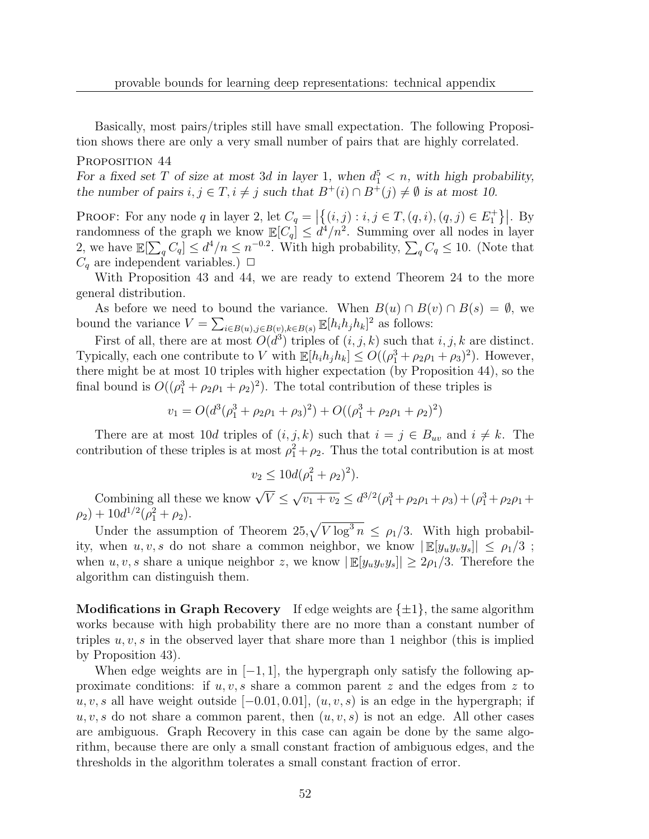Basically, most pairs/triples still have small expectation. The following Proposition shows there are only a very small number of pairs that are highly correlated.

### PROPOSITION 44

For a fixed set T of size at most 3d in layer 1, when  $d_1^5 < n$ , with high probability, the number of pairs  $i, j \in T, i \neq j$  such that  $B^+(i) \cap B^+(j) \neq \emptyset$  is at most 10.

PROOF: For any node q in layer 2, let  $C_q = \left| \{(i,j) : i,j \in T, (q,i), (q,j) \in E_1^+ \} \right|$ . By randomness of the graph we know  $\mathbb{E}[C_q] \leq d^4/n^2$ . Summing over all nodes in layer 2, we have  $\mathbb{E}[\sum_{q} C_q] \leq d^4/n \leq n^{-0.2}$ . With high probability,  $\sum_{q} C_q \leq 10$ . (Note that  $C_q$  are independent variables.)  $\Box$ 

With Proposition 43 and 44, we are ready to extend Theorem 24 to the more general distribution.

As before we need to bound the variance. When  $B(u) \cap B(v) \cap B(s) = \emptyset$ , we bound the variance  $V = \sum_{i \in B(u), j \in B(v), k \in B(s)} \mathbb{E}[h_i h_j h_k]^2$  as follows:

First of all, there are at most  $O(d^3)$  triples of  $(i, j, k)$  such that  $i, j, k$  are distinct. Typically, each one contribute to V with  $\mathbb{E}[h_i h_j h_k] \le O((\rho_1^3 + \rho_2 \rho_1 + \rho_3)^2)$ . However, there might be at most 10 triples with higher expectation (by Proposition 44), so the final bound is  $O((\rho_1^3 + \rho_2 \rho_1 + \rho_2)^2)$ . The total contribution of these triples is

 $v_1 = O(d^3(\rho_1^3 + \rho_2 \rho_1 + \rho_3)^2) + O((\rho_1^3 + \rho_2 \rho_1 + \rho_2)^2)$ 

There are at most 10d triples of  $(i, j, k)$  such that  $i = j \in B_{uv}$  and  $i \neq k$ . The contribution of these triples is at most  $\rho_1^2 + \rho_2$ . Thus the total contribution is at most

$$
v_2 \le 10d(\rho_1^2 + \rho_2)^2).
$$

Combining all these we know  $\sqrt{V} \leq \sqrt{v_1 + v_2} \leq d^{3/2}(\rho_1^3 + \rho_2 \rho_1 + \rho_3) + (\rho_1^3 + \rho_2 \rho_1 + \rho_3^2)$  $(\rho_2) + 10d^{1/2}(\rho_1^2 + \rho_2).$ 

Under the assumption of Theorem  $25, \sqrt{V \log^3 n} \leq \rho_1/3$ . With high probability, when  $u, v, s$  do not share a common neighbor, we know  $\left| \mathbb{E}[y_u y_v y_s] \right| \leq \rho_1/3$ ; when u, v, s share a unique neighbor z, we know  $|\mathbb{E}[y_uy_vy_s]|\geq 2\rho_1/3$ . Therefore the algorithm can distinguish them.

**Modifications in Graph Recovery** If edge weights are  $\{\pm 1\}$ , the same algorithm works because with high probability there are no more than a constant number of triples  $u, v, s$  in the observed layer that share more than 1 neighbor (this is implied by Proposition 43).

When edge weights are in  $[-1, 1]$ , the hypergraph only satisfy the following approximate conditions: if  $u, v, s$  share a common parent z and the edges from z to  $u, v, s$  all have weight outside [−0.01, 0.01],  $(u, v, s)$  is an edge in the hypergraph; if  $u, v, s$  do not share a common parent, then  $(u, v, s)$  is not an edge. All other cases are ambiguous. Graph Recovery in this case can again be done by the same algorithm, because there are only a small constant fraction of ambiguous edges, and the thresholds in the algorithm tolerates a small constant fraction of error.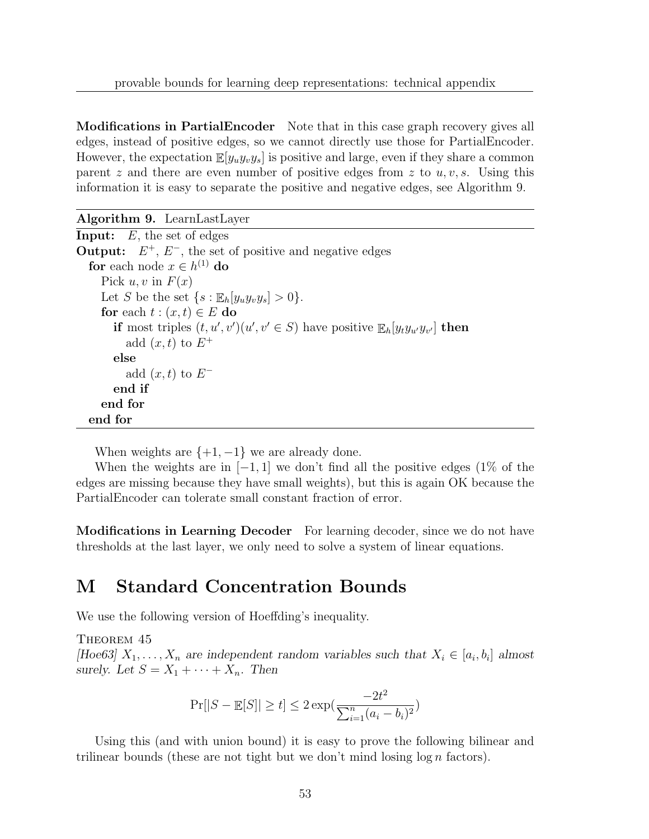Modifications in PartialEncoder Note that in this case graph recovery gives all edges, instead of positive edges, so we cannot directly use those for PartialEncoder. However, the expectation  $\mathbb{E}[y_{u}y_{v}y_{s}]$  is positive and large, even if they share a common parent z and there are even number of positive edges from z to  $u, v, s$ . Using this information it is easy to separate the positive and negative edges, see Algorithm 9.

Algorithm 9. LearnLastLayer

**Input:**  $E$ , the set of edges **Output:**  $E^+$ ,  $E^-$ , the set of positive and negative edges **for** each node  $x \in h^{(1)}$  **do** Pick  $u, v$  in  $F(x)$ Let S be the set  $\{s : \mathbb{E}_{h}[y_{u}y_{v}y_{s}] > 0\}.$ for each  $t : (x, t) \in E$  do if most triples  $(t, u', v')(u', v' \in S)$  have positive  $\mathbb{E}_h[y_t y_{u'} y_{v'}]$  then add  $(x, t)$  to  $E^+$ else add  $(x, t)$  to  $E^$ end if end for end for

When weights are  $\{+1, -1\}$  we are already done.

When the weights are in  $[-1, 1]$  we don't find all the positive edges (1% of the edges are missing because they have small weights), but this is again OK because the PartialEncoder can tolerate small constant fraction of error.

Modifications in Learning Decoder For learning decoder, since we do not have thresholds at the last layer, we only need to solve a system of linear equations.

# M Standard Concentration Bounds

We use the following version of Hoeffding's inequality.

THEOREM 45

[Hoe63]  $X_1, \ldots, X_n$  are independent random variables such that  $X_i \in [a_i, b_i]$  almost surely. Let  $S = X_1 + \cdots + X_n$ . Then

$$
\Pr[|S - \mathbb{E}[S]| \ge t] \le 2 \exp(\frac{-2t^2}{\sum_{i=1}^n (a_i - b_i)^2})
$$

Using this (and with union bound) it is easy to prove the following bilinear and trilinear bounds (these are not tight but we don't mind losing  $\log n$  factors).